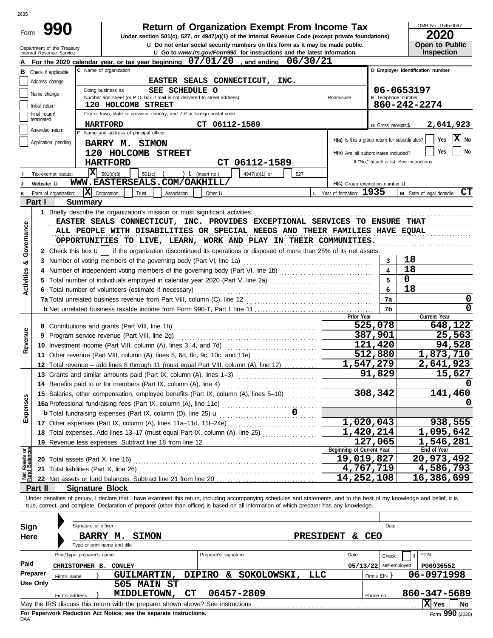| Form                           |                             | 991                                                                         | <b>Return of Organization Exempt From Income Tax</b><br>Under section 501(c), 527, or 4947(a)(1) of the Internal Revenue Code (except private foundations)                                                                                                                                                                                                                                                                                          |                                               | OMB No. 1545-0047<br>2020                |
|--------------------------------|-----------------------------|-----------------------------------------------------------------------------|-----------------------------------------------------------------------------------------------------------------------------------------------------------------------------------------------------------------------------------------------------------------------------------------------------------------------------------------------------------------------------------------------------------------------------------------------------|-----------------------------------------------|------------------------------------------|
|                                |                             | Department of the Treasury                                                  | <b>u</b> Do not enter social security numbers on this form as it may be made public.                                                                                                                                                                                                                                                                                                                                                                |                                               | <b>Open to Public</b>                    |
|                                |                             | Internal Revenue Service                                                    | <b>u</b> Go to www.irs.gov/Form990 for instructions and the latest information.                                                                                                                                                                                                                                                                                                                                                                     |                                               | Inspection                               |
|                                |                             |                                                                             | For the 2020 calendar year, or tax year beginning 07/01/20, and ending 06/30/21<br>C Name of organization                                                                                                                                                                                                                                                                                                                                           |                                               | D Employer identification number         |
|                                |                             | <b>B</b> Check if applicable:                                               | EASTER SEALS CONNECTICUT,<br>INC.                                                                                                                                                                                                                                                                                                                                                                                                                   |                                               |                                          |
|                                | Address change              |                                                                             | Doing business as<br>SEE SCHEDULE O                                                                                                                                                                                                                                                                                                                                                                                                                 |                                               | 06-0653197                               |
|                                | Name change                 |                                                                             | Number and street (or P.O. box if mail is not delivered to street address)<br>Room/suite                                                                                                                                                                                                                                                                                                                                                            | E Telephone number                            |                                          |
|                                | Initial return              |                                                                             | 120 HOLCOMB STREET                                                                                                                                                                                                                                                                                                                                                                                                                                  |                                               | 860-242-2274                             |
|                                | Final return/<br>terminated |                                                                             | City or town, state or province, country, and ZIP or foreign postal code                                                                                                                                                                                                                                                                                                                                                                            |                                               |                                          |
|                                | Amended return              |                                                                             | CT 06112-1589<br><b>HARTFORD</b><br>F Name and address of principal officer:                                                                                                                                                                                                                                                                                                                                                                        | G Gross receipts \$                           | 2,641,923                                |
|                                |                             | Application pending                                                         | <b>BARRY M. SIMON</b>                                                                                                                                                                                                                                                                                                                                                                                                                               | H(a) Is this a group return for subordinates? | <b>x</b><br>Yes<br>No                    |
|                                |                             |                                                                             | 120 HOLCOMB STREET                                                                                                                                                                                                                                                                                                                                                                                                                                  | H(b) Are all subordinates included?           | <b>No</b><br>Yes                         |
|                                |                             |                                                                             | CT 06112-1589<br><b>HARTFORD</b>                                                                                                                                                                                                                                                                                                                                                                                                                    |                                               | If "No," attach a list. See instructions |
|                                |                             | Tax-exempt status:                                                          | $ \mathbf{X} $ 501(c)(3)<br>) $t$ (insert no.)<br>$501(c)$ (<br>4947(a)(1) or<br>527                                                                                                                                                                                                                                                                                                                                                                |                                               |                                          |
|                                | Website: U                  |                                                                             | WWW.EASTERSEALS.COM/OAKHILL/                                                                                                                                                                                                                                                                                                                                                                                                                        | H(c) Group exemption number LI                |                                          |
|                                |                             | Form of organization:                                                       | L Year of formation: 1935<br>$ \mathbf{X} $ Corporation<br>Trust<br>Association<br>Other $\mathbf u$                                                                                                                                                                                                                                                                                                                                                |                                               | CT<br>M State of legal domicile:         |
|                                | Part I                      | <b>Summary</b>                                                              |                                                                                                                                                                                                                                                                                                                                                                                                                                                     |                                               |                                          |
| Governance                     |                             |                                                                             | 1 Briefly describe the organization's mission or most significant activities:<br>EASTER SEALS CONNECTICUT, INC. PROVIDES EXCEPTIONAL SERVICES TO ENSURE THAT<br>ALL PEOPLE WITH DISABILITIES OR SPECIAL NEEDS AND THEIR FAMILIES HAVE EQUAL<br>OPPORTUNITIES TO LIVE, LEARN, WORK AND PLAY IN THEIR COMMUNITIES.<br>2 Check this box $\mathbf{u}$   if the organization discontinued its operations or disposed of more than 25% of its net assets. |                                               |                                          |
|                                |                             |                                                                             | 3 Number of voting members of the governing body (Part VI, line 1a)                                                                                                                                                                                                                                                                                                                                                                                 | 3                                             | 18                                       |
| න්                             |                             |                                                                             |                                                                                                                                                                                                                                                                                                                                                                                                                                                     | 4                                             | 18                                       |
|                                |                             |                                                                             | 5 Total number of individuals employed in calendar year 2020 (Part V, line 2a) [11] [11] [11] Total number of individuals employed in calendar year 2020 (Part V, line 2a)                                                                                                                                                                                                                                                                          | 5                                             | $\mathbf{0}$                             |
| <b>Activities</b>              |                             | 6 Total number of volunteers (estimate if necessary)                        | 6                                                                                                                                                                                                                                                                                                                                                                                                                                                   | 18                                            |                                          |
|                                |                             |                                                                             | 7a                                                                                                                                                                                                                                                                                                                                                                                                                                                  | 0                                             |                                          |
|                                |                             |                                                                             |                                                                                                                                                                                                                                                                                                                                                                                                                                                     | 7b                                            | $\Omega$                                 |
|                                |                             |                                                                             | Prior Year                                                                                                                                                                                                                                                                                                                                                                                                                                          |                                               | Current Year                             |
|                                |                             |                                                                             |                                                                                                                                                                                                                                                                                                                                                                                                                                                     | 525,078                                       | 648,122                                  |
| Revenue                        |                             |                                                                             |                                                                                                                                                                                                                                                                                                                                                                                                                                                     | 387,901<br>121,420                            | 25,563<br>94,528                         |
|                                |                             |                                                                             | 11 Other revenue (Part VIII, column (A), lines 5, 6d, 8c, 9c, 10c, and 11e)                                                                                                                                                                                                                                                                                                                                                                         | 512,880                                       | 1,873,710                                |
|                                |                             |                                                                             | 12 Total revenue – add lines 8 through 11 (must equal Part VIII, column (A), line 12)                                                                                                                                                                                                                                                                                                                                                               | 1,547,279                                     | 2,641,923                                |
|                                |                             |                                                                             | 13 Grants and similar amounts paid (Part IX, column (A), lines 1-3)                                                                                                                                                                                                                                                                                                                                                                                 | 91,829                                        | 15,627                                   |
|                                |                             |                                                                             | 14 Benefits paid to or for members (Part IX, column (A), line 4)                                                                                                                                                                                                                                                                                                                                                                                    |                                               |                                          |
|                                |                             |                                                                             | 15 Salaries, other compensation, employee benefits (Part IX, column (A), lines 5-10)                                                                                                                                                                                                                                                                                                                                                                | 308,342                                       | 141,460                                  |
|                                |                             |                                                                             |                                                                                                                                                                                                                                                                                                                                                                                                                                                     |                                               |                                          |
| Expenses                       |                             |                                                                             |                                                                                                                                                                                                                                                                                                                                                                                                                                                     |                                               |                                          |
|                                |                             |                                                                             | 17 Other expenses (Part IX, column (A), lines 11a-11d, 11f-24e)                                                                                                                                                                                                                                                                                                                                                                                     | 1,020,043                                     | 938,555                                  |
|                                |                             |                                                                             | 18 Total expenses. Add lines 13-17 (must equal Part IX, column (A), line 25)                                                                                                                                                                                                                                                                                                                                                                        | $\overline{1,420,214}$                        | 1,095,642                                |
|                                |                             |                                                                             | 19 Revenue less expenses. Subtract line 18 from line 12                                                                                                                                                                                                                                                                                                                                                                                             | 127,065                                       | 1,546,281                                |
| Net Assets or<br>Fund Balances |                             |                                                                             | Beginning of Current Year                                                                                                                                                                                                                                                                                                                                                                                                                           | 19,019,827                                    | End of Year<br>20,973,492                |
|                                |                             | 20 Total assets (Part X, line 16)<br>21 Total liabilities (Part X, line 26) |                                                                                                                                                                                                                                                                                                                                                                                                                                                     | 4,767,719                                     | 4,586,793                                |
|                                |                             |                                                                             |                                                                                                                                                                                                                                                                                                                                                                                                                                                     | 14,252,108                                    | 16,386,699                               |
|                                | Part II                     | <b>Signature Block</b>                                                      |                                                                                                                                                                                                                                                                                                                                                                                                                                                     |                                               |                                          |
|                                |                             |                                                                             | Under penalties of perjury, I declare that I have examined this return, including accompanying schedules and statements, and to the best of my knowledge and belief, it is                                                                                                                                                                                                                                                                          |                                               |                                          |
|                                |                             |                                                                             | true, correct, and complete. Declaration of preparer (other than officer) is based on all information of which preparer has any knowledge.                                                                                                                                                                                                                                                                                                          |                                               |                                          |
|                                |                             |                                                                             |                                                                                                                                                                                                                                                                                                                                                                                                                                                     |                                               |                                          |
| Sign                           |                             | Signature of officer                                                        |                                                                                                                                                                                                                                                                                                                                                                                                                                                     | Date                                          |                                          |
| Here                           |                             |                                                                             | BARRY M.<br><b>SIMON</b><br>PRESIDENT & CEO                                                                                                                                                                                                                                                                                                                                                                                                         |                                               |                                          |
|                                |                             |                                                                             | Type or print name and title                                                                                                                                                                                                                                                                                                                                                                                                                        |                                               |                                          |
|                                |                             | Print/Type preparer's name                                                  | Preparer's signature<br>Date                                                                                                                                                                                                                                                                                                                                                                                                                        | Check                                         | PTIN                                     |
| Paid                           |                             | <b>CHRISTOPHER B. CONLEY</b>                                                |                                                                                                                                                                                                                                                                                                                                                                                                                                                     | $05/13/22$ self-employed                      | P00936552                                |
|                                | Preparer                    | Firm's name                                                                 | <b>DIPIRO</b><br>& SOKOLOWSKI,<br><b>LLC</b><br><b>GUILMARTIN,</b>                                                                                                                                                                                                                                                                                                                                                                                  | Firm's $EIN$ }                                | 06-0971998                               |
|                                | <b>Use Only</b>             |                                                                             | 505 MAIN ST                                                                                                                                                                                                                                                                                                                                                                                                                                         |                                               |                                          |
|                                |                             | Firm's address                                                              | CT<br>06457-2809<br>MIDDLETOWN,<br>May the IRS discuss this return with the preparer shown above? See instructions                                                                                                                                                                                                                                                                                                                                  | Phone no.                                     | 860-347-5689<br>X Yes<br>  No            |
|                                |                             |                                                                             |                                                                                                                                                                                                                                                                                                                                                                                                                                                     |                                               |                                          |

| <b>Sign</b> |                                                                                                      | <b>Jigriature Of Univer</b> |                              |    |                                           |      |              | Palo                     |                         |  |  |  |
|-------------|------------------------------------------------------------------------------------------------------|-----------------------------|------------------------------|----|-------------------------------------------|------|--------------|--------------------------|-------------------------|--|--|--|
| <b>Here</b> |                                                                                                      | <b>BARRY</b>                | М.<br>SIMON                  |    | <b>PRESIDENT</b>                          | δż.  | CEO          |                          |                         |  |  |  |
|             |                                                                                                      |                             | Type or print name and title |    |                                           |      |              |                          |                         |  |  |  |
|             | Print/Type preparer's name                                                                           |                             |                              |    | Preparer's signature                      | Date |              | Check                    | $\vert$ if $\vert$ PTIN |  |  |  |
| Paid        | <b>CHRISTOPHER</b>                                                                                   | в.                          | <b>CONLEY</b>                |    |                                           |      |              | $05/13/22$ self-employed | P00936552               |  |  |  |
| Preparer    | Firm's name                                                                                          |                             | <b>GUILMARTIN,</b>           |    | SOKOLOWSKI,<br><b>DIPIRO</b><br>LLC<br>&. |      | Firm's EIN Y |                          | 06-0971998              |  |  |  |
| Use Only    |                                                                                                      |                             | 505 MAIN ST                  |    |                                           |      |              |                          |                         |  |  |  |
|             | Firm's address                                                                                       |                             | MIDDLETOWN,                  | СT | 06457-2809                                |      | Phone no.    |                          | 860-347-5689            |  |  |  |
|             | xl<br>l No<br>May the IRS discuss this return with the preparer shown above? See instructions<br>Yes |                             |                              |    |                                           |      |              |                          |                         |  |  |  |

2635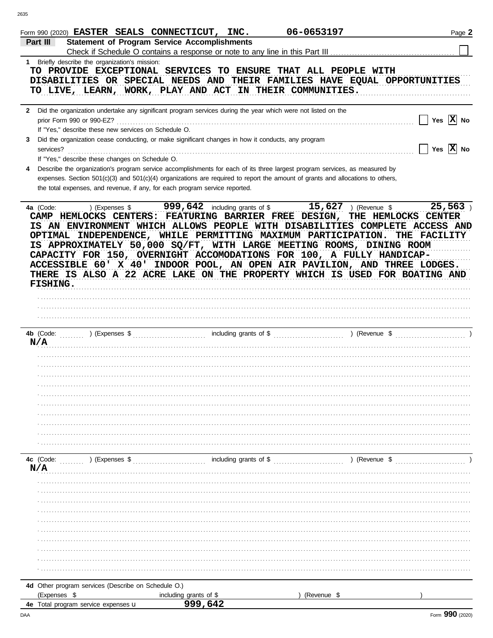|           | 06-0653197<br>Form 990 (2020) EASTER SEALS CONNECTICUT, INC.<br><b>Statement of Program Service Accomplishments</b><br>Part III                                                                                                                                                                                                                                                                                                                                                                                                                                                                                                                                                     | Page 2                     |
|-----------|-------------------------------------------------------------------------------------------------------------------------------------------------------------------------------------------------------------------------------------------------------------------------------------------------------------------------------------------------------------------------------------------------------------------------------------------------------------------------------------------------------------------------------------------------------------------------------------------------------------------------------------------------------------------------------------|----------------------------|
|           | Check if Schedule O contains a response or note to any line in this Part III<br>1 Briefly describe the organization's mission:<br>TO PROVIDE EXCEPTIONAL SERVICES TO ENSURE THAT ALL PEOPLE WITH<br>DISABILITIES OR SPECIAL NEEDS AND THEIR FAMILIES HAVE EQUAL OPPORTUNITIES<br>TO LIVE, LEARN, WORK, PLAY AND ACT IN THEIR COMMUNITIES.                                                                                                                                                                                                                                                                                                                                           |                            |
|           | 2 Did the organization undertake any significant program services during the year which were not listed on the<br>prior Form 990 or 990-EZ?<br>If "Yes," describe these new services on Schedule O.<br>3 Did the organization cease conducting, or make significant changes in how it conducts, any program<br>services?                                                                                                                                                                                                                                                                                                                                                            | Yes $ X $ No<br>Yes $X$ No |
| 4         | If "Yes," describe these changes on Schedule O.<br>Describe the organization's program service accomplishments for each of its three largest program services, as measured by<br>expenses. Section 501(c)(3) and 501(c)(4) organizations are required to report the amount of grants and allocations to others,<br>the total expenses, and revenue, if any, for each program service reported.                                                                                                                                                                                                                                                                                      |                            |
|           | $\overline{999}$ , $642$ including grants of \$<br>$15,627$ ) (Revenue \$<br>4a (Code:<br>) (Expenses \$<br>CAMP HEMLOCKS CENTERS: FEATURING BARRIER FREE DESIGN, THE HEMLOCKS CENTER<br>IS AN ENVIRONMENT WHICH ALLOWS PEOPLE WITH DISABILITIES COMPLETE ACCESS AND<br>OPTIMAL INDEPENDENCE, WHILE PERMITTING MAXIMUM PARTICIPATION.<br>THE FACILITY<br>IS APPROXIMATELY 50,000 SQ/FT, WITH LARGE MEETING ROOMS, DINING ROOM<br>CAPACITY FOR 150, OVERNIGHT ACCOMODATIONS FOR 100, A FULLY HANDICAP-<br>ACCESSIBLE 60' X 40' INDOOR POOL, AN OPEN AIR PAVILION, AND THREE LODGES.<br>THERE IS ALSO A 22 ACRE LAKE ON THE PROPERTY WHICH IS USED FOR BOATING AND<br><b>FISHING.</b> | 25,563                     |
|           | 4b (Code:                                                                                                                                                                                                                                                                                                                                                                                                                                                                                                                                                                                                                                                                           |                            |
|           | N/A                                                                                                                                                                                                                                                                                                                                                                                                                                                                                                                                                                                                                                                                                 |                            |
|           |                                                                                                                                                                                                                                                                                                                                                                                                                                                                                                                                                                                                                                                                                     |                            |
|           |                                                                                                                                                                                                                                                                                                                                                                                                                                                                                                                                                                                                                                                                                     |                            |
|           | including grants of \$<br>4c (Code:<br>) (Expenses \$<br>) (Revenue \$<br>N/A                                                                                                                                                                                                                                                                                                                                                                                                                                                                                                                                                                                                       |                            |
|           |                                                                                                                                                                                                                                                                                                                                                                                                                                                                                                                                                                                                                                                                                     |                            |
|           |                                                                                                                                                                                                                                                                                                                                                                                                                                                                                                                                                                                                                                                                                     |                            |
|           |                                                                                                                                                                                                                                                                                                                                                                                                                                                                                                                                                                                                                                                                                     |                            |
|           | 4d Other program services (Describe on Schedule O.)<br>(Expenses \$<br>including grants of \$<br>999,642<br>(Revenue \$                                                                                                                                                                                                                                                                                                                                                                                                                                                                                                                                                             |                            |
| 4e<br>DAA | Total program service expenses u                                                                                                                                                                                                                                                                                                                                                                                                                                                                                                                                                                                                                                                    | Form 990 (2020)            |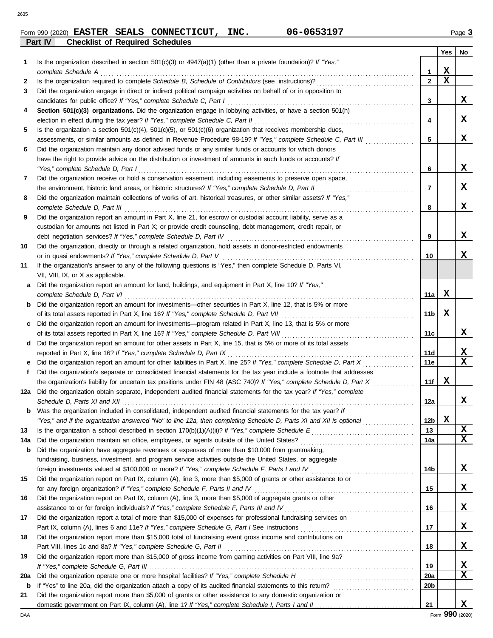|         |  | Form 990 (2020) EASTER SEALS CONNECTICUT, | INC. | 06-0653197 | $P$ age $3$ |
|---------|--|-------------------------------------------|------|------------|-------------|
| Part IV |  | <b>Checklist of Required Schedules</b>    |      |            |             |

|     |                                                                                                                                                                                                                                                   |                 | Yes | No.              |
|-----|---------------------------------------------------------------------------------------------------------------------------------------------------------------------------------------------------------------------------------------------------|-----------------|-----|------------------|
| 1   | Is the organization described in section $501(c)(3)$ or $4947(a)(1)$ (other than a private foundation)? If "Yes,"                                                                                                                                 |                 |     |                  |
|     | complete Schedule A                                                                                                                                                                                                                               | 1               | х   |                  |
| 2   |                                                                                                                                                                                                                                                   | $\mathbf{2}$    | x   |                  |
| 3   | Did the organization engage in direct or indirect political campaign activities on behalf of or in opposition to                                                                                                                                  |                 |     |                  |
|     | candidates for public office? If "Yes," complete Schedule C, Part I                                                                                                                                                                               | 3               |     | x                |
| 4   | Section 501(c)(3) organizations. Did the organization engage in lobbying activities, or have a section 501(h)                                                                                                                                     |                 |     |                  |
|     | election in effect during the tax year? If "Yes," complete Schedule C, Part II                                                                                                                                                                    | 4               |     | x                |
| 5   | Is the organization a section $501(c)(4)$ , $501(c)(5)$ , or $501(c)(6)$ organization that receives membership dues,                                                                                                                              |                 |     |                  |
|     | assessments, or similar amounts as defined in Revenue Procedure 98-19? If "Yes," complete Schedule C, Part III                                                                                                                                    | 5               |     | x                |
| 6   | Did the organization maintain any donor advised funds or any similar funds or accounts for which donors                                                                                                                                           |                 |     |                  |
|     | have the right to provide advice on the distribution or investment of amounts in such funds or accounts? If                                                                                                                                       |                 |     |                  |
|     | "Yes," complete Schedule D, Part I                                                                                                                                                                                                                | 6               |     | x                |
| 7   | Did the organization receive or hold a conservation easement, including easements to preserve open space,                                                                                                                                         |                 |     |                  |
|     | the environment, historic land areas, or historic structures? If "Yes," complete Schedule D, Part II                                                                                                                                              | 7               |     | x                |
| 8   | Did the organization maintain collections of works of art, historical treasures, or other similar assets? If "Yes,"                                                                                                                               |                 |     |                  |
|     | complete Schedule D, Part III                                                                                                                                                                                                                     | 8               |     | x                |
| 9   | Did the organization report an amount in Part X, line 21, for escrow or custodial account liability, serve as a                                                                                                                                   |                 |     |                  |
|     | custodian for amounts not listed in Part X; or provide credit counseling, debt management, credit repair, or                                                                                                                                      |                 |     |                  |
|     | debt negotiation services? If "Yes," complete Schedule D, Part IV                                                                                                                                                                                 | 9               |     | x                |
| 10  | Did the organization, directly or through a related organization, hold assets in donor-restricted endowments                                                                                                                                      |                 |     |                  |
|     | or in quasi endowments? If "Yes," complete Schedule D, Part V                                                                                                                                                                                     | 10              |     | x                |
| 11  | If the organization's answer to any of the following questions is "Yes," then complete Schedule D, Parts VI,                                                                                                                                      |                 |     |                  |
|     | VII, VIII, IX, or X as applicable.                                                                                                                                                                                                                |                 |     |                  |
| a   | Did the organization report an amount for land, buildings, and equipment in Part X, line 10? If "Yes,"                                                                                                                                            |                 |     |                  |
|     | complete Schedule D, Part VI                                                                                                                                                                                                                      | 11a             | x   |                  |
| b   | Did the organization report an amount for investments—other securities in Part X, line 12, that is 5% or more                                                                                                                                     |                 |     |                  |
|     | of its total assets reported in Part X, line 16? If "Yes," complete Schedule D, Part VII                                                                                                                                                          | 11b             | X   |                  |
|     | Did the organization report an amount for investments—program related in Part X, line 13, that is 5% or more                                                                                                                                      |                 |     |                  |
|     |                                                                                                                                                                                                                                                   | 11c             |     | x                |
| d   | Did the organization report an amount for other assets in Part X, line 15, that is 5% or more of its total assets                                                                                                                                 |                 |     |                  |
|     | reported in Part X, line 16? If "Yes," complete Schedule D, Part IX                                                                                                                                                                               | 11d             |     | X<br>$\mathbf x$ |
|     | Did the organization report an amount for other liabilities in Part X, line 25? If "Yes," complete Schedule D, Part X                                                                                                                             | 11e             |     |                  |
| f   | Did the organization's separate or consolidated financial statements for the tax year include a footnote that addresses<br>the organization's liability for uncertain tax positions under FIN 48 (ASC 740)? If "Yes," complete Schedule D, Part X | 11f             | x   |                  |
| 12a | Did the organization obtain separate, independent audited financial statements for the tax year? If "Yes," complete                                                                                                                               |                 |     |                  |
|     | Schedule D, Parts XI and XII                                                                                                                                                                                                                      | 12a             |     | x                |
| b   | Was the organization included in consolidated, independent audited financial statements for the tax year? If                                                                                                                                      |                 |     |                  |
|     | "Yes," and if the organization answered "No" to line 12a, then completing Schedule D, Parts XI and XII is optional                                                                                                                                | 12 <sub>b</sub> | X   |                  |
| 13  |                                                                                                                                                                                                                                                   | 13              |     | X                |
| 14a |                                                                                                                                                                                                                                                   | 14a             |     | X                |
| b   | Did the organization have aggregate revenues or expenses of more than \$10,000 from grantmaking,                                                                                                                                                  |                 |     |                  |
|     | fundraising, business, investment, and program service activities outside the United States, or aggregate                                                                                                                                         |                 |     |                  |
|     | foreign investments valued at \$100,000 or more? If "Yes," complete Schedule F, Parts I and IV [[[[[[[[[[[[[[[                                                                                                                                    | 14b             |     | х                |
| 15  | Did the organization report on Part IX, column (A), line 3, more than \$5,000 of grants or other assistance to or                                                                                                                                 |                 |     |                  |
|     | for any foreign organization? If "Yes," complete Schedule F, Parts II and IV                                                                                                                                                                      | 15              |     | x                |
| 16  | Did the organization report on Part IX, column (A), line 3, more than \$5,000 of aggregate grants or other                                                                                                                                        |                 |     |                  |
|     | assistance to or for foreign individuals? If "Yes," complete Schedule F, Parts III and IV                                                                                                                                                         | 16              |     | х                |
| 17  | Did the organization report a total of more than \$15,000 of expenses for professional fundraising services on                                                                                                                                    |                 |     |                  |
|     |                                                                                                                                                                                                                                                   | 17              |     | x                |
| 18  | Did the organization report more than \$15,000 total of fundraising event gross income and contributions on                                                                                                                                       |                 |     |                  |
|     | Part VIII, lines 1c and 8a? If "Yes," complete Schedule G, Part II                                                                                                                                                                                | 18              |     | х                |
| 19  | Did the organization report more than \$15,000 of gross income from gaming activities on Part VIII, line 9a?                                                                                                                                      |                 |     |                  |
|     |                                                                                                                                                                                                                                                   | 19              |     | X                |
| 20a |                                                                                                                                                                                                                                                   | 20a             |     | X                |
| b   |                                                                                                                                                                                                                                                   | 20 <sub>b</sub> |     |                  |
| 21  | Did the organization report more than \$5,000 of grants or other assistance to any domestic organization or                                                                                                                                       |                 |     |                  |
|     |                                                                                                                                                                                                                                                   | 21              |     | x                |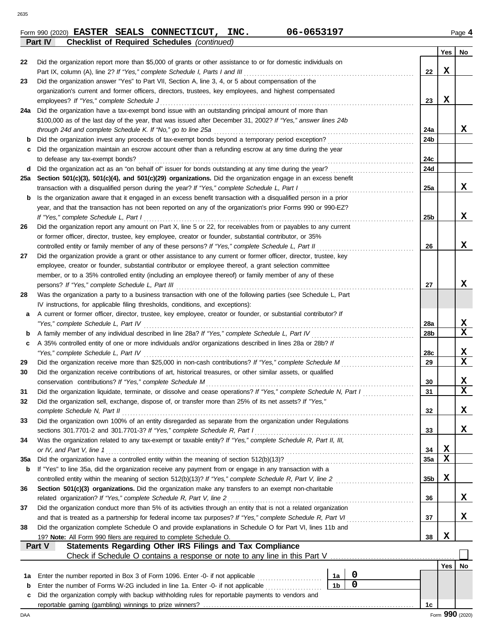**Part IV Checklist of Required Schedules** *(continued)*

**EASTER SEALS CONNECTICUT, INC. 06-0653197**

|  | Form 990 (2020) EASTER SEALS CONNECTICUT, | INC. | 06-0653197 | Page 4 |
|--|-------------------------------------------|------|------------|--------|

|     |                                                                                                                                            |    |                  |  |                 | Yes | No               |  |  |
|-----|--------------------------------------------------------------------------------------------------------------------------------------------|----|------------------|--|-----------------|-----|------------------|--|--|
| 22  | Did the organization report more than \$5,000 of grants or other assistance to or for domestic individuals on                              |    |                  |  |                 |     |                  |  |  |
|     | Part IX, column (A), line 2? If "Yes," complete Schedule I, Parts I and III                                                                |    |                  |  | 22              | X   |                  |  |  |
| 23  | Did the organization answer "Yes" to Part VII, Section A, line 3, 4, or 5 about compensation of the                                        |    |                  |  |                 |     |                  |  |  |
|     | organization's current and former officers, directors, trustees, key employees, and highest compensated                                    |    |                  |  |                 | X   |                  |  |  |
|     | employees? If "Yes," complete Schedule J                                                                                                   |    |                  |  | 23              |     |                  |  |  |
| 24a | Did the organization have a tax-exempt bond issue with an outstanding principal amount of more than                                        |    |                  |  |                 |     |                  |  |  |
|     | \$100,000 as of the last day of the year, that was issued after December 31, 2002? If "Yes," answer lines 24b                              |    |                  |  | 24a             |     | X                |  |  |
| b   | through 24d and complete Schedule K. If "No," go to line 25a                                                                               |    |                  |  | 24b             |     |                  |  |  |
| с   | Did the organization maintain an escrow account other than a refunding escrow at any time during the year                                  |    |                  |  |                 |     |                  |  |  |
|     | to defease any tax-exempt bonds?                                                                                                           |    |                  |  | 24c             |     |                  |  |  |
| d   |                                                                                                                                            |    |                  |  | 24d             |     |                  |  |  |
| 25а | Section 501(c)(3), 501(c)(4), and 501(c)(29) organizations. Did the organization engage in an excess benefit                               |    |                  |  |                 |     |                  |  |  |
|     | transaction with a disqualified person during the year? If "Yes," complete Schedule L, Part I                                              |    |                  |  | 25a             |     | x                |  |  |
| b   | Is the organization aware that it engaged in an excess benefit transaction with a disqualified person in a prior                           |    |                  |  |                 |     |                  |  |  |
|     | year, and that the transaction has not been reported on any of the organization's prior Forms 990 or 990-EZ?                               |    |                  |  |                 |     |                  |  |  |
|     | If "Yes," complete Schedule L, Part I                                                                                                      |    |                  |  | 25 <sub>b</sub> |     | x                |  |  |
| 26  | Did the organization report any amount on Part X, line 5 or 22, for receivables from or payables to any current                            |    |                  |  |                 |     |                  |  |  |
|     | or former officer, director, trustee, key employee, creator or founder, substantial contributor, or 35%                                    |    |                  |  |                 |     |                  |  |  |
|     | controlled entity or family member of any of these persons? If "Yes," complete Schedule L, Part II                                         |    |                  |  | 26              |     | x                |  |  |
| 27  | Did the organization provide a grant or other assistance to any current or former officer, director, trustee, key                          |    |                  |  |                 |     |                  |  |  |
|     | employee, creator or founder, substantial contributor or employee thereof, a grant selection committee                                     |    |                  |  |                 |     |                  |  |  |
|     | member, or to a 35% controlled entity (including an employee thereof) or family member of any of these                                     |    |                  |  |                 |     |                  |  |  |
|     | persons? If "Yes," complete Schedule L, Part III                                                                                           |    |                  |  | 27              |     | x                |  |  |
| 28  | Was the organization a party to a business transaction with one of the following parties (see Schedule L, Part                             |    |                  |  |                 |     |                  |  |  |
|     | IV instructions, for applicable filing thresholds, conditions, and exceptions):                                                            |    |                  |  |                 |     |                  |  |  |
| а   | A current or former officer, director, trustee, key employee, creator or founder, or substantial contributor? If                           |    |                  |  |                 |     |                  |  |  |
|     | "Yes," complete Schedule L, Part IV                                                                                                        |    |                  |  | 28a             |     | X                |  |  |
| b   |                                                                                                                                            |    |                  |  | 28b             |     | $\mathbf x$      |  |  |
| c   | A 35% controlled entity of one or more individuals and/or organizations described in lines 28a or 28b? If                                  |    |                  |  |                 |     |                  |  |  |
|     | "Yes," complete Schedule L, Part IV                                                                                                        |    |                  |  | 28c             |     | X                |  |  |
| 29  | Did the organization receive more than \$25,000 in non-cash contributions? If "Yes," complete Schedule M                                   |    |                  |  | 29              |     | $\mathbf x$      |  |  |
| 30  | Did the organization receive contributions of art, historical treasures, or other similar assets, or qualified                             |    |                  |  |                 |     |                  |  |  |
|     | conservation contributions? If "Yes," complete Schedule M                                                                                  |    |                  |  | 30              |     | x<br>$\mathbf x$ |  |  |
| 31  | Did the organization liquidate, terminate, or dissolve and cease operations? If "Yes," complete Schedule N, Part I                         |    |                  |  | 31              |     |                  |  |  |
| 32  | Did the organization sell, exchange, dispose of, or transfer more than 25% of its net assets? If "Yes,"                                    |    |                  |  | 32              |     | х                |  |  |
| 33  | complete Schedule N, Part II<br>Did the organization own 100% of an entity disregarded as separate from the organization under Regulations |    |                  |  |                 |     |                  |  |  |
|     | sections 301.7701-2 and 301.7701-3? If "Yes," complete Schedule R, Part I                                                                  |    |                  |  | 33              |     | X                |  |  |
| 34  | Was the organization related to any tax-exempt or taxable entity? If "Yes," complete Schedule R, Part II, III,                             |    |                  |  |                 |     |                  |  |  |
|     | or IV, and Part V, line 1                                                                                                                  |    |                  |  | 34              | X   |                  |  |  |
| 35a |                                                                                                                                            |    |                  |  | 35a             | X   |                  |  |  |
| b   | If "Yes" to line 35a, did the organization receive any payment from or engage in any transaction with a                                    |    |                  |  |                 |     |                  |  |  |
|     | controlled entity within the meaning of section 512(b)(13)? If "Yes," complete Schedule R, Part V, line 2                                  |    |                  |  | 35b             | X   |                  |  |  |
| 36  | Section 501(c)(3) organizations. Did the organization make any transfers to an exempt non-charitable                                       |    |                  |  |                 |     |                  |  |  |
|     | related organization? If "Yes," complete Schedule R, Part V, line 2                                                                        |    |                  |  | 36              |     | x                |  |  |
| 37  | Did the organization conduct more than 5% of its activities through an entity that is not a related organization                           |    |                  |  |                 |     |                  |  |  |
|     | and that is treated as a partnership for federal income tax purposes? If "Yes," complete Schedule R, Part VI                               |    |                  |  | 37              |     | x                |  |  |
| 38  | Did the organization complete Schedule O and provide explanations in Schedule O for Part VI, lines 11b and                                 |    |                  |  |                 |     |                  |  |  |
|     | 19? Note: All Form 990 filers are required to complete Schedule O.                                                                         |    |                  |  | 38              | X   |                  |  |  |
|     | Statements Regarding Other IRS Filings and Tax Compliance<br>Part V                                                                        |    |                  |  |                 |     |                  |  |  |
|     | Check if Schedule O contains a response or note to any line in this Part V                                                                 |    |                  |  |                 |     |                  |  |  |
|     |                                                                                                                                            |    |                  |  |                 | Yes | No               |  |  |
| 1a  | Enter the number reported in Box 3 of Form 1096. Enter -0- if not applicable <i>mummers</i>                                                | 1a | $\boldsymbol{0}$ |  |                 |     |                  |  |  |
| b   | $\mathbf 0$<br>1 <sub>b</sub><br>Enter the number of Forms W-2G included in line 1a. Enter -0- if not applicable                           |    |                  |  |                 |     |                  |  |  |
| c   | Did the organization comply with backup withholding rules for reportable payments to vendors and                                           |    |                  |  |                 |     |                  |  |  |
|     |                                                                                                                                            |    |                  |  | 1c              |     |                  |  |  |
| DAA |                                                                                                                                            |    |                  |  |                 |     | Form 990 (2020)  |  |  |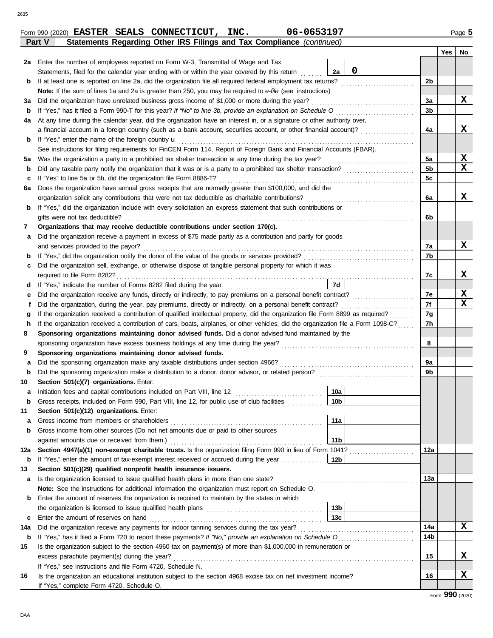DAA

|     |                                                                                                                                    |                 |   |     |  | . |                 |  |  |  |  |  |
|-----|------------------------------------------------------------------------------------------------------------------------------------|-----------------|---|-----|--|---|-----------------|--|--|--|--|--|
| 2a  | Enter the number of employees reported on Form W-3, Transmittal of Wage and Tax                                                    |                 |   |     |  |   |                 |  |  |  |  |  |
|     | Statements, filed for the calendar year ending with or within the year covered by this return                                      | 2a              | 0 |     |  |   |                 |  |  |  |  |  |
| b   | If at least one is reported on line 2a, did the organization file all required federal employment tax returns?                     |                 |   | 2b  |  |   |                 |  |  |  |  |  |
|     | <b>Note:</b> If the sum of lines 1a and 2a is greater than 250, you may be required to e-file (see instructions)                   |                 |   |     |  |   |                 |  |  |  |  |  |
| За  | Did the organization have unrelated business gross income of \$1,000 or more during the year?                                      |                 |   | За  |  |   | x               |  |  |  |  |  |
| b   | If "Yes," has it filed a Form 990-T for this year? If "No" to line 3b, provide an explanation on Schedule O                        |                 |   | 3b  |  |   |                 |  |  |  |  |  |
| 4a  | At any time during the calendar year, did the organization have an interest in, or a signature or other authority over,            |                 |   |     |  |   |                 |  |  |  |  |  |
|     | a financial account in a foreign country (such as a bank account, securities account, or other financial account)?                 |                 |   | 4a  |  |   | x               |  |  |  |  |  |
| b   | If "Yes," enter the name of the foreign country <b>u</b>                                                                           |                 |   |     |  |   |                 |  |  |  |  |  |
|     | See instructions for filing requirements for FinCEN Form 114, Report of Foreign Bank and Financial Accounts (FBAR).                |                 |   |     |  |   |                 |  |  |  |  |  |
| 5а  | Was the organization a party to a prohibited tax shelter transaction at any time during the tax year?                              |                 |   | 5a  |  |   | X               |  |  |  |  |  |
| b   | Did any taxable party notify the organization that it was or is a party to a prohibited tax shelter transaction?                   |                 |   | 5b  |  |   | $\mathbf x$     |  |  |  |  |  |
| c   | If "Yes" to line 5a or 5b, did the organization file Form 8886-T?                                                                  |                 |   | 5c  |  |   |                 |  |  |  |  |  |
| 6а  | Does the organization have annual gross receipts that are normally greater than \$100,000, and did the                             |                 |   |     |  |   |                 |  |  |  |  |  |
|     | organization solicit any contributions that were not tax deductible as charitable contributions?                                   |                 |   | 6a  |  |   | x               |  |  |  |  |  |
| b   | If "Yes," did the organization include with every solicitation an express statement that such contributions or                     |                 |   |     |  |   |                 |  |  |  |  |  |
|     | gifts were not tax deductible?                                                                                                     |                 |   |     |  |   |                 |  |  |  |  |  |
| 7   | Organizations that may receive deductible contributions under section 170(c).                                                      |                 |   |     |  |   |                 |  |  |  |  |  |
| а   | Did the organization receive a payment in excess of \$75 made partly as a contribution and partly for goods                        |                 |   |     |  |   |                 |  |  |  |  |  |
|     | and services provided to the payor?                                                                                                |                 |   | 7a  |  |   | X               |  |  |  |  |  |
| b   | If "Yes," did the organization notify the donor of the value of the goods or services provided?                                    |                 |   | 7b  |  |   |                 |  |  |  |  |  |
| с   | Did the organization sell, exchange, or otherwise dispose of tangible personal property for which it was                           |                 |   |     |  |   |                 |  |  |  |  |  |
|     | required to file Form 8282?                                                                                                        |                 |   | 7c  |  |   | x               |  |  |  |  |  |
| d   | If "Yes," indicate the number of Forms 8282 filed during the year                                                                  | 7d              |   |     |  |   |                 |  |  |  |  |  |
| е   |                                                                                                                                    |                 |   | 7е  |  |   | X<br>X          |  |  |  |  |  |
| Ť   | Did the organization, during the year, pay premiums, directly or indirectly, on a personal benefit contract?                       |                 |   |     |  |   |                 |  |  |  |  |  |
| g   | If the organization received a contribution of qualified intellectual property, did the organization file Form 8899 as required?   |                 |   |     |  |   |                 |  |  |  |  |  |
| h   | If the organization received a contribution of cars, boats, airplanes, or other vehicles, did the organization file a Form 1098-C? |                 |   |     |  |   |                 |  |  |  |  |  |
| 8   | Sponsoring organizations maintaining donor advised funds. Did a donor advised fund maintained by the                               |                 |   |     |  |   |                 |  |  |  |  |  |
|     | sponsoring organization have excess business holdings at any time during the year?                                                 |                 |   | 8   |  |   |                 |  |  |  |  |  |
| 9   | Sponsoring organizations maintaining donor advised funds.                                                                          |                 |   |     |  |   |                 |  |  |  |  |  |
| а   | Did the sponsoring organization make any taxable distributions under section 4966?                                                 |                 |   | 9a  |  |   |                 |  |  |  |  |  |
| b   | Did the sponsoring organization make a distribution to a donor, donor advisor, or related person?                                  |                 |   | 9b  |  |   |                 |  |  |  |  |  |
| 10  | Section 501(c)(7) organizations. Enter:                                                                                            |                 |   |     |  |   |                 |  |  |  |  |  |
| а   | Initiation fees and capital contributions included on Part VIII, line 12                                                           | 10a             |   |     |  |   |                 |  |  |  |  |  |
| b   | Gross receipts, included on Form 990, Part VIII, line 12, for public use of club facilities                                        | 10 <sub>b</sub> |   |     |  |   |                 |  |  |  |  |  |
| 11  | Section 501(c)(12) organizations. Enter:                                                                                           |                 |   |     |  |   |                 |  |  |  |  |  |
| а   | Gross income from members or shareholders                                                                                          | 11a             |   |     |  |   |                 |  |  |  |  |  |
| b   | Gross income from other sources (Do not net amounts due or paid to other sources                                                   |                 |   |     |  |   |                 |  |  |  |  |  |
|     | against amounts due or received from them.)                                                                                        | 11 <sub>b</sub> |   |     |  |   |                 |  |  |  |  |  |
| 12a | Section 4947(a)(1) non-exempt charitable trusts. Is the organization filing Form 990 in lieu of Form 1041?                         |                 |   | 12a |  |   |                 |  |  |  |  |  |
| b   | If "Yes," enter the amount of tax-exempt interest received or accrued during the year                                              | 12b             |   |     |  |   |                 |  |  |  |  |  |
| 13  | Section 501(c)(29) qualified nonprofit health insurance issuers.                                                                   |                 |   |     |  |   |                 |  |  |  |  |  |
| а   | Is the organization licensed to issue qualified health plans in more than one state?                                               |                 |   | 13a |  |   |                 |  |  |  |  |  |
|     | Note: See the instructions for additional information the organization must report on Schedule O.                                  |                 |   |     |  |   |                 |  |  |  |  |  |
| b   | Enter the amount of reserves the organization is required to maintain by the states in which                                       |                 |   |     |  |   |                 |  |  |  |  |  |
|     |                                                                                                                                    | 13 <sub>b</sub> |   |     |  |   |                 |  |  |  |  |  |
| c   | Enter the amount of reserves on hand                                                                                               | 13 <sub>c</sub> |   |     |  |   |                 |  |  |  |  |  |
| 14a | Did the organization receive any payments for indoor tanning services during the tax year?                                         |                 |   | 14a |  |   | X               |  |  |  |  |  |
| b   | If "Yes," has it filed a Form 720 to report these payments? If "No," provide an explanation on Schedule O                          |                 |   | 14b |  |   |                 |  |  |  |  |  |
| 15  | Is the organization subject to the section 4960 tax on payment(s) of more than \$1,000,000 in remuneration or                      |                 |   |     |  |   |                 |  |  |  |  |  |
|     | excess parachute payment(s) during the year?                                                                                       |                 |   | 15  |  |   | x               |  |  |  |  |  |
|     | If "Yes," see instructions and file Form 4720, Schedule N.                                                                         |                 |   |     |  |   |                 |  |  |  |  |  |
| 16  | Is the organization an educational institution subject to the section 4968 excise tax on net investment income?                    |                 |   | 16  |  |   | x               |  |  |  |  |  |
|     | If "Yes," complete Form 4720, Schedule O.                                                                                          |                 |   |     |  |   |                 |  |  |  |  |  |
|     |                                                                                                                                    |                 |   |     |  |   | Form 990 (2020) |  |  |  |  |  |
|     |                                                                                                                                    |                 |   |     |  |   |                 |  |  |  |  |  |

**Part V Statements Regarding Other IRS Filings and Tax Compliance** *(continued)*

Form 990 (2020) Page **5 EASTER SEALS CONNECTICUT, INC. 06-0653197**

**Yes No**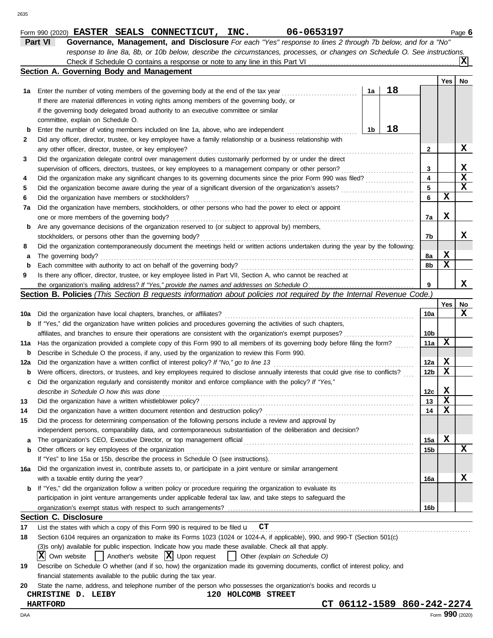| Yes<br>18<br>1a<br>Enter the number of voting members of the governing body at the end of the tax year<br>1а<br>If there are material differences in voting rights among members of the governing body, or<br>if the governing body delegated broad authority to an executive committee or similar<br>committee, explain on Schedule O.<br>18<br>1b<br>Enter the number of voting members included on line 1a, above, who are independent<br>b<br>Did any officer, director, trustee, or key employee have a family relationship or a business relationship with<br>2<br>any other officer, director, trustee, or key employee?<br>2<br>Did the organization delegate control over management duties customarily performed by or under the direct<br>3<br>3<br>supervision of officers, directors, trustees, or key employees to a management company or other person?<br>.<br>4<br>4<br>x<br>5<br>5<br>X<br>6<br>Did the organization have members or stockholders?<br>6<br>Did the organization have members, stockholders, or other persons who had the power to elect or appoint<br>7a<br>X<br>one or more members of the governing body?<br>7a<br>Are any governance decisions of the organization reserved to (or subject to approval by) members,<br>b<br>stockholders, or persons other than the governing body?<br>7b<br>Did the organization contemporaneously document the meetings held or written actions undertaken during the year by the following:<br>8<br>X<br>The governing body?<br>8a<br>а<br>X<br>Each committee with authority to act on behalf of the governing body?<br>8b<br>b<br>Is there any officer, director, trustee, or key employee listed in Part VII, Section A, who cannot be reached at<br>9<br>x<br>9<br>Section B. Policies (This Section B requests information about policies not required by the Internal Revenue Code.)<br>No<br>Yes<br>x<br>Did the organization have local chapters, branches, or affiliates?<br>10a<br>10a<br>If "Yes," did the organization have written policies and procedures governing the activities of such chapters,<br>b<br>10b<br>X<br>Has the organization provided a complete copy of this Form 990 to all members of its governing body before filing the form?<br>11a<br>Describe in Schedule O the process, if any, used by the organization to review this Form 990.<br>b<br>X<br>Did the organization have a written conflict of interest policy? If "No," go to line 13<br>12a<br>X<br>Were officers, directors, or trustees, and key employees required to disclose annually interests that could give rise to conflicts?<br>12b<br>b<br>Did the organization regularly and consistently monitor and enforce compliance with the policy? If "Yes,"<br>c<br>X<br>describe in Schedule O how this was done<br>12c<br>$\mathbf x$<br>13<br>Did the organization have a written whistleblower policy?<br>$\mathbf x$<br>14<br>Did the organization have a written document retention and destruction policy?<br>Did the process for determining compensation of the following persons include a review and approval by<br>independent persons, comparability data, and contemporaneous substantiation of the deliberation and decision?<br>X<br>The organization's CEO, Executive Director, or top management official<br>15a<br>a<br>Other officers or key employees of the organization<br>15b<br>b<br>If "Yes" to line 15a or 15b, describe the process in Schedule O (see instructions).<br>Did the organization invest in, contribute assets to, or participate in a joint venture or similar arrangement<br>with a taxable entity during the year?<br>16a<br>If "Yes," did the organization follow a written policy or procedure requiring the organization to evaluate its<br>b<br>participation in joint venture arrangements under applicable federal tax law, and take steps to safeguard the<br>16b<br><b>Section C. Disclosure</b><br>List the states with which a copy of this Form 990 is required to be filed $\mathbf{u}$ $\mathbf{CT}$<br>17<br>Section 6104 requires an organization to make its Forms 1023 (1024 or 1024-A, if applicable), 990, and 990-T (Section 501(c)<br>18<br>(3)s only) available for public inspection. Indicate how you made these available. Check all that apply.<br>Another's website $ \mathbf{X} $ Upon request<br>IXI<br>Own website<br>Other (explain on Schedule O)<br>Describe on Schedule O whether (and if so, how) the organization made its governing documents, conflict of interest policy, and<br>financial statements available to the public during the tax year.<br>State the name, address, and telephone number of the person who possesses the organization's books and records u<br>120 HOLCOMB STREET<br>CHRISTINE D. LEIBY<br>CT 06112-1589 860-242-2274<br><b>HARTFORD</b><br>Form 990 (2020) |     | <b>Section A. Governing Body and Management</b> |  |  |  |  |  |    |  |  |  |  |  |  |
|--------------------------------------------------------------------------------------------------------------------------------------------------------------------------------------------------------------------------------------------------------------------------------------------------------------------------------------------------------------------------------------------------------------------------------------------------------------------------------------------------------------------------------------------------------------------------------------------------------------------------------------------------------------------------------------------------------------------------------------------------------------------------------------------------------------------------------------------------------------------------------------------------------------------------------------------------------------------------------------------------------------------------------------------------------------------------------------------------------------------------------------------------------------------------------------------------------------------------------------------------------------------------------------------------------------------------------------------------------------------------------------------------------------------------------------------------------------------------------------------------------------------------------------------------------------------------------------------------------------------------------------------------------------------------------------------------------------------------------------------------------------------------------------------------------------------------------------------------------------------------------------------------------------------------------------------------------------------------------------------------------------------------------------------------------------------------------------------------------------------------------------------------------------------------------------------------------------------------------------------------------------------------------------------------------------------------------------------------------------------------------------------------------------------------------------------------------------------------------------------------------------------------------------------------------------------------------------------------------------------------------------------------------------------------------------------------------------------------------------------------------------------------------------------------------------------------------------------------------------------------------------------------------------------------------------------------------------------------------------------------------------------------------------------------------------------------------------------------------------------------------------------------------------------------------------------------------------------------------------------------------------------------------------------------------------------------------------------------------------------------------------------------------------------------------------------------------------------------------------------------------------------------------------------------------------------------------------------------------------------------------------------------------------------------------------------------------------------------------------------------------------------------------------------------------------------------------------------------------------------------------------------------------------------------------------------------------------------------------------------------------------------------------------------------------------------------------------------------------------------------------------------------------------------------------------------------------------------------------------------------------------------------------------------------------------------------------------------------------------------------------------------------------------------------------------------------------------------------------------------------------------------------------------------------------------------------------------------------------------------------------------------------------------------------------------------------------------------------------------------------------------------------------------------------------------------------------------------------|-----|-------------------------------------------------|--|--|--|--|--|----|--|--|--|--|--|--|
|                                                                                                                                                                                                                                                                                                                                                                                                                                                                                                                                                                                                                                                                                                                                                                                                                                                                                                                                                                                                                                                                                                                                                                                                                                                                                                                                                                                                                                                                                                                                                                                                                                                                                                                                                                                                                                                                                                                                                                                                                                                                                                                                                                                                                                                                                                                                                                                                                                                                                                                                                                                                                                                                                                                                                                                                                                                                                                                                                                                                                                                                                                                                                                                                                                                                                                                                                                                                                                                                                                                                                                                                                                                                                                                                                                                                                                                                                                                                                                                                                                                                                                                                                                                                                                                                                                                                                                                                                                                                                                                                                                                                                                                                                                                                                                                                                                                  |     |                                                 |  |  |  |  |  | No |  |  |  |  |  |  |
|                                                                                                                                                                                                                                                                                                                                                                                                                                                                                                                                                                                                                                                                                                                                                                                                                                                                                                                                                                                                                                                                                                                                                                                                                                                                                                                                                                                                                                                                                                                                                                                                                                                                                                                                                                                                                                                                                                                                                                                                                                                                                                                                                                                                                                                                                                                                                                                                                                                                                                                                                                                                                                                                                                                                                                                                                                                                                                                                                                                                                                                                                                                                                                                                                                                                                                                                                                                                                                                                                                                                                                                                                                                                                                                                                                                                                                                                                                                                                                                                                                                                                                                                                                                                                                                                                                                                                                                                                                                                                                                                                                                                                                                                                                                                                                                                                                                  |     |                                                 |  |  |  |  |  |    |  |  |  |  |  |  |
|                                                                                                                                                                                                                                                                                                                                                                                                                                                                                                                                                                                                                                                                                                                                                                                                                                                                                                                                                                                                                                                                                                                                                                                                                                                                                                                                                                                                                                                                                                                                                                                                                                                                                                                                                                                                                                                                                                                                                                                                                                                                                                                                                                                                                                                                                                                                                                                                                                                                                                                                                                                                                                                                                                                                                                                                                                                                                                                                                                                                                                                                                                                                                                                                                                                                                                                                                                                                                                                                                                                                                                                                                                                                                                                                                                                                                                                                                                                                                                                                                                                                                                                                                                                                                                                                                                                                                                                                                                                                                                                                                                                                                                                                                                                                                                                                                                                  |     |                                                 |  |  |  |  |  |    |  |  |  |  |  |  |
|                                                                                                                                                                                                                                                                                                                                                                                                                                                                                                                                                                                                                                                                                                                                                                                                                                                                                                                                                                                                                                                                                                                                                                                                                                                                                                                                                                                                                                                                                                                                                                                                                                                                                                                                                                                                                                                                                                                                                                                                                                                                                                                                                                                                                                                                                                                                                                                                                                                                                                                                                                                                                                                                                                                                                                                                                                                                                                                                                                                                                                                                                                                                                                                                                                                                                                                                                                                                                                                                                                                                                                                                                                                                                                                                                                                                                                                                                                                                                                                                                                                                                                                                                                                                                                                                                                                                                                                                                                                                                                                                                                                                                                                                                                                                                                                                                                                  |     |                                                 |  |  |  |  |  |    |  |  |  |  |  |  |
|                                                                                                                                                                                                                                                                                                                                                                                                                                                                                                                                                                                                                                                                                                                                                                                                                                                                                                                                                                                                                                                                                                                                                                                                                                                                                                                                                                                                                                                                                                                                                                                                                                                                                                                                                                                                                                                                                                                                                                                                                                                                                                                                                                                                                                                                                                                                                                                                                                                                                                                                                                                                                                                                                                                                                                                                                                                                                                                                                                                                                                                                                                                                                                                                                                                                                                                                                                                                                                                                                                                                                                                                                                                                                                                                                                                                                                                                                                                                                                                                                                                                                                                                                                                                                                                                                                                                                                                                                                                                                                                                                                                                                                                                                                                                                                                                                                                  |     |                                                 |  |  |  |  |  |    |  |  |  |  |  |  |
|                                                                                                                                                                                                                                                                                                                                                                                                                                                                                                                                                                                                                                                                                                                                                                                                                                                                                                                                                                                                                                                                                                                                                                                                                                                                                                                                                                                                                                                                                                                                                                                                                                                                                                                                                                                                                                                                                                                                                                                                                                                                                                                                                                                                                                                                                                                                                                                                                                                                                                                                                                                                                                                                                                                                                                                                                                                                                                                                                                                                                                                                                                                                                                                                                                                                                                                                                                                                                                                                                                                                                                                                                                                                                                                                                                                                                                                                                                                                                                                                                                                                                                                                                                                                                                                                                                                                                                                                                                                                                                                                                                                                                                                                                                                                                                                                                                                  |     |                                                 |  |  |  |  |  |    |  |  |  |  |  |  |
|                                                                                                                                                                                                                                                                                                                                                                                                                                                                                                                                                                                                                                                                                                                                                                                                                                                                                                                                                                                                                                                                                                                                                                                                                                                                                                                                                                                                                                                                                                                                                                                                                                                                                                                                                                                                                                                                                                                                                                                                                                                                                                                                                                                                                                                                                                                                                                                                                                                                                                                                                                                                                                                                                                                                                                                                                                                                                                                                                                                                                                                                                                                                                                                                                                                                                                                                                                                                                                                                                                                                                                                                                                                                                                                                                                                                                                                                                                                                                                                                                                                                                                                                                                                                                                                                                                                                                                                                                                                                                                                                                                                                                                                                                                                                                                                                                                                  |     |                                                 |  |  |  |  |  |    |  |  |  |  |  |  |
|                                                                                                                                                                                                                                                                                                                                                                                                                                                                                                                                                                                                                                                                                                                                                                                                                                                                                                                                                                                                                                                                                                                                                                                                                                                                                                                                                                                                                                                                                                                                                                                                                                                                                                                                                                                                                                                                                                                                                                                                                                                                                                                                                                                                                                                                                                                                                                                                                                                                                                                                                                                                                                                                                                                                                                                                                                                                                                                                                                                                                                                                                                                                                                                                                                                                                                                                                                                                                                                                                                                                                                                                                                                                                                                                                                                                                                                                                                                                                                                                                                                                                                                                                                                                                                                                                                                                                                                                                                                                                                                                                                                                                                                                                                                                                                                                                                                  |     |                                                 |  |  |  |  |  | x  |  |  |  |  |  |  |
|                                                                                                                                                                                                                                                                                                                                                                                                                                                                                                                                                                                                                                                                                                                                                                                                                                                                                                                                                                                                                                                                                                                                                                                                                                                                                                                                                                                                                                                                                                                                                                                                                                                                                                                                                                                                                                                                                                                                                                                                                                                                                                                                                                                                                                                                                                                                                                                                                                                                                                                                                                                                                                                                                                                                                                                                                                                                                                                                                                                                                                                                                                                                                                                                                                                                                                                                                                                                                                                                                                                                                                                                                                                                                                                                                                                                                                                                                                                                                                                                                                                                                                                                                                                                                                                                                                                                                                                                                                                                                                                                                                                                                                                                                                                                                                                                                                                  |     |                                                 |  |  |  |  |  |    |  |  |  |  |  |  |
|                                                                                                                                                                                                                                                                                                                                                                                                                                                                                                                                                                                                                                                                                                                                                                                                                                                                                                                                                                                                                                                                                                                                                                                                                                                                                                                                                                                                                                                                                                                                                                                                                                                                                                                                                                                                                                                                                                                                                                                                                                                                                                                                                                                                                                                                                                                                                                                                                                                                                                                                                                                                                                                                                                                                                                                                                                                                                                                                                                                                                                                                                                                                                                                                                                                                                                                                                                                                                                                                                                                                                                                                                                                                                                                                                                                                                                                                                                                                                                                                                                                                                                                                                                                                                                                                                                                                                                                                                                                                                                                                                                                                                                                                                                                                                                                                                                                  |     |                                                 |  |  |  |  |  | x  |  |  |  |  |  |  |
|                                                                                                                                                                                                                                                                                                                                                                                                                                                                                                                                                                                                                                                                                                                                                                                                                                                                                                                                                                                                                                                                                                                                                                                                                                                                                                                                                                                                                                                                                                                                                                                                                                                                                                                                                                                                                                                                                                                                                                                                                                                                                                                                                                                                                                                                                                                                                                                                                                                                                                                                                                                                                                                                                                                                                                                                                                                                                                                                                                                                                                                                                                                                                                                                                                                                                                                                                                                                                                                                                                                                                                                                                                                                                                                                                                                                                                                                                                                                                                                                                                                                                                                                                                                                                                                                                                                                                                                                                                                                                                                                                                                                                                                                                                                                                                                                                                                  |     |                                                 |  |  |  |  |  | X  |  |  |  |  |  |  |
|                                                                                                                                                                                                                                                                                                                                                                                                                                                                                                                                                                                                                                                                                                                                                                                                                                                                                                                                                                                                                                                                                                                                                                                                                                                                                                                                                                                                                                                                                                                                                                                                                                                                                                                                                                                                                                                                                                                                                                                                                                                                                                                                                                                                                                                                                                                                                                                                                                                                                                                                                                                                                                                                                                                                                                                                                                                                                                                                                                                                                                                                                                                                                                                                                                                                                                                                                                                                                                                                                                                                                                                                                                                                                                                                                                                                                                                                                                                                                                                                                                                                                                                                                                                                                                                                                                                                                                                                                                                                                                                                                                                                                                                                                                                                                                                                                                                  |     |                                                 |  |  |  |  |  |    |  |  |  |  |  |  |
|                                                                                                                                                                                                                                                                                                                                                                                                                                                                                                                                                                                                                                                                                                                                                                                                                                                                                                                                                                                                                                                                                                                                                                                                                                                                                                                                                                                                                                                                                                                                                                                                                                                                                                                                                                                                                                                                                                                                                                                                                                                                                                                                                                                                                                                                                                                                                                                                                                                                                                                                                                                                                                                                                                                                                                                                                                                                                                                                                                                                                                                                                                                                                                                                                                                                                                                                                                                                                                                                                                                                                                                                                                                                                                                                                                                                                                                                                                                                                                                                                                                                                                                                                                                                                                                                                                                                                                                                                                                                                                                                                                                                                                                                                                                                                                                                                                                  |     |                                                 |  |  |  |  |  |    |  |  |  |  |  |  |
|                                                                                                                                                                                                                                                                                                                                                                                                                                                                                                                                                                                                                                                                                                                                                                                                                                                                                                                                                                                                                                                                                                                                                                                                                                                                                                                                                                                                                                                                                                                                                                                                                                                                                                                                                                                                                                                                                                                                                                                                                                                                                                                                                                                                                                                                                                                                                                                                                                                                                                                                                                                                                                                                                                                                                                                                                                                                                                                                                                                                                                                                                                                                                                                                                                                                                                                                                                                                                                                                                                                                                                                                                                                                                                                                                                                                                                                                                                                                                                                                                                                                                                                                                                                                                                                                                                                                                                                                                                                                                                                                                                                                                                                                                                                                                                                                                                                  |     |                                                 |  |  |  |  |  |    |  |  |  |  |  |  |
|                                                                                                                                                                                                                                                                                                                                                                                                                                                                                                                                                                                                                                                                                                                                                                                                                                                                                                                                                                                                                                                                                                                                                                                                                                                                                                                                                                                                                                                                                                                                                                                                                                                                                                                                                                                                                                                                                                                                                                                                                                                                                                                                                                                                                                                                                                                                                                                                                                                                                                                                                                                                                                                                                                                                                                                                                                                                                                                                                                                                                                                                                                                                                                                                                                                                                                                                                                                                                                                                                                                                                                                                                                                                                                                                                                                                                                                                                                                                                                                                                                                                                                                                                                                                                                                                                                                                                                                                                                                                                                                                                                                                                                                                                                                                                                                                                                                  |     |                                                 |  |  |  |  |  |    |  |  |  |  |  |  |
|                                                                                                                                                                                                                                                                                                                                                                                                                                                                                                                                                                                                                                                                                                                                                                                                                                                                                                                                                                                                                                                                                                                                                                                                                                                                                                                                                                                                                                                                                                                                                                                                                                                                                                                                                                                                                                                                                                                                                                                                                                                                                                                                                                                                                                                                                                                                                                                                                                                                                                                                                                                                                                                                                                                                                                                                                                                                                                                                                                                                                                                                                                                                                                                                                                                                                                                                                                                                                                                                                                                                                                                                                                                                                                                                                                                                                                                                                                                                                                                                                                                                                                                                                                                                                                                                                                                                                                                                                                                                                                                                                                                                                                                                                                                                                                                                                                                  |     |                                                 |  |  |  |  |  |    |  |  |  |  |  |  |
|                                                                                                                                                                                                                                                                                                                                                                                                                                                                                                                                                                                                                                                                                                                                                                                                                                                                                                                                                                                                                                                                                                                                                                                                                                                                                                                                                                                                                                                                                                                                                                                                                                                                                                                                                                                                                                                                                                                                                                                                                                                                                                                                                                                                                                                                                                                                                                                                                                                                                                                                                                                                                                                                                                                                                                                                                                                                                                                                                                                                                                                                                                                                                                                                                                                                                                                                                                                                                                                                                                                                                                                                                                                                                                                                                                                                                                                                                                                                                                                                                                                                                                                                                                                                                                                                                                                                                                                                                                                                                                                                                                                                                                                                                                                                                                                                                                                  |     |                                                 |  |  |  |  |  | x  |  |  |  |  |  |  |
|                                                                                                                                                                                                                                                                                                                                                                                                                                                                                                                                                                                                                                                                                                                                                                                                                                                                                                                                                                                                                                                                                                                                                                                                                                                                                                                                                                                                                                                                                                                                                                                                                                                                                                                                                                                                                                                                                                                                                                                                                                                                                                                                                                                                                                                                                                                                                                                                                                                                                                                                                                                                                                                                                                                                                                                                                                                                                                                                                                                                                                                                                                                                                                                                                                                                                                                                                                                                                                                                                                                                                                                                                                                                                                                                                                                                                                                                                                                                                                                                                                                                                                                                                                                                                                                                                                                                                                                                                                                                                                                                                                                                                                                                                                                                                                                                                                                  |     |                                                 |  |  |  |  |  |    |  |  |  |  |  |  |
|                                                                                                                                                                                                                                                                                                                                                                                                                                                                                                                                                                                                                                                                                                                                                                                                                                                                                                                                                                                                                                                                                                                                                                                                                                                                                                                                                                                                                                                                                                                                                                                                                                                                                                                                                                                                                                                                                                                                                                                                                                                                                                                                                                                                                                                                                                                                                                                                                                                                                                                                                                                                                                                                                                                                                                                                                                                                                                                                                                                                                                                                                                                                                                                                                                                                                                                                                                                                                                                                                                                                                                                                                                                                                                                                                                                                                                                                                                                                                                                                                                                                                                                                                                                                                                                                                                                                                                                                                                                                                                                                                                                                                                                                                                                                                                                                                                                  |     |                                                 |  |  |  |  |  |    |  |  |  |  |  |  |
|                                                                                                                                                                                                                                                                                                                                                                                                                                                                                                                                                                                                                                                                                                                                                                                                                                                                                                                                                                                                                                                                                                                                                                                                                                                                                                                                                                                                                                                                                                                                                                                                                                                                                                                                                                                                                                                                                                                                                                                                                                                                                                                                                                                                                                                                                                                                                                                                                                                                                                                                                                                                                                                                                                                                                                                                                                                                                                                                                                                                                                                                                                                                                                                                                                                                                                                                                                                                                                                                                                                                                                                                                                                                                                                                                                                                                                                                                                                                                                                                                                                                                                                                                                                                                                                                                                                                                                                                                                                                                                                                                                                                                                                                                                                                                                                                                                                  |     |                                                 |  |  |  |  |  |    |  |  |  |  |  |  |
|                                                                                                                                                                                                                                                                                                                                                                                                                                                                                                                                                                                                                                                                                                                                                                                                                                                                                                                                                                                                                                                                                                                                                                                                                                                                                                                                                                                                                                                                                                                                                                                                                                                                                                                                                                                                                                                                                                                                                                                                                                                                                                                                                                                                                                                                                                                                                                                                                                                                                                                                                                                                                                                                                                                                                                                                                                                                                                                                                                                                                                                                                                                                                                                                                                                                                                                                                                                                                                                                                                                                                                                                                                                                                                                                                                                                                                                                                                                                                                                                                                                                                                                                                                                                                                                                                                                                                                                                                                                                                                                                                                                                                                                                                                                                                                                                                                                  |     |                                                 |  |  |  |  |  |    |  |  |  |  |  |  |
|                                                                                                                                                                                                                                                                                                                                                                                                                                                                                                                                                                                                                                                                                                                                                                                                                                                                                                                                                                                                                                                                                                                                                                                                                                                                                                                                                                                                                                                                                                                                                                                                                                                                                                                                                                                                                                                                                                                                                                                                                                                                                                                                                                                                                                                                                                                                                                                                                                                                                                                                                                                                                                                                                                                                                                                                                                                                                                                                                                                                                                                                                                                                                                                                                                                                                                                                                                                                                                                                                                                                                                                                                                                                                                                                                                                                                                                                                                                                                                                                                                                                                                                                                                                                                                                                                                                                                                                                                                                                                                                                                                                                                                                                                                                                                                                                                                                  |     |                                                 |  |  |  |  |  |    |  |  |  |  |  |  |
|                                                                                                                                                                                                                                                                                                                                                                                                                                                                                                                                                                                                                                                                                                                                                                                                                                                                                                                                                                                                                                                                                                                                                                                                                                                                                                                                                                                                                                                                                                                                                                                                                                                                                                                                                                                                                                                                                                                                                                                                                                                                                                                                                                                                                                                                                                                                                                                                                                                                                                                                                                                                                                                                                                                                                                                                                                                                                                                                                                                                                                                                                                                                                                                                                                                                                                                                                                                                                                                                                                                                                                                                                                                                                                                                                                                                                                                                                                                                                                                                                                                                                                                                                                                                                                                                                                                                                                                                                                                                                                                                                                                                                                                                                                                                                                                                                                                  |     |                                                 |  |  |  |  |  |    |  |  |  |  |  |  |
|                                                                                                                                                                                                                                                                                                                                                                                                                                                                                                                                                                                                                                                                                                                                                                                                                                                                                                                                                                                                                                                                                                                                                                                                                                                                                                                                                                                                                                                                                                                                                                                                                                                                                                                                                                                                                                                                                                                                                                                                                                                                                                                                                                                                                                                                                                                                                                                                                                                                                                                                                                                                                                                                                                                                                                                                                                                                                                                                                                                                                                                                                                                                                                                                                                                                                                                                                                                                                                                                                                                                                                                                                                                                                                                                                                                                                                                                                                                                                                                                                                                                                                                                                                                                                                                                                                                                                                                                                                                                                                                                                                                                                                                                                                                                                                                                                                                  |     |                                                 |  |  |  |  |  |    |  |  |  |  |  |  |
|                                                                                                                                                                                                                                                                                                                                                                                                                                                                                                                                                                                                                                                                                                                                                                                                                                                                                                                                                                                                                                                                                                                                                                                                                                                                                                                                                                                                                                                                                                                                                                                                                                                                                                                                                                                                                                                                                                                                                                                                                                                                                                                                                                                                                                                                                                                                                                                                                                                                                                                                                                                                                                                                                                                                                                                                                                                                                                                                                                                                                                                                                                                                                                                                                                                                                                                                                                                                                                                                                                                                                                                                                                                                                                                                                                                                                                                                                                                                                                                                                                                                                                                                                                                                                                                                                                                                                                                                                                                                                                                                                                                                                                                                                                                                                                                                                                                  |     |                                                 |  |  |  |  |  |    |  |  |  |  |  |  |
|                                                                                                                                                                                                                                                                                                                                                                                                                                                                                                                                                                                                                                                                                                                                                                                                                                                                                                                                                                                                                                                                                                                                                                                                                                                                                                                                                                                                                                                                                                                                                                                                                                                                                                                                                                                                                                                                                                                                                                                                                                                                                                                                                                                                                                                                                                                                                                                                                                                                                                                                                                                                                                                                                                                                                                                                                                                                                                                                                                                                                                                                                                                                                                                                                                                                                                                                                                                                                                                                                                                                                                                                                                                                                                                                                                                                                                                                                                                                                                                                                                                                                                                                                                                                                                                                                                                                                                                                                                                                                                                                                                                                                                                                                                                                                                                                                                                  |     |                                                 |  |  |  |  |  |    |  |  |  |  |  |  |
|                                                                                                                                                                                                                                                                                                                                                                                                                                                                                                                                                                                                                                                                                                                                                                                                                                                                                                                                                                                                                                                                                                                                                                                                                                                                                                                                                                                                                                                                                                                                                                                                                                                                                                                                                                                                                                                                                                                                                                                                                                                                                                                                                                                                                                                                                                                                                                                                                                                                                                                                                                                                                                                                                                                                                                                                                                                                                                                                                                                                                                                                                                                                                                                                                                                                                                                                                                                                                                                                                                                                                                                                                                                                                                                                                                                                                                                                                                                                                                                                                                                                                                                                                                                                                                                                                                                                                                                                                                                                                                                                                                                                                                                                                                                                                                                                                                                  |     |                                                 |  |  |  |  |  |    |  |  |  |  |  |  |
|                                                                                                                                                                                                                                                                                                                                                                                                                                                                                                                                                                                                                                                                                                                                                                                                                                                                                                                                                                                                                                                                                                                                                                                                                                                                                                                                                                                                                                                                                                                                                                                                                                                                                                                                                                                                                                                                                                                                                                                                                                                                                                                                                                                                                                                                                                                                                                                                                                                                                                                                                                                                                                                                                                                                                                                                                                                                                                                                                                                                                                                                                                                                                                                                                                                                                                                                                                                                                                                                                                                                                                                                                                                                                                                                                                                                                                                                                                                                                                                                                                                                                                                                                                                                                                                                                                                                                                                                                                                                                                                                                                                                                                                                                                                                                                                                                                                  |     |                                                 |  |  |  |  |  |    |  |  |  |  |  |  |
|                                                                                                                                                                                                                                                                                                                                                                                                                                                                                                                                                                                                                                                                                                                                                                                                                                                                                                                                                                                                                                                                                                                                                                                                                                                                                                                                                                                                                                                                                                                                                                                                                                                                                                                                                                                                                                                                                                                                                                                                                                                                                                                                                                                                                                                                                                                                                                                                                                                                                                                                                                                                                                                                                                                                                                                                                                                                                                                                                                                                                                                                                                                                                                                                                                                                                                                                                                                                                                                                                                                                                                                                                                                                                                                                                                                                                                                                                                                                                                                                                                                                                                                                                                                                                                                                                                                                                                                                                                                                                                                                                                                                                                                                                                                                                                                                                                                  | 11a |                                                 |  |  |  |  |  |    |  |  |  |  |  |  |
|                                                                                                                                                                                                                                                                                                                                                                                                                                                                                                                                                                                                                                                                                                                                                                                                                                                                                                                                                                                                                                                                                                                                                                                                                                                                                                                                                                                                                                                                                                                                                                                                                                                                                                                                                                                                                                                                                                                                                                                                                                                                                                                                                                                                                                                                                                                                                                                                                                                                                                                                                                                                                                                                                                                                                                                                                                                                                                                                                                                                                                                                                                                                                                                                                                                                                                                                                                                                                                                                                                                                                                                                                                                                                                                                                                                                                                                                                                                                                                                                                                                                                                                                                                                                                                                                                                                                                                                                                                                                                                                                                                                                                                                                                                                                                                                                                                                  |     |                                                 |  |  |  |  |  |    |  |  |  |  |  |  |
|                                                                                                                                                                                                                                                                                                                                                                                                                                                                                                                                                                                                                                                                                                                                                                                                                                                                                                                                                                                                                                                                                                                                                                                                                                                                                                                                                                                                                                                                                                                                                                                                                                                                                                                                                                                                                                                                                                                                                                                                                                                                                                                                                                                                                                                                                                                                                                                                                                                                                                                                                                                                                                                                                                                                                                                                                                                                                                                                                                                                                                                                                                                                                                                                                                                                                                                                                                                                                                                                                                                                                                                                                                                                                                                                                                                                                                                                                                                                                                                                                                                                                                                                                                                                                                                                                                                                                                                                                                                                                                                                                                                                                                                                                                                                                                                                                                                  | 12a |                                                 |  |  |  |  |  |    |  |  |  |  |  |  |
|                                                                                                                                                                                                                                                                                                                                                                                                                                                                                                                                                                                                                                                                                                                                                                                                                                                                                                                                                                                                                                                                                                                                                                                                                                                                                                                                                                                                                                                                                                                                                                                                                                                                                                                                                                                                                                                                                                                                                                                                                                                                                                                                                                                                                                                                                                                                                                                                                                                                                                                                                                                                                                                                                                                                                                                                                                                                                                                                                                                                                                                                                                                                                                                                                                                                                                                                                                                                                                                                                                                                                                                                                                                                                                                                                                                                                                                                                                                                                                                                                                                                                                                                                                                                                                                                                                                                                                                                                                                                                                                                                                                                                                                                                                                                                                                                                                                  |     |                                                 |  |  |  |  |  |    |  |  |  |  |  |  |
|                                                                                                                                                                                                                                                                                                                                                                                                                                                                                                                                                                                                                                                                                                                                                                                                                                                                                                                                                                                                                                                                                                                                                                                                                                                                                                                                                                                                                                                                                                                                                                                                                                                                                                                                                                                                                                                                                                                                                                                                                                                                                                                                                                                                                                                                                                                                                                                                                                                                                                                                                                                                                                                                                                                                                                                                                                                                                                                                                                                                                                                                                                                                                                                                                                                                                                                                                                                                                                                                                                                                                                                                                                                                                                                                                                                                                                                                                                                                                                                                                                                                                                                                                                                                                                                                                                                                                                                                                                                                                                                                                                                                                                                                                                                                                                                                                                                  |     |                                                 |  |  |  |  |  |    |  |  |  |  |  |  |
|                                                                                                                                                                                                                                                                                                                                                                                                                                                                                                                                                                                                                                                                                                                                                                                                                                                                                                                                                                                                                                                                                                                                                                                                                                                                                                                                                                                                                                                                                                                                                                                                                                                                                                                                                                                                                                                                                                                                                                                                                                                                                                                                                                                                                                                                                                                                                                                                                                                                                                                                                                                                                                                                                                                                                                                                                                                                                                                                                                                                                                                                                                                                                                                                                                                                                                                                                                                                                                                                                                                                                                                                                                                                                                                                                                                                                                                                                                                                                                                                                                                                                                                                                                                                                                                                                                                                                                                                                                                                                                                                                                                                                                                                                                                                                                                                                                                  |     |                                                 |  |  |  |  |  |    |  |  |  |  |  |  |
|                                                                                                                                                                                                                                                                                                                                                                                                                                                                                                                                                                                                                                                                                                                                                                                                                                                                                                                                                                                                                                                                                                                                                                                                                                                                                                                                                                                                                                                                                                                                                                                                                                                                                                                                                                                                                                                                                                                                                                                                                                                                                                                                                                                                                                                                                                                                                                                                                                                                                                                                                                                                                                                                                                                                                                                                                                                                                                                                                                                                                                                                                                                                                                                                                                                                                                                                                                                                                                                                                                                                                                                                                                                                                                                                                                                                                                                                                                                                                                                                                                                                                                                                                                                                                                                                                                                                                                                                                                                                                                                                                                                                                                                                                                                                                                                                                                                  | 13  |                                                 |  |  |  |  |  |    |  |  |  |  |  |  |
|                                                                                                                                                                                                                                                                                                                                                                                                                                                                                                                                                                                                                                                                                                                                                                                                                                                                                                                                                                                                                                                                                                                                                                                                                                                                                                                                                                                                                                                                                                                                                                                                                                                                                                                                                                                                                                                                                                                                                                                                                                                                                                                                                                                                                                                                                                                                                                                                                                                                                                                                                                                                                                                                                                                                                                                                                                                                                                                                                                                                                                                                                                                                                                                                                                                                                                                                                                                                                                                                                                                                                                                                                                                                                                                                                                                                                                                                                                                                                                                                                                                                                                                                                                                                                                                                                                                                                                                                                                                                                                                                                                                                                                                                                                                                                                                                                                                  | 14  |                                                 |  |  |  |  |  |    |  |  |  |  |  |  |
|                                                                                                                                                                                                                                                                                                                                                                                                                                                                                                                                                                                                                                                                                                                                                                                                                                                                                                                                                                                                                                                                                                                                                                                                                                                                                                                                                                                                                                                                                                                                                                                                                                                                                                                                                                                                                                                                                                                                                                                                                                                                                                                                                                                                                                                                                                                                                                                                                                                                                                                                                                                                                                                                                                                                                                                                                                                                                                                                                                                                                                                                                                                                                                                                                                                                                                                                                                                                                                                                                                                                                                                                                                                                                                                                                                                                                                                                                                                                                                                                                                                                                                                                                                                                                                                                                                                                                                                                                                                                                                                                                                                                                                                                                                                                                                                                                                                  | 15  |                                                 |  |  |  |  |  |    |  |  |  |  |  |  |
|                                                                                                                                                                                                                                                                                                                                                                                                                                                                                                                                                                                                                                                                                                                                                                                                                                                                                                                                                                                                                                                                                                                                                                                                                                                                                                                                                                                                                                                                                                                                                                                                                                                                                                                                                                                                                                                                                                                                                                                                                                                                                                                                                                                                                                                                                                                                                                                                                                                                                                                                                                                                                                                                                                                                                                                                                                                                                                                                                                                                                                                                                                                                                                                                                                                                                                                                                                                                                                                                                                                                                                                                                                                                                                                                                                                                                                                                                                                                                                                                                                                                                                                                                                                                                                                                                                                                                                                                                                                                                                                                                                                                                                                                                                                                                                                                                                                  |     |                                                 |  |  |  |  |  |    |  |  |  |  |  |  |
|                                                                                                                                                                                                                                                                                                                                                                                                                                                                                                                                                                                                                                                                                                                                                                                                                                                                                                                                                                                                                                                                                                                                                                                                                                                                                                                                                                                                                                                                                                                                                                                                                                                                                                                                                                                                                                                                                                                                                                                                                                                                                                                                                                                                                                                                                                                                                                                                                                                                                                                                                                                                                                                                                                                                                                                                                                                                                                                                                                                                                                                                                                                                                                                                                                                                                                                                                                                                                                                                                                                                                                                                                                                                                                                                                                                                                                                                                                                                                                                                                                                                                                                                                                                                                                                                                                                                                                                                                                                                                                                                                                                                                                                                                                                                                                                                                                                  |     |                                                 |  |  |  |  |  |    |  |  |  |  |  |  |
|                                                                                                                                                                                                                                                                                                                                                                                                                                                                                                                                                                                                                                                                                                                                                                                                                                                                                                                                                                                                                                                                                                                                                                                                                                                                                                                                                                                                                                                                                                                                                                                                                                                                                                                                                                                                                                                                                                                                                                                                                                                                                                                                                                                                                                                                                                                                                                                                                                                                                                                                                                                                                                                                                                                                                                                                                                                                                                                                                                                                                                                                                                                                                                                                                                                                                                                                                                                                                                                                                                                                                                                                                                                                                                                                                                                                                                                                                                                                                                                                                                                                                                                                                                                                                                                                                                                                                                                                                                                                                                                                                                                                                                                                                                                                                                                                                                                  |     |                                                 |  |  |  |  |  | х  |  |  |  |  |  |  |
|                                                                                                                                                                                                                                                                                                                                                                                                                                                                                                                                                                                                                                                                                                                                                                                                                                                                                                                                                                                                                                                                                                                                                                                                                                                                                                                                                                                                                                                                                                                                                                                                                                                                                                                                                                                                                                                                                                                                                                                                                                                                                                                                                                                                                                                                                                                                                                                                                                                                                                                                                                                                                                                                                                                                                                                                                                                                                                                                                                                                                                                                                                                                                                                                                                                                                                                                                                                                                                                                                                                                                                                                                                                                                                                                                                                                                                                                                                                                                                                                                                                                                                                                                                                                                                                                                                                                                                                                                                                                                                                                                                                                                                                                                                                                                                                                                                                  |     |                                                 |  |  |  |  |  |    |  |  |  |  |  |  |
|                                                                                                                                                                                                                                                                                                                                                                                                                                                                                                                                                                                                                                                                                                                                                                                                                                                                                                                                                                                                                                                                                                                                                                                                                                                                                                                                                                                                                                                                                                                                                                                                                                                                                                                                                                                                                                                                                                                                                                                                                                                                                                                                                                                                                                                                                                                                                                                                                                                                                                                                                                                                                                                                                                                                                                                                                                                                                                                                                                                                                                                                                                                                                                                                                                                                                                                                                                                                                                                                                                                                                                                                                                                                                                                                                                                                                                                                                                                                                                                                                                                                                                                                                                                                                                                                                                                                                                                                                                                                                                                                                                                                                                                                                                                                                                                                                                                  | 16a |                                                 |  |  |  |  |  |    |  |  |  |  |  |  |
|                                                                                                                                                                                                                                                                                                                                                                                                                                                                                                                                                                                                                                                                                                                                                                                                                                                                                                                                                                                                                                                                                                                                                                                                                                                                                                                                                                                                                                                                                                                                                                                                                                                                                                                                                                                                                                                                                                                                                                                                                                                                                                                                                                                                                                                                                                                                                                                                                                                                                                                                                                                                                                                                                                                                                                                                                                                                                                                                                                                                                                                                                                                                                                                                                                                                                                                                                                                                                                                                                                                                                                                                                                                                                                                                                                                                                                                                                                                                                                                                                                                                                                                                                                                                                                                                                                                                                                                                                                                                                                                                                                                                                                                                                                                                                                                                                                                  |     |                                                 |  |  |  |  |  | x  |  |  |  |  |  |  |
|                                                                                                                                                                                                                                                                                                                                                                                                                                                                                                                                                                                                                                                                                                                                                                                                                                                                                                                                                                                                                                                                                                                                                                                                                                                                                                                                                                                                                                                                                                                                                                                                                                                                                                                                                                                                                                                                                                                                                                                                                                                                                                                                                                                                                                                                                                                                                                                                                                                                                                                                                                                                                                                                                                                                                                                                                                                                                                                                                                                                                                                                                                                                                                                                                                                                                                                                                                                                                                                                                                                                                                                                                                                                                                                                                                                                                                                                                                                                                                                                                                                                                                                                                                                                                                                                                                                                                                                                                                                                                                                                                                                                                                                                                                                                                                                                                                                  |     |                                                 |  |  |  |  |  |    |  |  |  |  |  |  |
|                                                                                                                                                                                                                                                                                                                                                                                                                                                                                                                                                                                                                                                                                                                                                                                                                                                                                                                                                                                                                                                                                                                                                                                                                                                                                                                                                                                                                                                                                                                                                                                                                                                                                                                                                                                                                                                                                                                                                                                                                                                                                                                                                                                                                                                                                                                                                                                                                                                                                                                                                                                                                                                                                                                                                                                                                                                                                                                                                                                                                                                                                                                                                                                                                                                                                                                                                                                                                                                                                                                                                                                                                                                                                                                                                                                                                                                                                                                                                                                                                                                                                                                                                                                                                                                                                                                                                                                                                                                                                                                                                                                                                                                                                                                                                                                                                                                  |     |                                                 |  |  |  |  |  |    |  |  |  |  |  |  |
|                                                                                                                                                                                                                                                                                                                                                                                                                                                                                                                                                                                                                                                                                                                                                                                                                                                                                                                                                                                                                                                                                                                                                                                                                                                                                                                                                                                                                                                                                                                                                                                                                                                                                                                                                                                                                                                                                                                                                                                                                                                                                                                                                                                                                                                                                                                                                                                                                                                                                                                                                                                                                                                                                                                                                                                                                                                                                                                                                                                                                                                                                                                                                                                                                                                                                                                                                                                                                                                                                                                                                                                                                                                                                                                                                                                                                                                                                                                                                                                                                                                                                                                                                                                                                                                                                                                                                                                                                                                                                                                                                                                                                                                                                                                                                                                                                                                  |     |                                                 |  |  |  |  |  |    |  |  |  |  |  |  |
|                                                                                                                                                                                                                                                                                                                                                                                                                                                                                                                                                                                                                                                                                                                                                                                                                                                                                                                                                                                                                                                                                                                                                                                                                                                                                                                                                                                                                                                                                                                                                                                                                                                                                                                                                                                                                                                                                                                                                                                                                                                                                                                                                                                                                                                                                                                                                                                                                                                                                                                                                                                                                                                                                                                                                                                                                                                                                                                                                                                                                                                                                                                                                                                                                                                                                                                                                                                                                                                                                                                                                                                                                                                                                                                                                                                                                                                                                                                                                                                                                                                                                                                                                                                                                                                                                                                                                                                                                                                                                                                                                                                                                                                                                                                                                                                                                                                  |     |                                                 |  |  |  |  |  |    |  |  |  |  |  |  |
|                                                                                                                                                                                                                                                                                                                                                                                                                                                                                                                                                                                                                                                                                                                                                                                                                                                                                                                                                                                                                                                                                                                                                                                                                                                                                                                                                                                                                                                                                                                                                                                                                                                                                                                                                                                                                                                                                                                                                                                                                                                                                                                                                                                                                                                                                                                                                                                                                                                                                                                                                                                                                                                                                                                                                                                                                                                                                                                                                                                                                                                                                                                                                                                                                                                                                                                                                                                                                                                                                                                                                                                                                                                                                                                                                                                                                                                                                                                                                                                                                                                                                                                                                                                                                                                                                                                                                                                                                                                                                                                                                                                                                                                                                                                                                                                                                                                  |     |                                                 |  |  |  |  |  |    |  |  |  |  |  |  |
|                                                                                                                                                                                                                                                                                                                                                                                                                                                                                                                                                                                                                                                                                                                                                                                                                                                                                                                                                                                                                                                                                                                                                                                                                                                                                                                                                                                                                                                                                                                                                                                                                                                                                                                                                                                                                                                                                                                                                                                                                                                                                                                                                                                                                                                                                                                                                                                                                                                                                                                                                                                                                                                                                                                                                                                                                                                                                                                                                                                                                                                                                                                                                                                                                                                                                                                                                                                                                                                                                                                                                                                                                                                                                                                                                                                                                                                                                                                                                                                                                                                                                                                                                                                                                                                                                                                                                                                                                                                                                                                                                                                                                                                                                                                                                                                                                                                  |     |                                                 |  |  |  |  |  |    |  |  |  |  |  |  |
|                                                                                                                                                                                                                                                                                                                                                                                                                                                                                                                                                                                                                                                                                                                                                                                                                                                                                                                                                                                                                                                                                                                                                                                                                                                                                                                                                                                                                                                                                                                                                                                                                                                                                                                                                                                                                                                                                                                                                                                                                                                                                                                                                                                                                                                                                                                                                                                                                                                                                                                                                                                                                                                                                                                                                                                                                                                                                                                                                                                                                                                                                                                                                                                                                                                                                                                                                                                                                                                                                                                                                                                                                                                                                                                                                                                                                                                                                                                                                                                                                                                                                                                                                                                                                                                                                                                                                                                                                                                                                                                                                                                                                                                                                                                                                                                                                                                  |     |                                                 |  |  |  |  |  |    |  |  |  |  |  |  |
|                                                                                                                                                                                                                                                                                                                                                                                                                                                                                                                                                                                                                                                                                                                                                                                                                                                                                                                                                                                                                                                                                                                                                                                                                                                                                                                                                                                                                                                                                                                                                                                                                                                                                                                                                                                                                                                                                                                                                                                                                                                                                                                                                                                                                                                                                                                                                                                                                                                                                                                                                                                                                                                                                                                                                                                                                                                                                                                                                                                                                                                                                                                                                                                                                                                                                                                                                                                                                                                                                                                                                                                                                                                                                                                                                                                                                                                                                                                                                                                                                                                                                                                                                                                                                                                                                                                                                                                                                                                                                                                                                                                                                                                                                                                                                                                                                                                  |     |                                                 |  |  |  |  |  |    |  |  |  |  |  |  |
|                                                                                                                                                                                                                                                                                                                                                                                                                                                                                                                                                                                                                                                                                                                                                                                                                                                                                                                                                                                                                                                                                                                                                                                                                                                                                                                                                                                                                                                                                                                                                                                                                                                                                                                                                                                                                                                                                                                                                                                                                                                                                                                                                                                                                                                                                                                                                                                                                                                                                                                                                                                                                                                                                                                                                                                                                                                                                                                                                                                                                                                                                                                                                                                                                                                                                                                                                                                                                                                                                                                                                                                                                                                                                                                                                                                                                                                                                                                                                                                                                                                                                                                                                                                                                                                                                                                                                                                                                                                                                                                                                                                                                                                                                                                                                                                                                                                  |     |                                                 |  |  |  |  |  |    |  |  |  |  |  |  |
|                                                                                                                                                                                                                                                                                                                                                                                                                                                                                                                                                                                                                                                                                                                                                                                                                                                                                                                                                                                                                                                                                                                                                                                                                                                                                                                                                                                                                                                                                                                                                                                                                                                                                                                                                                                                                                                                                                                                                                                                                                                                                                                                                                                                                                                                                                                                                                                                                                                                                                                                                                                                                                                                                                                                                                                                                                                                                                                                                                                                                                                                                                                                                                                                                                                                                                                                                                                                                                                                                                                                                                                                                                                                                                                                                                                                                                                                                                                                                                                                                                                                                                                                                                                                                                                                                                                                                                                                                                                                                                                                                                                                                                                                                                                                                                                                                                                  | 19  |                                                 |  |  |  |  |  |    |  |  |  |  |  |  |
|                                                                                                                                                                                                                                                                                                                                                                                                                                                                                                                                                                                                                                                                                                                                                                                                                                                                                                                                                                                                                                                                                                                                                                                                                                                                                                                                                                                                                                                                                                                                                                                                                                                                                                                                                                                                                                                                                                                                                                                                                                                                                                                                                                                                                                                                                                                                                                                                                                                                                                                                                                                                                                                                                                                                                                                                                                                                                                                                                                                                                                                                                                                                                                                                                                                                                                                                                                                                                                                                                                                                                                                                                                                                                                                                                                                                                                                                                                                                                                                                                                                                                                                                                                                                                                                                                                                                                                                                                                                                                                                                                                                                                                                                                                                                                                                                                                                  |     |                                                 |  |  |  |  |  |    |  |  |  |  |  |  |
|                                                                                                                                                                                                                                                                                                                                                                                                                                                                                                                                                                                                                                                                                                                                                                                                                                                                                                                                                                                                                                                                                                                                                                                                                                                                                                                                                                                                                                                                                                                                                                                                                                                                                                                                                                                                                                                                                                                                                                                                                                                                                                                                                                                                                                                                                                                                                                                                                                                                                                                                                                                                                                                                                                                                                                                                                                                                                                                                                                                                                                                                                                                                                                                                                                                                                                                                                                                                                                                                                                                                                                                                                                                                                                                                                                                                                                                                                                                                                                                                                                                                                                                                                                                                                                                                                                                                                                                                                                                                                                                                                                                                                                                                                                                                                                                                                                                  | 20  |                                                 |  |  |  |  |  |    |  |  |  |  |  |  |
|                                                                                                                                                                                                                                                                                                                                                                                                                                                                                                                                                                                                                                                                                                                                                                                                                                                                                                                                                                                                                                                                                                                                                                                                                                                                                                                                                                                                                                                                                                                                                                                                                                                                                                                                                                                                                                                                                                                                                                                                                                                                                                                                                                                                                                                                                                                                                                                                                                                                                                                                                                                                                                                                                                                                                                                                                                                                                                                                                                                                                                                                                                                                                                                                                                                                                                                                                                                                                                                                                                                                                                                                                                                                                                                                                                                                                                                                                                                                                                                                                                                                                                                                                                                                                                                                                                                                                                                                                                                                                                                                                                                                                                                                                                                                                                                                                                                  |     |                                                 |  |  |  |  |  |    |  |  |  |  |  |  |
|                                                                                                                                                                                                                                                                                                                                                                                                                                                                                                                                                                                                                                                                                                                                                                                                                                                                                                                                                                                                                                                                                                                                                                                                                                                                                                                                                                                                                                                                                                                                                                                                                                                                                                                                                                                                                                                                                                                                                                                                                                                                                                                                                                                                                                                                                                                                                                                                                                                                                                                                                                                                                                                                                                                                                                                                                                                                                                                                                                                                                                                                                                                                                                                                                                                                                                                                                                                                                                                                                                                                                                                                                                                                                                                                                                                                                                                                                                                                                                                                                                                                                                                                                                                                                                                                                                                                                                                                                                                                                                                                                                                                                                                                                                                                                                                                                                                  |     |                                                 |  |  |  |  |  |    |  |  |  |  |  |  |
|                                                                                                                                                                                                                                                                                                                                                                                                                                                                                                                                                                                                                                                                                                                                                                                                                                                                                                                                                                                                                                                                                                                                                                                                                                                                                                                                                                                                                                                                                                                                                                                                                                                                                                                                                                                                                                                                                                                                                                                                                                                                                                                                                                                                                                                                                                                                                                                                                                                                                                                                                                                                                                                                                                                                                                                                                                                                                                                                                                                                                                                                                                                                                                                                                                                                                                                                                                                                                                                                                                                                                                                                                                                                                                                                                                                                                                                                                                                                                                                                                                                                                                                                                                                                                                                                                                                                                                                                                                                                                                                                                                                                                                                                                                                                                                                                                                                  | DAA |                                                 |  |  |  |  |  |    |  |  |  |  |  |  |

**Part VI Governance, Management, and Disclosure** *For each "Yes" response to lines 2 through 7b below, and for a "No"*

Check if Schedule O contains a response or note to any line in this Part VI

Form 990 (2020) Page **6 EASTER SEALS CONNECTICUT, INC. 06-0653197**

**X**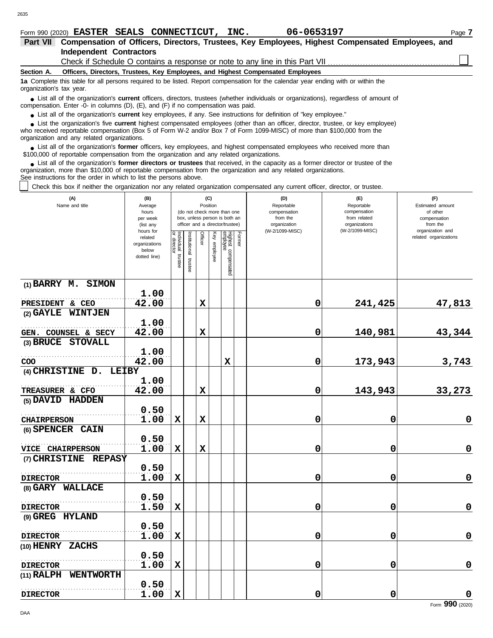# Form 990 (2020) Page **7 EASTER SEALS CONNECTICUT, INC. 06-0653197**

| <b>Part VII</b>          | Compensation of Officers, Directors, Trustees, Key Employees, Highest Compensated Employees, and                                                                                                                                                                                                                  |  |  |  |  |  |  |  |  |  |  |  |
|--------------------------|-------------------------------------------------------------------------------------------------------------------------------------------------------------------------------------------------------------------------------------------------------------------------------------------------------------------|--|--|--|--|--|--|--|--|--|--|--|
|                          | <b>Independent Contractors</b>                                                                                                                                                                                                                                                                                    |  |  |  |  |  |  |  |  |  |  |  |
|                          |                                                                                                                                                                                                                                                                                                                   |  |  |  |  |  |  |  |  |  |  |  |
| Section A.               | Officers, Directors, Trustees, Key Employees, and Highest Compensated Employees                                                                                                                                                                                                                                   |  |  |  |  |  |  |  |  |  |  |  |
| organization's tax year. | 1a Complete this table for all persons required to be listed. Report compensation for the calendar year ending with or within the                                                                                                                                                                                 |  |  |  |  |  |  |  |  |  |  |  |
|                          | • List all of the organization's current officers, directors, trustees (whether individuals or organizations), regardless of amount of<br>compensation. Enter -0- in columns $(D)$ , $(E)$ , and $(F)$ if no compensation was paid.                                                                               |  |  |  |  |  |  |  |  |  |  |  |
|                          | • List all of the organization's current key employees, if any. See instructions for definition of "key employee."                                                                                                                                                                                                |  |  |  |  |  |  |  |  |  |  |  |
|                          | • List the organization's five <b>current</b> highest compensated employees (other than an officer, director, trustee, or key employee)<br>who received reportable compensation (Box 5 of Form W-2 and/or Box 7 of Form 1099-MISC) of more than \$100,000 from the<br>organization and any related organizations. |  |  |  |  |  |  |  |  |  |  |  |

List all of the organization's **former** officers, key employees, and highest compensated employees who received more than • List all of the organization's **former** officers, key employees, and highest compensate \$100,000 of reportable compensation from the organization and any related organizations.

List all of the organization's **former directors or trustees** that received, in the capacity as a former director or trustee of the ● List all of the organization's former directors or trustees that received, in the capacity as a former director organization, more than \$10,000 of reportable compensation from the organization and any related organizati See instructions for the order in which to list the persons above.

Check this box if neither the organization nor any related organization compensated any current officer, director, or trustee.

| (A)<br>Name and title            | (B)<br>Average<br>hours<br>per week<br>(list any               |                                   |                          | (C)<br>Position |                 | (do not check more than one<br>box, unless person is both an<br>officer and a director/trustee) |        | (D)<br>Reportable<br>compensation<br>from the<br>organization<br>(W-2/1099-MISC) | (E)<br>Reportable<br>compensation<br>from related<br>organizations | (F)<br>Estimated amount<br>of other<br>compensation<br>from the |
|----------------------------------|----------------------------------------------------------------|-----------------------------------|--------------------------|-----------------|-----------------|-------------------------------------------------------------------------------------------------|--------|----------------------------------------------------------------------------------|--------------------------------------------------------------------|-----------------------------------------------------------------|
|                                  | hours for<br>related<br>organizations<br>below<br>dotted line) | Individual trustee<br>or director | Institutional<br>trustee | Officer         | Ķey<br>employee | Highest compensated<br>employee                                                                 | Former |                                                                                  | (W-2/1099-MISC)                                                    | organization and<br>related organizations                       |
| (1) BARRY M. SIMON               | 1.00                                                           |                                   |                          |                 |                 |                                                                                                 |        |                                                                                  |                                                                    |                                                                 |
| PRESIDENT & CEO                  | 42.00                                                          |                                   |                          | $\mathbf x$     |                 |                                                                                                 |        | 0                                                                                | 241,425                                                            | 47,813                                                          |
| (2) GAYLE WINTJEN                |                                                                |                                   |                          |                 |                 |                                                                                                 |        |                                                                                  |                                                                    |                                                                 |
|                                  | 1.00                                                           |                                   |                          |                 |                 |                                                                                                 |        |                                                                                  |                                                                    |                                                                 |
| GEN. COUNSEL & SECY              | 42.00                                                          |                                   |                          | $\mathbf x$     |                 |                                                                                                 |        | 0                                                                                | 140,981                                                            | 43,344                                                          |
| (3) BRUCE STOVALL                |                                                                |                                   |                          |                 |                 |                                                                                                 |        |                                                                                  |                                                                    |                                                                 |
|                                  | 1.00                                                           |                                   |                          |                 |                 |                                                                                                 |        |                                                                                  |                                                                    |                                                                 |
| COO                              | 42.00                                                          |                                   |                          |                 |                 | $\mathbf x$                                                                                     |        | 0                                                                                | 173,943                                                            | 3,743                                                           |
| (4) CHRISTINE D.<br><b>LEIBY</b> |                                                                |                                   |                          |                 |                 |                                                                                                 |        |                                                                                  |                                                                    |                                                                 |
|                                  | 1.00                                                           |                                   |                          |                 |                 |                                                                                                 |        |                                                                                  |                                                                    |                                                                 |
| TREASURER & CFO                  | 42.00                                                          |                                   |                          | $\mathbf x$     |                 |                                                                                                 |        | 0                                                                                | 143,943                                                            | 33,273                                                          |
| (5) DAVID HADDEN                 |                                                                |                                   |                          |                 |                 |                                                                                                 |        |                                                                                  |                                                                    |                                                                 |
|                                  | 0.50                                                           |                                   |                          |                 |                 |                                                                                                 |        |                                                                                  |                                                                    |                                                                 |
| <b>CHAIRPERSON</b>               | 1.00                                                           | $\mathbf x$                       |                          | $\mathbf x$     |                 |                                                                                                 |        | 0                                                                                | 0                                                                  | $\bf{0}$                                                        |
| (6) SPENCER CAIN                 |                                                                |                                   |                          |                 |                 |                                                                                                 |        |                                                                                  |                                                                    |                                                                 |
|                                  | 0.50                                                           |                                   |                          |                 |                 |                                                                                                 |        |                                                                                  |                                                                    |                                                                 |
| VICE CHAIRPERSON                 | 1.00                                                           | X                                 |                          | $\mathbf x$     |                 |                                                                                                 |        | 0                                                                                | 0                                                                  | $\bf{0}$                                                        |
| (7) CHRISTINE REPASY             | 0.50                                                           |                                   |                          |                 |                 |                                                                                                 |        |                                                                                  |                                                                    |                                                                 |
| <b>DIRECTOR</b>                  | 1.00                                                           | $\mathbf x$                       |                          |                 |                 |                                                                                                 |        | 0                                                                                | 0                                                                  | 0                                                               |
| (8) GARY WALLACE                 |                                                                |                                   |                          |                 |                 |                                                                                                 |        |                                                                                  |                                                                    |                                                                 |
|                                  | 0.50                                                           |                                   |                          |                 |                 |                                                                                                 |        |                                                                                  |                                                                    |                                                                 |
| <b>DIRECTOR</b>                  | 1.50                                                           | $\mathbf x$                       |                          |                 |                 |                                                                                                 |        | 0                                                                                | 0                                                                  | $\mathbf 0$                                                     |
| (9) GREG HYLAND                  |                                                                |                                   |                          |                 |                 |                                                                                                 |        |                                                                                  |                                                                    |                                                                 |
|                                  | 0.50                                                           |                                   |                          |                 |                 |                                                                                                 |        |                                                                                  |                                                                    |                                                                 |
| <b>DIRECTOR</b>                  | 1.00                                                           | X                                 |                          |                 |                 |                                                                                                 |        | 0                                                                                | 0                                                                  | $\pmb{0}$                                                       |
| (10) HENRY ZACHS                 |                                                                |                                   |                          |                 |                 |                                                                                                 |        |                                                                                  |                                                                    |                                                                 |
|                                  | 0.50                                                           |                                   |                          |                 |                 |                                                                                                 |        |                                                                                  |                                                                    |                                                                 |
| <b>DIRECTOR</b>                  | 1.00                                                           | $\mathbf x$                       |                          |                 |                 |                                                                                                 |        | 0                                                                                | 0                                                                  | $\mathbf 0$                                                     |
| (11) RALPH WENTWORTH             |                                                                |                                   |                          |                 |                 |                                                                                                 |        |                                                                                  |                                                                    |                                                                 |
|                                  | 0.50                                                           |                                   |                          |                 |                 |                                                                                                 |        |                                                                                  |                                                                    |                                                                 |
| <b>DIRECTOR</b>                  | 1.00                                                           | $\mathbf x$                       |                          |                 |                 |                                                                                                 |        | 0                                                                                | 0                                                                  | $\mathbf 0$                                                     |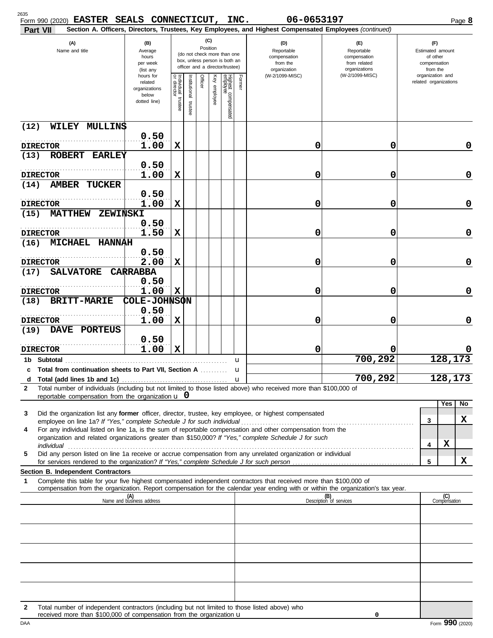| 2635<br>Form 990 (2020) EASTER SEALS CONNECTICUT, INC.<br>Part VII                                                                                                                                                                                                                                                                                         |                                                                |                                                                                                                    |                          |         |              |                                 |                  | 06-0653197<br>Section A. Officers, Directors, Trustees, Key Employees, and Highest Compensated Employees (continued) |                                                                    |   |                                                                 | Page 8      |
|------------------------------------------------------------------------------------------------------------------------------------------------------------------------------------------------------------------------------------------------------------------------------------------------------------------------------------------------------------|----------------------------------------------------------------|--------------------------------------------------------------------------------------------------------------------|--------------------------|---------|--------------|---------------------------------|------------------|----------------------------------------------------------------------------------------------------------------------|--------------------------------------------------------------------|---|-----------------------------------------------------------------|-------------|
| (A)<br>Name and title                                                                                                                                                                                                                                                                                                                                      | (B)<br>Average<br>hours<br>per week<br>(list any               | (C)<br>Position<br>(do not check more than one<br>box, unless person is both an<br>officer and a director/trustee) |                          |         |              |                                 |                  | (D)<br>Reportable<br>compensation<br>from the<br>organization                                                        | (F)<br>Reportable<br>compensation<br>from related<br>organizations |   | (F)<br>Estimated amount<br>of other<br>compensation<br>from the |             |
|                                                                                                                                                                                                                                                                                                                                                            | hours for<br>related<br>organizations<br>below<br>dotted line) | Individual<br>or director<br>trustee                                                                               | Institutional<br>trustee | Officer | Key employee | Highest compensated<br>employee | Former           | (W-2/1099-MISC)                                                                                                      | (W-2/1099-MISC)                                                    |   | organization and<br>related organizations                       |             |
| (12)<br>WILEY MULLINS                                                                                                                                                                                                                                                                                                                                      |                                                                |                                                                                                                    |                          |         |              |                                 |                  |                                                                                                                      |                                                                    |   |                                                                 |             |
| <b>DIRECTOR</b>                                                                                                                                                                                                                                                                                                                                            | 0.50<br>1.00                                                   | X                                                                                                                  |                          |         |              |                                 |                  | 0                                                                                                                    | 0                                                                  |   |                                                                 | 0           |
| (13)<br><b>ROBERT</b><br><b>EARLEY</b>                                                                                                                                                                                                                                                                                                                     |                                                                |                                                                                                                    |                          |         |              |                                 |                  |                                                                                                                      |                                                                    |   |                                                                 |             |
|                                                                                                                                                                                                                                                                                                                                                            | 0.50                                                           |                                                                                                                    |                          |         |              |                                 |                  |                                                                                                                      |                                                                    |   |                                                                 |             |
| <b>DIRECTOR</b><br><b>AMBER</b><br><b>TUCKER</b><br>(14)                                                                                                                                                                                                                                                                                                   | 1.00                                                           | X                                                                                                                  |                          |         |              |                                 |                  | 0                                                                                                                    | 0                                                                  |   |                                                                 | 0           |
| <b>DIRECTOR</b>                                                                                                                                                                                                                                                                                                                                            | 0.50<br>1.00                                                   | $\mathbf x$                                                                                                        |                          |         |              |                                 |                  | 0                                                                                                                    | 0                                                                  |   |                                                                 | 0           |
| <b>MATTHEW</b><br>(15)<br><b>ZEWINSKI</b>                                                                                                                                                                                                                                                                                                                  |                                                                |                                                                                                                    |                          |         |              |                                 |                  |                                                                                                                      |                                                                    |   |                                                                 |             |
| <b>DIRECTOR</b>                                                                                                                                                                                                                                                                                                                                            | 0.50<br>1.50                                                   | X                                                                                                                  |                          |         |              |                                 |                  | 0                                                                                                                    | 0                                                                  |   |                                                                 | 0           |
| MICHAEL HANNAH<br>(16)                                                                                                                                                                                                                                                                                                                                     |                                                                |                                                                                                                    |                          |         |              |                                 |                  |                                                                                                                      |                                                                    |   |                                                                 |             |
| <b>DIRECTOR</b>                                                                                                                                                                                                                                                                                                                                            | 0.50<br>2.00                                                   | X                                                                                                                  |                          |         |              |                                 |                  | 0                                                                                                                    | 0                                                                  |   |                                                                 | $\mathbf 0$ |
| <b>SALVATORE</b><br>(17)                                                                                                                                                                                                                                                                                                                                   | <b>CARRABBA</b>                                                |                                                                                                                    |                          |         |              |                                 |                  |                                                                                                                      |                                                                    |   |                                                                 |             |
| <b>DIRECTOR</b>                                                                                                                                                                                                                                                                                                                                            | 0.50<br>1.00                                                   | X                                                                                                                  |                          |         |              |                                 |                  | 0                                                                                                                    | 0                                                                  |   |                                                                 | $\mathbf 0$ |
| <b>BRITT-MARIE</b><br>(18)                                                                                                                                                                                                                                                                                                                                 | COLE-JOHNSON<br>0.50                                           |                                                                                                                    |                          |         |              |                                 |                  |                                                                                                                      |                                                                    |   |                                                                 |             |
| <b>DIRECTOR</b>                                                                                                                                                                                                                                                                                                                                            | 1.00                                                           | X                                                                                                                  |                          |         |              |                                 |                  | 0                                                                                                                    | 0                                                                  |   |                                                                 | $\mathbf 0$ |
| DAVE PORTEUS<br>(19)                                                                                                                                                                                                                                                                                                                                       | 0.50                                                           |                                                                                                                    |                          |         |              |                                 |                  |                                                                                                                      |                                                                    |   |                                                                 |             |
| <b>DIRECTOR</b>                                                                                                                                                                                                                                                                                                                                            | 1.00                                                           | X                                                                                                                  |                          |         |              |                                 |                  | 0                                                                                                                    | 0                                                                  |   |                                                                 |             |
| Subtotal<br>1b.                                                                                                                                                                                                                                                                                                                                            |                                                                |                                                                                                                    |                          |         |              |                                 | u                |                                                                                                                      | 700,292                                                            |   |                                                                 | 128,173     |
| c Total from continuation sheets to Part VII, Section A                                                                                                                                                                                                                                                                                                    |                                                                |                                                                                                                    |                          |         |              |                                 | u<br>$\mathbf u$ |                                                                                                                      | 700,292                                                            |   |                                                                 | 128,173     |
| Total number of individuals (including but not limited to those listed above) who received more than \$100,000 of<br>2                                                                                                                                                                                                                                     |                                                                |                                                                                                                    |                          |         |              |                                 |                  |                                                                                                                      |                                                                    |   |                                                                 |             |
| reportable compensation from the organization $\bf{u}$ 0                                                                                                                                                                                                                                                                                                   |                                                                |                                                                                                                    |                          |         |              |                                 |                  |                                                                                                                      |                                                                    |   | Yes                                                             | No          |
| Did the organization list any former officer, director, trustee, key employee, or highest compensated<br>3                                                                                                                                                                                                                                                 |                                                                |                                                                                                                    |                          |         |              |                                 |                  |                                                                                                                      |                                                                    |   |                                                                 | x           |
| employee on line 1a? If "Yes," complete Schedule J for such individual<br>For any individual listed on line 1a, is the sum of reportable compensation and other compensation from the<br>4                                                                                                                                                                 |                                                                |                                                                                                                    |                          |         |              |                                 |                  |                                                                                                                      |                                                                    |   | 3                                                               |             |
| organization and related organizations greater than \$150,000? If "Yes," complete Schedule J for such                                                                                                                                                                                                                                                      |                                                                |                                                                                                                    |                          |         |              |                                 |                  |                                                                                                                      |                                                                    |   | x<br>4                                                          |             |
| individual <b>construction in the construction of the construction of the construction of the construction of the construction of the construction of the construction of the construction of the construction of the constructi</b><br>Did any person listed on line 1a receive or accrue compensation from any unrelated organization or individual<br>5 |                                                                |                                                                                                                    |                          |         |              |                                 |                  |                                                                                                                      |                                                                    |   |                                                                 |             |
| Section B. Independent Contractors                                                                                                                                                                                                                                                                                                                         |                                                                |                                                                                                                    |                          |         |              |                                 |                  |                                                                                                                      |                                                                    | 5 |                                                                 | x           |
| Complete this table for your five highest compensated independent contractors that received more than \$100,000 of<br>1<br>compensation from the organization. Report compensation for the calendar year ending with or within the organization's tax year.                                                                                                |                                                                |                                                                                                                    |                          |         |              |                                 |                  |                                                                                                                      |                                                                    |   |                                                                 |             |
|                                                                                                                                                                                                                                                                                                                                                            | (A)<br>Name and business address                               |                                                                                                                    |                          |         |              |                                 |                  |                                                                                                                      | (B)<br>Description of services                                     |   | (C)<br>Compensation                                             |             |
|                                                                                                                                                                                                                                                                                                                                                            |                                                                |                                                                                                                    |                          |         |              |                                 |                  |                                                                                                                      |                                                                    |   |                                                                 |             |
|                                                                                                                                                                                                                                                                                                                                                            |                                                                |                                                                                                                    |                          |         |              |                                 |                  |                                                                                                                      |                                                                    |   |                                                                 |             |
|                                                                                                                                                                                                                                                                                                                                                            |                                                                |                                                                                                                    |                          |         |              |                                 |                  |                                                                                                                      |                                                                    |   |                                                                 |             |
|                                                                                                                                                                                                                                                                                                                                                            |                                                                |                                                                                                                    |                          |         |              |                                 |                  |                                                                                                                      |                                                                    |   |                                                                 |             |
|                                                                                                                                                                                                                                                                                                                                                            |                                                                |                                                                                                                    |                          |         |              |                                 |                  |                                                                                                                      |                                                                    |   |                                                                 |             |
|                                                                                                                                                                                                                                                                                                                                                            |                                                                |                                                                                                                    |                          |         |              |                                 |                  |                                                                                                                      |                                                                    |   |                                                                 |             |
| Total number of independent contractors (including but not limited to those listed above) who<br>$\mathbf{2}$<br>received more than \$100,000 of compensation from the organization u                                                                                                                                                                      |                                                                |                                                                                                                    |                          |         |              |                                 |                  |                                                                                                                      | 0                                                                  |   |                                                                 |             |

|     | S100,000 of compensation from<br>received<br>more than<br>the organization <b>u</b> |                |
|-----|-------------------------------------------------------------------------------------|----------------|
| DAA |                                                                                     | (2020)<br>Form |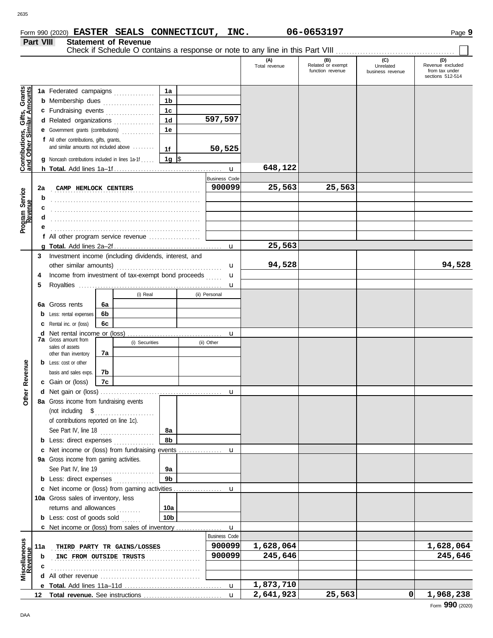Check if Schedule O contains a response or note to any line in this Part VIII.

**Part VIII Statement of Revenue**

#### **(A) (B) (C) (D)** Total revenue (C)<br>Total revenue Unrelated Revenue Excluded<br>Traction revenue business revenue from tax under husiness revenue sections 512-514 Grants **Contributions, Gifts, Grants and Other Similar Amounts 1a** i, Gifts, Grants<br><u>milar Amounts</u> **1a** Federated campaigns **. . . . . . . . . . . . 1b b** Membership dues . . . . . . . . . . . . . . . . **1c c** Fundraising events . . . . . . . . . . . . . . . **1d 597,597 d** Related organizations . . . . . . . . . . . . . **1e e** Government grants (contributions) . . . . . . . . . . . . Contributions,<br>and Other Sin **f** All other contributions, gifts, grants, and similar amounts not included above ........ **50,525 1f 1g g** Noncash contributions included in lines 1a-1f . . . . .  $\frac{1}{2}$ **648,122** u **h Total.** Add lines 1a–1f . . . . . . . . . . . . . . . . . . . . . . . . . . . . . . . . . . . . . . . . Business Code . . . . . . . . . . . . . . . . . . . . . . . . . . . . . . . . . . . . . . . . . . . . . . . . . . . . . . . **CAMP HEMLOCK CENTERS 900099 25,563 25,563 Program Service 2a Program Service b** . . . . . . . . . . . . . . . . . . . . . . . . . . . . . . . . . . . . . . . . . . . . . . . . . . . . . . . **c** . . . . . . . . . . . . . . . . . . . . . . . . . . . . . . . . . . . . . . . . . . . . . . . . . . . . . . . **d** . . . . . . . . . . . . . . . . . . . . . . . . . . . . . . . . . . . . . . . . . . . . . . . . . . . . . . . **e** . . . . . . . . . . . . . . . . . . . . . . . . . . . . . . . . . . . . . . . . . . . . . . . . . . . . . . . **f** All other program service revenue . . . . . . . . . . . . . . . . . . . **25,563 g Total.** Add lines 2a–2f . . . . . . . . . . . . . . . . . . . . . . . . . . . . . . . . . . . . . . . . u **3** Investment income (including dividends, interest, and **94,528 94,528** other similar amounts) . . . . . . . . . . . . . . . . . . . . . . . . . . . . . . . . . . . . . . . u **4** Income from investment of tax-exempt bond proceeds ...... u **5** Royalties ..... u (i) Real (ii) Personal **6a 6a** Gross rents **6b b** Less: rental expenses **6c c** Rental inc. or (loss) **d** Net rental income or (loss) . . . . . . . . . . . . . . . . . . . . . . . . . . . . . . . . . . . u **7a** Gross amount from (i) Securities (ii) Other sales of assets **7a** other than inventory **Other Revenue b** Less: cost or other **Other Revenue** basis and sales exps. **7b 7c c** Gain or (loss) **d** u Net gain or (loss) . . . . . . . . . . . . . . . . . . . . . . . . . . . . . . . . . . . . . . . . . . . . . **8a** Gross income from fundraising events (not including \$ . . . . . . . . . . . . . . . . . . . . . . of contributions reported on line 1c). See Part IV, line 18 . . . . . . . . . . . . . . . . . . . . **8a 8b b** Less: direct expenses . . . . . . . . . . . . . u **c** Net income or (loss) from fundraising events ................ **9a** Gross income from gaming activities. See Part IV, line 19 . . . . . . . . . . . . . . . . . . . . **9a 9b b** Less: direct expenses ............... Net income or (loss) from gaming activities . . . . . . . . . . . . . . . . . . **c** u 10a Gross sales of inventory, less returns and allowances . . . . . . . . **10a 10b b** Less: cost of goods sold ...... Net income or (loss) from sales of inventory . . . . . . . . . . . . . . . . . **c** u Business Code liscellaneous<br>Revenue **Miscellaneous** . . . . . . . . . . . . . . . . . . . . . . . . . . . . . . . . . . . . . . . . . . . . . . . . . . . . . . . **THIRD PARTY TR GAINS/LOSSES 900099 1,628,064 1,628,064 11a** . . . . . . . . . . . . . . . . . . . . . . . . . . . . . . . . . . . . . . . . . . . . . . . . . . . . . . . **INC FROM OUTSIDE TRUSTS 900099 245,646 245,646 b c** . . . . . . . . . . . . . . . . . . . . . . . . . . . . . . . . . . . . . . . . . . . . . . . . . . . . . . . **d** All other revenue . . . . . . . . . . . . . . . . . . . . . . . . . . . . . . . . . . . . . **1,873,710** u **e Total.** Add lines 11a–11d . . . . . . . . . . . . . . . . . . . . . . . . . . . . . . . . . . . . **2,641,923 25,563 0 1,968,238 Total revenue.** See instructions **12** u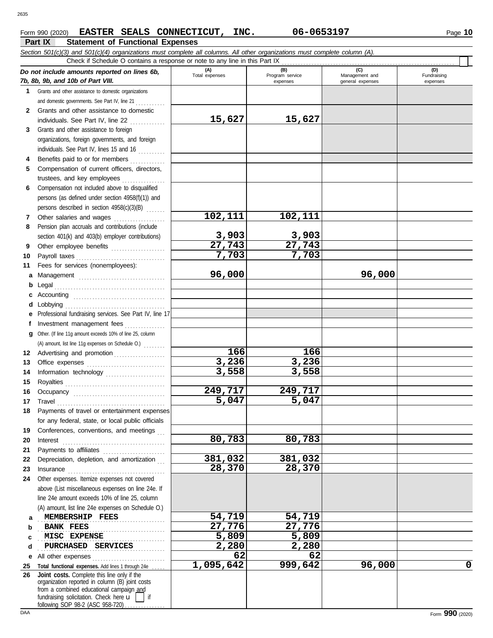### **Part IX Statement of Functional Expenses** Form 990 (2020) Page **10 EASTER SEALS CONNECTICUT, INC. 06-0653197**

| Section 501(c)(3) and 501(c)(4) organizations must complete all columns. All other organizations must complete column (A). |                                                                                                                                                                                                                                                                                                                                                                                                                                                                                                                         |                       |                        |                       |                    |  |  |  |  |
|----------------------------------------------------------------------------------------------------------------------------|-------------------------------------------------------------------------------------------------------------------------------------------------------------------------------------------------------------------------------------------------------------------------------------------------------------------------------------------------------------------------------------------------------------------------------------------------------------------------------------------------------------------------|-----------------------|------------------------|-----------------------|--------------------|--|--|--|--|
|                                                                                                                            | Check if Schedule O contains a response or note to any line in this Part IX                                                                                                                                                                                                                                                                                                                                                                                                                                             |                       |                        |                       |                    |  |  |  |  |
|                                                                                                                            | Do not include amounts reported on lines 6b,                                                                                                                                                                                                                                                                                                                                                                                                                                                                            | (A)<br>Total expenses | (B)<br>Program service | (C)<br>Management and | (D)<br>Fundraising |  |  |  |  |
|                                                                                                                            | 7b, 8b, 9b, and 10b of Part VIII.                                                                                                                                                                                                                                                                                                                                                                                                                                                                                       |                       | expenses               | general expenses      | expenses           |  |  |  |  |
|                                                                                                                            | 1 Grants and other assistance to domestic organizations                                                                                                                                                                                                                                                                                                                                                                                                                                                                 |                       |                        |                       |                    |  |  |  |  |
|                                                                                                                            | and domestic governments. See Part IV, line 21                                                                                                                                                                                                                                                                                                                                                                                                                                                                          |                       |                        |                       |                    |  |  |  |  |
| 2                                                                                                                          | Grants and other assistance to domestic                                                                                                                                                                                                                                                                                                                                                                                                                                                                                 |                       |                        |                       |                    |  |  |  |  |
|                                                                                                                            | individuals. See Part IV, line 22                                                                                                                                                                                                                                                                                                                                                                                                                                                                                       | 15,627                | 15,627                 |                       |                    |  |  |  |  |
| 3                                                                                                                          | Grants and other assistance to foreign                                                                                                                                                                                                                                                                                                                                                                                                                                                                                  |                       |                        |                       |                    |  |  |  |  |
|                                                                                                                            | organizations, foreign governments, and foreign                                                                                                                                                                                                                                                                                                                                                                                                                                                                         |                       |                        |                       |                    |  |  |  |  |
|                                                                                                                            | individuals. See Part IV, lines 15 and 16                                                                                                                                                                                                                                                                                                                                                                                                                                                                               |                       |                        |                       |                    |  |  |  |  |
| 4                                                                                                                          | Benefits paid to or for members                                                                                                                                                                                                                                                                                                                                                                                                                                                                                         |                       |                        |                       |                    |  |  |  |  |
| 5                                                                                                                          | Compensation of current officers, directors,                                                                                                                                                                                                                                                                                                                                                                                                                                                                            |                       |                        |                       |                    |  |  |  |  |
|                                                                                                                            |                                                                                                                                                                                                                                                                                                                                                                                                                                                                                                                         |                       |                        |                       |                    |  |  |  |  |
| 6                                                                                                                          | Compensation not included above to disqualified                                                                                                                                                                                                                                                                                                                                                                                                                                                                         |                       |                        |                       |                    |  |  |  |  |
|                                                                                                                            | persons (as defined under section 4958(f)(1)) and                                                                                                                                                                                                                                                                                                                                                                                                                                                                       |                       |                        |                       |                    |  |  |  |  |
|                                                                                                                            | persons described in section 4958(c)(3)(B)                                                                                                                                                                                                                                                                                                                                                                                                                                                                              |                       |                        |                       |                    |  |  |  |  |
| 7                                                                                                                          | Other salaries and wages                                                                                                                                                                                                                                                                                                                                                                                                                                                                                                | 102,111               | 102,111                |                       |                    |  |  |  |  |
| 8                                                                                                                          | Pension plan accruals and contributions (include                                                                                                                                                                                                                                                                                                                                                                                                                                                                        |                       |                        |                       |                    |  |  |  |  |
|                                                                                                                            | section 401(k) and 403(b) employer contributions)                                                                                                                                                                                                                                                                                                                                                                                                                                                                       | 3,903                 | 3,903                  |                       |                    |  |  |  |  |
| 9                                                                                                                          | Other employee benefits                                                                                                                                                                                                                                                                                                                                                                                                                                                                                                 | 27,743                | 27,743                 |                       |                    |  |  |  |  |
| 10                                                                                                                         |                                                                                                                                                                                                                                                                                                                                                                                                                                                                                                                         | 7,703                 | 7,703                  |                       |                    |  |  |  |  |
| 11                                                                                                                         | Fees for services (nonemployees):                                                                                                                                                                                                                                                                                                                                                                                                                                                                                       |                       |                        |                       |                    |  |  |  |  |
| a                                                                                                                          | Management                                                                                                                                                                                                                                                                                                                                                                                                                                                                                                              | 96,000                |                        | 96,000                |                    |  |  |  |  |
| b                                                                                                                          |                                                                                                                                                                                                                                                                                                                                                                                                                                                                                                                         |                       |                        |                       |                    |  |  |  |  |
|                                                                                                                            |                                                                                                                                                                                                                                                                                                                                                                                                                                                                                                                         |                       |                        |                       |                    |  |  |  |  |
| d                                                                                                                          |                                                                                                                                                                                                                                                                                                                                                                                                                                                                                                                         |                       |                        |                       |                    |  |  |  |  |
| е                                                                                                                          | Professional fundraising services. See Part IV, line 17                                                                                                                                                                                                                                                                                                                                                                                                                                                                 |                       |                        |                       |                    |  |  |  |  |
| t                                                                                                                          | Investment management fees                                                                                                                                                                                                                                                                                                                                                                                                                                                                                              |                       |                        |                       |                    |  |  |  |  |
| g                                                                                                                          | Other. (If line 11g amount exceeds 10% of line 25, column                                                                                                                                                                                                                                                                                                                                                                                                                                                               |                       |                        |                       |                    |  |  |  |  |
|                                                                                                                            | (A) amount, list line 11g expenses on Schedule O.)                                                                                                                                                                                                                                                                                                                                                                                                                                                                      |                       |                        |                       |                    |  |  |  |  |
| 12                                                                                                                         | Advertising and promotion                                                                                                                                                                                                                                                                                                                                                                                                                                                                                               | 166                   | 166                    |                       |                    |  |  |  |  |
| 13                                                                                                                         |                                                                                                                                                                                                                                                                                                                                                                                                                                                                                                                         | 3,236                 | 3,236                  |                       |                    |  |  |  |  |
| 14                                                                                                                         | Information technology                                                                                                                                                                                                                                                                                                                                                                                                                                                                                                  | 3,558                 | 3,558                  |                       |                    |  |  |  |  |
| 15                                                                                                                         |                                                                                                                                                                                                                                                                                                                                                                                                                                                                                                                         |                       |                        |                       |                    |  |  |  |  |
| 16                                                                                                                         | Occupancy                                                                                                                                                                                                                                                                                                                                                                                                                                                                                                               | 249,717               | 249,717                |                       |                    |  |  |  |  |
| 17                                                                                                                         | $\begin{minipage}[c]{0.9\linewidth} \begin{tabular}{l} \hline \textbf{Travel} \end{tabular} \end{minipage} \end{minipage} \begin{minipage}[c]{0.9\linewidth} \begin{tabular}{l} \hline \textbf{True} \end{tabular} \end{minipage} \end{minipage} \begin{minipage}[c]{0.9\linewidth} \begin{tabular}{l} \hline \textbf{True} \end{tabular} \end{minipage} \end{minipage} \begin{minipage}[c]{0.9\linewidth} \begin{tabular}{l} \hline \textbf{True} \end{tabular} \end{minipage} \end{minipage} \begin{minipage}[c]{0.9$ | 5,047                 | 5,047                  |                       |                    |  |  |  |  |
|                                                                                                                            | 18 Payments of travel or entertainment expenses                                                                                                                                                                                                                                                                                                                                                                                                                                                                         |                       |                        |                       |                    |  |  |  |  |
|                                                                                                                            | for any federal, state, or local public officials                                                                                                                                                                                                                                                                                                                                                                                                                                                                       |                       |                        |                       |                    |  |  |  |  |
| 19                                                                                                                         | Conferences, conventions, and meetings                                                                                                                                                                                                                                                                                                                                                                                                                                                                                  |                       |                        |                       |                    |  |  |  |  |
| 20                                                                                                                         | Interest                                                                                                                                                                                                                                                                                                                                                                                                                                                                                                                | 80,783                | 80,783                 |                       |                    |  |  |  |  |
| 21                                                                                                                         |                                                                                                                                                                                                                                                                                                                                                                                                                                                                                                                         |                       |                        |                       |                    |  |  |  |  |
| 22                                                                                                                         | Depreciation, depletion, and amortization                                                                                                                                                                                                                                                                                                                                                                                                                                                                               | 381,032               | 381,032                |                       |                    |  |  |  |  |
| 23                                                                                                                         | Insurance <i>manufacture in the continuum of the continuum of the continuum of the continuum of the continuum of the continuum of the continuum of the continuum of the continuum of the continuum of the continuum of the conti</i>                                                                                                                                                                                                                                                                                    | 28,370                | 28,370                 |                       |                    |  |  |  |  |
| 24                                                                                                                         | Other expenses. Itemize expenses not covered                                                                                                                                                                                                                                                                                                                                                                                                                                                                            |                       |                        |                       |                    |  |  |  |  |
|                                                                                                                            | above (List miscellaneous expenses on line 24e. If                                                                                                                                                                                                                                                                                                                                                                                                                                                                      |                       |                        |                       |                    |  |  |  |  |
|                                                                                                                            | line 24e amount exceeds 10% of line 25, column                                                                                                                                                                                                                                                                                                                                                                                                                                                                          |                       |                        |                       |                    |  |  |  |  |
|                                                                                                                            | (A) amount, list line 24e expenses on Schedule O.)                                                                                                                                                                                                                                                                                                                                                                                                                                                                      |                       |                        |                       |                    |  |  |  |  |
| a                                                                                                                          | MEMBERSHIP FEES                                                                                                                                                                                                                                                                                                                                                                                                                                                                                                         | 54,719                | 54,719                 |                       |                    |  |  |  |  |
| b                                                                                                                          | <b>BANK FEES</b>                                                                                                                                                                                                                                                                                                                                                                                                                                                                                                        | 27,776                | 27,776                 |                       |                    |  |  |  |  |
| c                                                                                                                          | MISC EXPENSE                                                                                                                                                                                                                                                                                                                                                                                                                                                                                                            | 5,809                 | 5,809                  |                       |                    |  |  |  |  |
| d                                                                                                                          | PURCHASED SERVICES                                                                                                                                                                                                                                                                                                                                                                                                                                                                                                      | 2,280                 | 2,280                  |                       |                    |  |  |  |  |
| е                                                                                                                          | All other expenses                                                                                                                                                                                                                                                                                                                                                                                                                                                                                                      | 62                    | 62                     |                       |                    |  |  |  |  |
| 25                                                                                                                         | Total functional expenses. Add lines 1 through 24e                                                                                                                                                                                                                                                                                                                                                                                                                                                                      | 1,095,642             | 999,642                | 96,000                | 0                  |  |  |  |  |
| 26                                                                                                                         | Joint costs. Complete this line only if the<br>organization reported in column (B) joint costs                                                                                                                                                                                                                                                                                                                                                                                                                          |                       |                        |                       |                    |  |  |  |  |
|                                                                                                                            | from a combined educational campaign and                                                                                                                                                                                                                                                                                                                                                                                                                                                                                |                       |                        |                       |                    |  |  |  |  |
|                                                                                                                            | fundraising solicitation. Check here u<br>if                                                                                                                                                                                                                                                                                                                                                                                                                                                                            |                       |                        |                       |                    |  |  |  |  |
|                                                                                                                            | following SOP 98-2 (ASC 958-720)                                                                                                                                                                                                                                                                                                                                                                                                                                                                                        |                       |                        |                       |                    |  |  |  |  |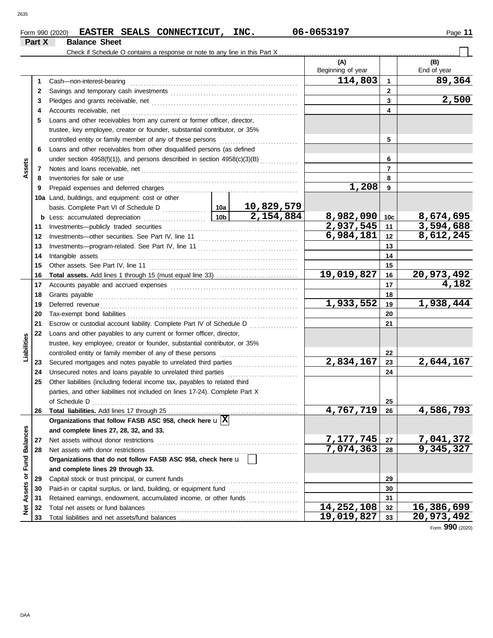### Form 990 (2020) Page **11 EASTER SEALS CONNECTICUT, INC. 06-0653197 Part X Balance Sheet**

|                         |    | Check if Schedule O contains a response or note to any line in this Part X                                                                                                                                                           |  |            |                          |                        |                        |
|-------------------------|----|--------------------------------------------------------------------------------------------------------------------------------------------------------------------------------------------------------------------------------------|--|------------|--------------------------|------------------------|------------------------|
|                         |    |                                                                                                                                                                                                                                      |  |            | (A)<br>Beginning of year |                        | (B)<br>End of year     |
|                         | 1. | Cash-non-interest-bearing                                                                                                                                                                                                            |  |            | 114,803                  | $\mathbf{1}$           | 89,364                 |
|                         | 2  |                                                                                                                                                                                                                                      |  |            |                          | $\overline{2}$         |                        |
|                         | 3  |                                                                                                                                                                                                                                      |  |            |                          | 3                      | 2,500                  |
|                         | 4  |                                                                                                                                                                                                                                      |  |            |                          | 4                      |                        |
|                         | 5  | Loans and other receivables from any current or former officer, director,                                                                                                                                                            |  |            |                          |                        |                        |
|                         |    | trustee, key employee, creator or founder, substantial contributor, or 35%                                                                                                                                                           |  |            |                          |                        |                        |
|                         |    | controlled entity or family member of any of these persons                                                                                                                                                                           |  |            |                          | 5                      |                        |
|                         | 6  | Loans and other receivables from other disqualified persons (as defined                                                                                                                                                              |  |            |                          |                        |                        |
|                         |    | under section 4958(f)(1)), and persons described in section 4958(c)(3)(B)                                                                                                                                                            |  | 6          |                          |                        |                        |
| Assets                  | 7  | Notes and loans receivable, net construction of the state and loans receivable, net                                                                                                                                                  |  |            |                          | 7                      |                        |
|                         | 8  | Inventories for sale or use                                                                                                                                                                                                          |  |            |                          | 8                      |                        |
|                         | 9  | Prepaid expenses and deferred charges                                                                                                                                                                                                |  |            | 1,208                    | 9                      |                        |
|                         |    | 10a Land, buildings, and equipment: cost or other                                                                                                                                                                                    |  |            |                          |                        |                        |
|                         |    |                                                                                                                                                                                                                                      |  | 10,829,579 |                          |                        |                        |
|                         |    |                                                                                                                                                                                                                                      |  | 2,154,884  | 8,982,090                | 10 <sub>c</sub>        | 8,674,695              |
|                         | 11 |                                                                                                                                                                                                                                      |  |            | 2,937,545                | 11                     | 3,594,688              |
|                         | 12 |                                                                                                                                                                                                                                      |  | 6,984,181  | 12                       | 8,612,245              |                        |
|                         | 13 |                                                                                                                                                                                                                                      |  | 13         |                          |                        |                        |
|                         | 14 | Intangible assets                                                                                                                                                                                                                    |  |            |                          | 14                     |                        |
|                         | 15 |                                                                                                                                                                                                                                      |  | 15         |                          |                        |                        |
|                         | 16 |                                                                                                                                                                                                                                      |  |            | 19,019,827               | 16                     | 20,973,492             |
|                         | 17 |                                                                                                                                                                                                                                      |  |            |                          | 17                     | 4,182                  |
|                         | 18 | Grants payable                                                                                                                                                                                                                       |  |            |                          | 18                     |                        |
|                         | 19 | Deferred revenue <b>contract and the contract of the contract of the contract of the contract of the contract of the contract of the contract of the contract of the contract of the contract of the contract of the contract of</b> |  | 1,933,552  | 19                       | $\overline{1,938,444}$ |                        |
|                         | 20 |                                                                                                                                                                                                                                      |  |            |                          | 20                     |                        |
|                         | 21 | Escrow or custodial account liability. Complete Part IV of Schedule D                                                                                                                                                                |  |            |                          | 21                     |                        |
|                         | 22 | Loans and other payables to any current or former officer, director,                                                                                                                                                                 |  |            |                          |                        |                        |
| Liabilities             |    | trustee, key employee, creator or founder, substantial contributor, or 35%                                                                                                                                                           |  |            |                          |                        |                        |
|                         |    | controlled entity or family member of any of these persons                                                                                                                                                                           |  |            |                          | 22                     |                        |
|                         | 23 | Secured mortgages and notes payable to unrelated third parties                                                                                                                                                                       |  |            | 2,834,167                | 23                     | 2,644,167              |
|                         | 24 | Unsecured notes and loans payable to unrelated third parties                                                                                                                                                                         |  |            |                          | 24                     |                        |
|                         | 25 | Other liabilities (including federal income tax, payables to related third                                                                                                                                                           |  |            |                          |                        |                        |
|                         |    | parties, and other liabilities not included on lines 17-24). Complete Part X                                                                                                                                                         |  |            |                          |                        |                        |
|                         |    | of Schedule D                                                                                                                                                                                                                        |  |            |                          | 25                     |                        |
|                         | 26 |                                                                                                                                                                                                                                      |  |            | 4,767,719                | 26                     | 4,586,793              |
|                         |    | Organizations that follow FASB ASC 958, check here $\mathbf{u}[\overline{\mathbf{X}}]$                                                                                                                                               |  |            |                          |                        |                        |
|                         |    | and complete lines 27, 28, 32, and 33.                                                                                                                                                                                               |  |            |                          |                        |                        |
|                         | 27 | Net assets without donor restrictions                                                                                                                                                                                                |  |            | 7, 177, 745              | 27                     | 7,041,372<br>9,345,327 |
|                         | 28 | Net assets with donor restrictions                                                                                                                                                                                                   |  |            | 7,074,363                | 28                     |                        |
|                         |    | Organizations that do not follow FASB ASC 958, check here u                                                                                                                                                                          |  |            |                          |                        |                        |
|                         |    | and complete lines 29 through 33.                                                                                                                                                                                                    |  |            |                          |                        |                        |
| Assets or Fund Balances | 29 | Capital stock or trust principal, or current funds                                                                                                                                                                                   |  |            |                          | 29                     |                        |
|                         | 30 | Paid-in or capital surplus, or land, building, or equipment fund                                                                                                                                                                     |  |            |                          | 30                     |                        |
|                         | 31 | Retained earnings, endowment, accumulated income, or other funds                                                                                                                                                                     |  |            |                          | 31                     |                        |
| $\frac{1}{2}$           | 32 | Total net assets or fund balances                                                                                                                                                                                                    |  |            | 14,252,108               | 32                     | 16,386,699             |
|                         | 33 |                                                                                                                                                                                                                                      |  |            | 19,019,827               | 33                     | 20,973,492             |

Form **990** (2020)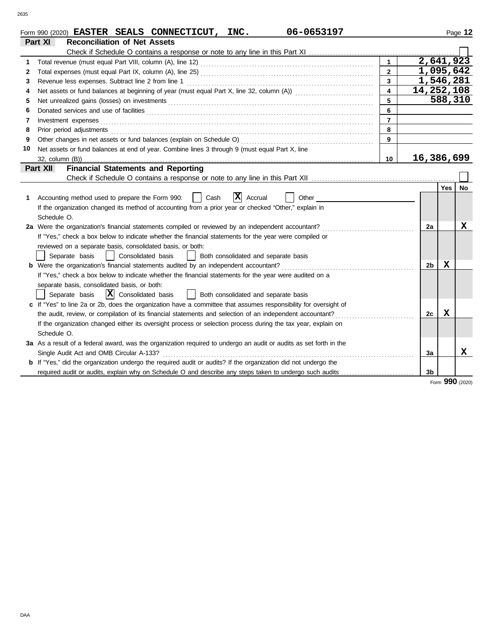|    | 06-0653197<br>Form 990 (2020) EASTER SEALS CONNECTICUT, INC.                                                       |                         |                |         | Page 12 |
|----|--------------------------------------------------------------------------------------------------------------------|-------------------------|----------------|---------|---------|
|    | Part XI<br><b>Reconciliation of Net Assets</b>                                                                     |                         |                |         |         |
|    |                                                                                                                    |                         |                |         |         |
| 1  |                                                                                                                    | $\mathbf{1}$            | 2,641,923      |         |         |
| 2  |                                                                                                                    | $\mathbf{2}$            | 1,095,642      |         |         |
| 3  |                                                                                                                    | $\overline{\mathbf{3}}$ | 1,546,281      |         |         |
| 4  |                                                                                                                    | $\overline{\mathbf{4}}$ | 14,252,108     |         |         |
| 5  |                                                                                                                    | 5                       |                | 588,310 |         |
| 6  |                                                                                                                    | 6                       |                |         |         |
| 7  |                                                                                                                    | $\overline{7}$          |                |         |         |
| 8  |                                                                                                                    | 8                       |                |         |         |
| 9  | Other changes in net assets or fund balances (explain on Schedule O)                                               | 9                       |                |         |         |
| 10 | Net assets or fund balances at end of year. Combine lines 3 through 9 (must equal Part X, line                     |                         |                |         |         |
|    |                                                                                                                    | 10                      | 16,386,699     |         |         |
|    | <b>Financial Statements and Reporting</b><br>Part XII                                                              |                         |                |         |         |
|    |                                                                                                                    |                         |                |         |         |
|    |                                                                                                                    |                         |                | Yes     | No      |
| 1. | X <br>Cash<br>Accounting method used to prepare the Form 990:<br>Accrual<br>Other                                  |                         |                |         |         |
|    | If the organization changed its method of accounting from a prior year or checked "Other," explain in              |                         |                |         |         |
|    | Schedule O.                                                                                                        |                         |                |         |         |
|    | 2a Were the organization's financial statements compiled or reviewed by an independent accountant?                 |                         | 2a             |         | x       |
|    | If "Yes," check a box below to indicate whether the financial statements for the year were compiled or             |                         |                |         |         |
|    | reviewed on a separate basis, consolidated basis, or both:                                                         |                         |                |         |         |
|    | Consolidated basis<br>Both consolidated and separate basis<br>Separate basis<br>$\mathbf{1}$                       |                         |                |         |         |
|    | <b>b</b> Were the organization's financial statements audited by an independent accountant?                        |                         | 2b             | х       |         |
|    | If "Yes," check a box below to indicate whether the financial statements for the year were audited on a            |                         |                |         |         |
|    | separate basis, consolidated basis, or both:                                                                       |                         |                |         |         |
|    | $ \mathbf{X} $ Consolidated basis<br>  Both consolidated and separate basis<br>Separate basis                      |                         |                |         |         |
|    | c If "Yes" to line 2a or 2b, does the organization have a committee that assumes responsibility for oversight of   |                         |                |         |         |
|    | the audit, review, or compilation of its financial statements and selection of an independent accountant?          |                         | 2c             | X       |         |
|    | If the organization changed either its oversight process or selection process during the tax year, explain on      |                         |                |         |         |
|    | Schedule O.                                                                                                        |                         |                |         |         |
|    | 3a As a result of a federal award, was the organization required to undergo an audit or audits as set forth in the |                         |                |         |         |
|    | Single Audit Act and OMB Circular A-133?                                                                           |                         | 3a             |         | X       |
|    | b If "Yes," did the organization undergo the required audit or audits? If the organization did not undergo the     |                         |                |         |         |
|    |                                                                                                                    |                         | 3 <sub>b</sub> |         |         |
|    |                                                                                                                    |                         |                |         |         |

Form **990** (2020)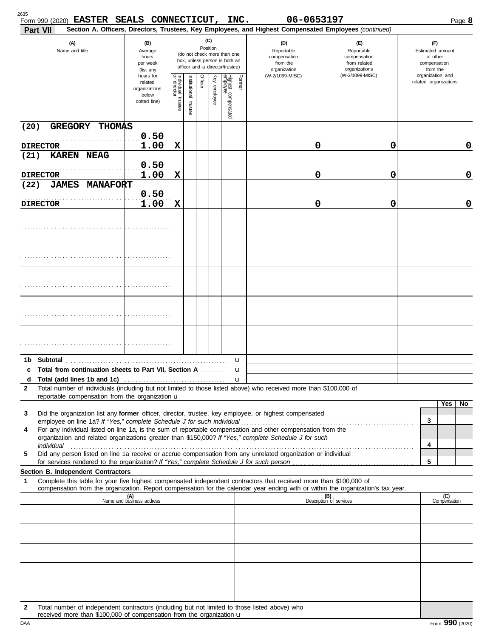| 2635   | Form 990 (2020) EASTER SEALS CONNECTICUT, INC.<br>Part VII                                                                                                                                                                                             |                                                                |                                                                                                                    |                      |         |              |                                                               |                                                                    | 06-0653197<br>Section A. Officers, Directors, Trustees, Key Employees, and Highest Compensated Employees (continued) |                                | Page 8                                    |
|--------|--------------------------------------------------------------------------------------------------------------------------------------------------------------------------------------------------------------------------------------------------------|----------------------------------------------------------------|--------------------------------------------------------------------------------------------------------------------|----------------------|---------|--------------|---------------------------------------------------------------|--------------------------------------------------------------------|----------------------------------------------------------------------------------------------------------------------|--------------------------------|-------------------------------------------|
|        | (A)<br>(B)<br>Name and title<br>Average<br>hours<br>per week<br>(list any                                                                                                                                                                              |                                                                | (C)<br>Position<br>(do not check more than one<br>box, unless person is both an<br>officer and a director/trustee) |                      |         |              | (D)<br>Reportable<br>compensation<br>from the<br>organization | (E)<br>Reportable<br>compensation<br>from related<br>organizations | (F)<br>Estimated amount<br>of other<br>compensation<br>from the                                                      |                                |                                           |
|        |                                                                                                                                                                                                                                                        | hours for<br>related<br>organizations<br>below<br>dotted line) | Individual 1<br>trustee                                                                                            | nstitutional trustee | Officer | Key employee | Highest compensated<br>employee                               | Former                                                             | (W-2/1099-MISC)                                                                                                      | (W-2/1099-MISC)                | organization and<br>related organizations |
| (20)   | <b>GREGORY</b><br><b>THOMAS</b>                                                                                                                                                                                                                        |                                                                |                                                                                                                    |                      |         |              |                                                               |                                                                    |                                                                                                                      |                                |                                           |
|        | <b>DIRECTOR</b>                                                                                                                                                                                                                                        | 0.50<br>1.00                                                   | X                                                                                                                  |                      |         |              |                                                               |                                                                    | 0                                                                                                                    | 0                              | 0                                         |
| (21)   | <b>KAREN NEAG</b>                                                                                                                                                                                                                                      |                                                                |                                                                                                                    |                      |         |              |                                                               |                                                                    |                                                                                                                      |                                |                                           |
|        | <b>DIRECTOR</b>                                                                                                                                                                                                                                        | 0.50<br>1.00                                                   | X                                                                                                                  |                      |         |              |                                                               |                                                                    | 0                                                                                                                    | 0                              | $\mathbf 0$                               |
| (22)   | <b>JAMES</b><br><b>MANAFORT</b>                                                                                                                                                                                                                        |                                                                |                                                                                                                    |                      |         |              |                                                               |                                                                    |                                                                                                                      |                                |                                           |
|        | <b>DIRECTOR</b>                                                                                                                                                                                                                                        | 0.50<br>1.00                                                   | X                                                                                                                  |                      |         |              |                                                               |                                                                    | 0                                                                                                                    | 0                              | $\mathbf 0$                               |
|        |                                                                                                                                                                                                                                                        |                                                                |                                                                                                                    |                      |         |              |                                                               |                                                                    |                                                                                                                      |                                |                                           |
|        |                                                                                                                                                                                                                                                        |                                                                |                                                                                                                    |                      |         |              |                                                               |                                                                    |                                                                                                                      |                                |                                           |
|        |                                                                                                                                                                                                                                                        |                                                                |                                                                                                                    |                      |         |              |                                                               |                                                                    |                                                                                                                      |                                |                                           |
|        |                                                                                                                                                                                                                                                        |                                                                |                                                                                                                    |                      |         |              |                                                               |                                                                    |                                                                                                                      |                                |                                           |
|        |                                                                                                                                                                                                                                                        |                                                                |                                                                                                                    |                      |         |              |                                                               |                                                                    |                                                                                                                      |                                |                                           |
|        |                                                                                                                                                                                                                                                        |                                                                |                                                                                                                    |                      |         |              |                                                               |                                                                    |                                                                                                                      |                                |                                           |
| 1b     |                                                                                                                                                                                                                                                        |                                                                |                                                                                                                    |                      |         |              |                                                               | u                                                                  |                                                                                                                      |                                |                                           |
| c      | Total from continuation sheets to Part VII, Section A                                                                                                                                                                                                  |                                                                |                                                                                                                    |                      |         |              |                                                               | u                                                                  |                                                                                                                      |                                |                                           |
| d<br>2 | Total number of individuals (including but not limited to those listed above) who received more than \$100,000 of                                                                                                                                      |                                                                |                                                                                                                    |                      |         |              |                                                               | $\mathbf{u}$                                                       |                                                                                                                      |                                |                                           |
|        | reportable compensation from the organization u                                                                                                                                                                                                        |                                                                |                                                                                                                    |                      |         |              |                                                               |                                                                    |                                                                                                                      |                                |                                           |
| 3      | Did the organization list any former officer, director, trustee, key employee, or highest compensated                                                                                                                                                  |                                                                |                                                                                                                    |                      |         |              |                                                               |                                                                    |                                                                                                                      |                                | Yes<br>No.                                |
|        |                                                                                                                                                                                                                                                        |                                                                |                                                                                                                    |                      |         |              |                                                               |                                                                    |                                                                                                                      |                                | 3                                         |
| 4      | For any individual listed on line 1a, is the sum of reportable compensation and other compensation from the<br>organization and related organizations greater than \$150,000? If "Yes," complete Schedule J for such                                   |                                                                |                                                                                                                    |                      |         |              |                                                               |                                                                    |                                                                                                                      |                                |                                           |
|        |                                                                                                                                                                                                                                                        |                                                                |                                                                                                                    |                      |         |              |                                                               |                                                                    |                                                                                                                      |                                | 4                                         |
| 5      | Did any person listed on line 1a receive or accrue compensation from any unrelated organization or individual                                                                                                                                          |                                                                |                                                                                                                    |                      |         |              |                                                               |                                                                    |                                                                                                                      |                                | 5                                         |
|        | Section B. Independent Contractors                                                                                                                                                                                                                     |                                                                |                                                                                                                    |                      |         |              |                                                               |                                                                    |                                                                                                                      |                                |                                           |
| 1      | Complete this table for your five highest compensated independent contractors that received more than \$100,000 of<br>compensation from the organization. Report compensation for the calendar year ending with or within the organization's tax year. |                                                                |                                                                                                                    |                      |         |              |                                                               |                                                                    |                                                                                                                      |                                |                                           |
|        |                                                                                                                                                                                                                                                        | (A)<br>Name and business address                               |                                                                                                                    |                      |         |              |                                                               |                                                                    |                                                                                                                      | (B)<br>Description of services | (C)<br>Compensation                       |
|        |                                                                                                                                                                                                                                                        |                                                                |                                                                                                                    |                      |         |              |                                                               |                                                                    |                                                                                                                      |                                |                                           |
|        |                                                                                                                                                                                                                                                        |                                                                |                                                                                                                    |                      |         |              |                                                               |                                                                    |                                                                                                                      |                                |                                           |
|        |                                                                                                                                                                                                                                                        |                                                                |                                                                                                                    |                      |         |              |                                                               |                                                                    |                                                                                                                      |                                |                                           |
|        |                                                                                                                                                                                                                                                        |                                                                |                                                                                                                    |                      |         |              |                                                               |                                                                    |                                                                                                                      |                                |                                           |
|        |                                                                                                                                                                                                                                                        |                                                                |                                                                                                                    |                      |         |              |                                                               |                                                                    |                                                                                                                      |                                |                                           |
| 2      | Total number of independent contractors (including but not limited to those listed above) who                                                                                                                                                          |                                                                |                                                                                                                    |                      |         |              |                                                               |                                                                    |                                                                                                                      |                                |                                           |

| received more than \$100,000 of compensation from the organization $\mathbf u$ |  |
|--------------------------------------------------------------------------------|--|
|--------------------------------------------------------------------------------|--|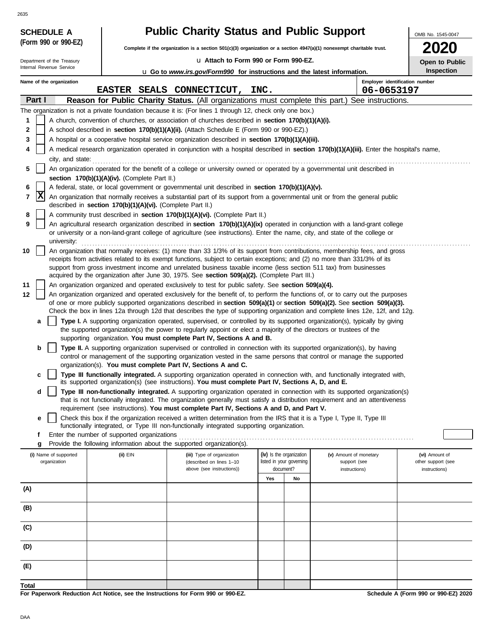| <b>SCHEDULE A</b>                                      |                                                            | <b>Public Charity Status and Public Support</b>                                                                                                                                                                                                                                                                                                                  |                          |    |                        | OMB No. 1545-0047                                   |  |  |  |
|--------------------------------------------------------|------------------------------------------------------------|------------------------------------------------------------------------------------------------------------------------------------------------------------------------------------------------------------------------------------------------------------------------------------------------------------------------------------------------------------------|--------------------------|----|------------------------|-----------------------------------------------------|--|--|--|
| (Form 990 or 990-EZ)                                   |                                                            | Complete if the organization is a section 501(c)(3) organization or a section 4947(a)(1) nonexempt charitable trust.                                                                                                                                                                                                                                             |                          |    |                        |                                                     |  |  |  |
|                                                        |                                                            |                                                                                                                                                                                                                                                                                                                                                                  |                          |    |                        |                                                     |  |  |  |
| Department of the Treasury<br>Internal Revenue Service |                                                            | La Attach to Form 990 or Form 990-EZ.<br>Open to Public<br><b>u</b> Go to <i>www.irs.gov/Form990</i> for instructions and the latest information.                                                                                                                                                                                                                |                          |    |                        |                                                     |  |  |  |
| Name of the organization                               |                                                            |                                                                                                                                                                                                                                                                                                                                                                  |                          |    |                        | <b>Inspection</b><br>Employer identification number |  |  |  |
|                                                        |                                                            | EASTER SEALS CONNECTICUT, INC.                                                                                                                                                                                                                                                                                                                                   |                          |    | 06-0653197             |                                                     |  |  |  |
| Part I                                                 |                                                            | Reason for Public Charity Status. (All organizations must complete this part.) See instructions.                                                                                                                                                                                                                                                                 |                          |    |                        |                                                     |  |  |  |
|                                                        |                                                            | The organization is not a private foundation because it is: (For lines 1 through 12, check only one box.)                                                                                                                                                                                                                                                        |                          |    |                        |                                                     |  |  |  |
| 1                                                      |                                                            | A church, convention of churches, or association of churches described in section 170(b)(1)(A)(i).                                                                                                                                                                                                                                                               |                          |    |                        |                                                     |  |  |  |
| 2                                                      |                                                            | A school described in section 170(b)(1)(A)(ii). (Attach Schedule E (Form 990 or 990-EZ).)                                                                                                                                                                                                                                                                        |                          |    |                        |                                                     |  |  |  |
| 3                                                      |                                                            | A hospital or a cooperative hospital service organization described in section 170(b)(1)(A)(iii).                                                                                                                                                                                                                                                                |                          |    |                        |                                                     |  |  |  |
| 4                                                      |                                                            | A medical research organization operated in conjunction with a hospital described in section 170(b)(1)(A)(iii). Enter the hospital's name,<br>city, and state: <b>contract and state: contract and state: contract and state: contract and state: contract and state: contract and state: contract and state: contract and state: contract and state: contra</b> |                          |    |                        |                                                     |  |  |  |
| 5                                                      |                                                            | An organization operated for the benefit of a college or university owned or operated by a governmental unit described in                                                                                                                                                                                                                                        |                          |    |                        |                                                     |  |  |  |
|                                                        | section 170(b)(1)(A)(iv). (Complete Part II.)              |                                                                                                                                                                                                                                                                                                                                                                  |                          |    |                        |                                                     |  |  |  |
| 6<br> X<br>7                                           |                                                            | A federal, state, or local government or governmental unit described in section 170(b)(1)(A)(v).<br>An organization that normally receives a substantial part of its support from a governmental unit or from the general public                                                                                                                                 |                          |    |                        |                                                     |  |  |  |
|                                                        | described in section 170(b)(1)(A)(vi). (Complete Part II.) |                                                                                                                                                                                                                                                                                                                                                                  |                          |    |                        |                                                     |  |  |  |
| 8                                                      |                                                            | A community trust described in section 170(b)(1)(A)(vi). (Complete Part II.)                                                                                                                                                                                                                                                                                     |                          |    |                        |                                                     |  |  |  |
| 9<br>university:                                       |                                                            | An agricultural research organization described in section 170(b)(1)(A)(ix) operated in conjunction with a land-grant college<br>or university or a non-land-grant college of agriculture (see instructions). Enter the name, city, and state of the college or                                                                                                  |                          |    |                        |                                                     |  |  |  |
| 10                                                     |                                                            | An organization that normally receives: (1) more than 33 1/3% of its support from contributions, membership fees, and gross                                                                                                                                                                                                                                      |                          |    |                        |                                                     |  |  |  |
|                                                        |                                                            | receipts from activities related to its exempt functions, subject to certain exceptions; and (2) no more than 331/3% of its                                                                                                                                                                                                                                      |                          |    |                        |                                                     |  |  |  |
|                                                        |                                                            | support from gross investment income and unrelated business taxable income (less section 511 tax) from businesses<br>acquired by the organization after June 30, 1975. See section 509(a)(2). (Complete Part III.)                                                                                                                                               |                          |    |                        |                                                     |  |  |  |
| 11                                                     |                                                            | An organization organized and operated exclusively to test for public safety. See section 509(a)(4).                                                                                                                                                                                                                                                             |                          |    |                        |                                                     |  |  |  |
| 12                                                     |                                                            | An organization organized and operated exclusively for the benefit of, to perform the functions of, or to carry out the purposes                                                                                                                                                                                                                                 |                          |    |                        |                                                     |  |  |  |
|                                                        |                                                            | of one or more publicly supported organizations described in section 509(a)(1) or section 509(a)(2). See section 509(a)(3).                                                                                                                                                                                                                                      |                          |    |                        |                                                     |  |  |  |
|                                                        |                                                            | Check the box in lines 12a through 12d that describes the type of supporting organization and complete lines 12e, 12f, and 12g.                                                                                                                                                                                                                                  |                          |    |                        |                                                     |  |  |  |
| a                                                      |                                                            | Type I. A supporting organization operated, supervised, or controlled by its supported organization(s), typically by giving<br>the supported organization(s) the power to regularly appoint or elect a majority of the directors or trustees of the                                                                                                              |                          |    |                        |                                                     |  |  |  |
|                                                        |                                                            | supporting organization. You must complete Part IV, Sections A and B.                                                                                                                                                                                                                                                                                            |                          |    |                        |                                                     |  |  |  |
| b                                                      |                                                            | Type II. A supporting organization supervised or controlled in connection with its supported organization(s), by having                                                                                                                                                                                                                                          |                          |    |                        |                                                     |  |  |  |
|                                                        |                                                            | control or management of the supporting organization vested in the same persons that control or manage the supported<br>organization(s). You must complete Part IV, Sections A and C.                                                                                                                                                                            |                          |    |                        |                                                     |  |  |  |
| c                                                      |                                                            | Type III functionally integrated. A supporting organization operated in connection with, and functionally integrated with,                                                                                                                                                                                                                                       |                          |    |                        |                                                     |  |  |  |
|                                                        |                                                            | its supported organization(s) (see instructions). You must complete Part IV, Sections A, D, and E.                                                                                                                                                                                                                                                               |                          |    |                        |                                                     |  |  |  |
| d                                                      |                                                            | Type III non-functionally integrated. A supporting organization operated in connection with its supported organization(s)<br>that is not functionally integrated. The organization generally must satisfy a distribution requirement and an attentiveness                                                                                                        |                          |    |                        |                                                     |  |  |  |
|                                                        |                                                            | requirement (see instructions). You must complete Part IV, Sections A and D, and Part V.                                                                                                                                                                                                                                                                         |                          |    |                        |                                                     |  |  |  |
| е                                                      |                                                            | Check this box if the organization received a written determination from the IRS that it is a Type I, Type II, Type III                                                                                                                                                                                                                                          |                          |    |                        |                                                     |  |  |  |
|                                                        |                                                            | functionally integrated, or Type III non-functionally integrated supporting organization.                                                                                                                                                                                                                                                                        |                          |    |                        |                                                     |  |  |  |
| f<br>g                                                 | Enter the number of supported organizations                | Provide the following information about the supported organization(s).                                                                                                                                                                                                                                                                                           |                          |    |                        |                                                     |  |  |  |
| (i) Name of supported                                  | (ii) EIN                                                   | (iii) Type of organization                                                                                                                                                                                                                                                                                                                                       | (iv) Is the organization |    | (v) Amount of monetary | (vi) Amount of                                      |  |  |  |
| organization                                           |                                                            | (described on lines 1-10                                                                                                                                                                                                                                                                                                                                         | listed in your governing |    | support (see           | other support (see                                  |  |  |  |
|                                                        |                                                            | above (see instructions))                                                                                                                                                                                                                                                                                                                                        | document?                | No | instructions)          | instructions)                                       |  |  |  |
| (A)                                                    |                                                            |                                                                                                                                                                                                                                                                                                                                                                  | Yes                      |    |                        |                                                     |  |  |  |
|                                                        |                                                            |                                                                                                                                                                                                                                                                                                                                                                  |                          |    |                        |                                                     |  |  |  |
| (B)                                                    |                                                            |                                                                                                                                                                                                                                                                                                                                                                  |                          |    |                        |                                                     |  |  |  |
| (C)                                                    |                                                            |                                                                                                                                                                                                                                                                                                                                                                  |                          |    |                        |                                                     |  |  |  |
| (D)                                                    |                                                            |                                                                                                                                                                                                                                                                                                                                                                  |                          |    |                        |                                                     |  |  |  |
| (E)                                                    |                                                            |                                                                                                                                                                                                                                                                                                                                                                  |                          |    |                        |                                                     |  |  |  |
| Total                                                  |                                                            |                                                                                                                                                                                                                                                                                                                                                                  |                          |    |                        |                                                     |  |  |  |
|                                                        |                                                            |                                                                                                                                                                                                                                                                                                                                                                  |                          |    |                        | $\mathbf{A}$<br>$0.00 - 0.00E - 7$                  |  |  |  |

**For Paperwork Reduction Act Notice, see the Instructions for Form 990 or 990-EZ.**

DAA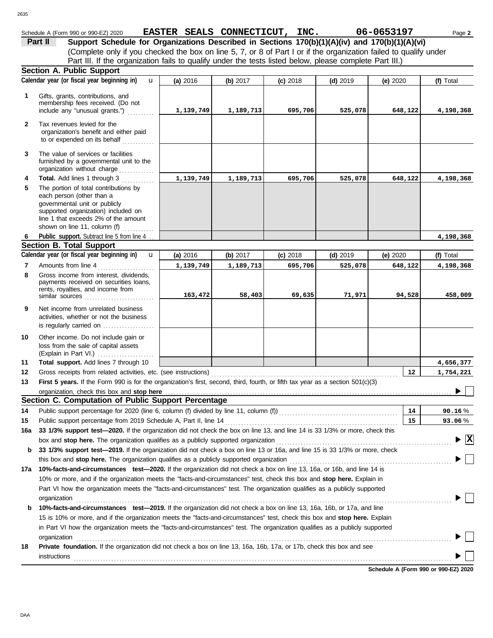| 635          |                                                                                                                                                                                                                    |                                           |            |            |            |            |                                         |
|--------------|--------------------------------------------------------------------------------------------------------------------------------------------------------------------------------------------------------------------|-------------------------------------------|------------|------------|------------|------------|-----------------------------------------|
|              | Schedule A (Form 990 or 990-EZ) 2020                                                                                                                                                                               | EASTER SEALS CONNECTICUT, INC. 06-0653197 |            |            |            |            | Page 2                                  |
|              | Support Schedule for Organizations Described in Sections 170(b)(1)(A)(iv) and 170(b)(1)(A)(vi)<br>Part II                                                                                                          |                                           |            |            |            |            |                                         |
|              | (Complete only if you checked the box on line 5, 7, or 8 of Part I or if the organization failed to qualify under                                                                                                  |                                           |            |            |            |            |                                         |
|              | Part III. If the organization fails to qualify under the tests listed below, please complete Part III.)                                                                                                            |                                           |            |            |            |            |                                         |
|              | <b>Section A. Public Support</b>                                                                                                                                                                                   |                                           |            |            |            |            |                                         |
|              | Calendar year (or fiscal year beginning in)<br>$\mathbf{u}$                                                                                                                                                        | (a) 2016                                  | (b) 2017   | $(c)$ 2018 | $(d)$ 2019 | (e) $2020$ | (f) Total                               |
| 1            | Gifts, grants, contributions, and<br>membership fees received. (Do not<br>include any "unusual grants.")                                                                                                           | 1,139,749                                 | 1,189,713  | 695,706    | 525,078    | 648,122    | 4,198,368                               |
| $\mathbf{2}$ | Tax revenues levied for the<br>organization's benefit and either paid<br>to or expended on its behalf                                                                                                              |                                           |            |            |            |            |                                         |
| 3            | The value of services or facilities<br>furnished by a governmental unit to the<br>organization without charge                                                                                                      |                                           |            |            |            |            |                                         |
| 4            | Total. Add lines 1 through 3                                                                                                                                                                                       | 1,139,749                                 | 1,189,713  | 695,706    | 525,078    | 648,122    | 4,198,368                               |
| 5            | The portion of total contributions by<br>each person (other than a<br>governmental unit or publicly<br>supported organization) included on<br>line 1 that exceeds 2% of the amount<br>shown on line 11, column (f) |                                           |            |            |            |            |                                         |
| 6            | Public_support. Subtract line 5 from line 4                                                                                                                                                                        |                                           |            |            |            |            | 4, 198, 368                             |
|              | <b>Section B. Total Support</b>                                                                                                                                                                                    |                                           |            |            |            |            |                                         |
|              | Calendar year (or fiscal year beginning in)<br>$\mathbf{u}$                                                                                                                                                        | (a) 2016                                  | (b) $2017$ | $(c)$ 2018 | $(d)$ 2019 | (e) $2020$ | (f) Total                               |
| 7            | Amounts from line 4                                                                                                                                                                                                | 1,139,749                                 | 1,189,713  | 695,706    | 525,078    | 648,122    | 4,198,368                               |
| 8            | Gross income from interest, dividends,<br>payments received on securities loans,<br>rents, royalties, and income from<br>similar sources                                                                           | 163,472                                   | 58,403     | 69,635     | 71,971     | 94,528     | 458,009                                 |
| 9            | Net income from unrelated business<br>activities, whether or not the business                                                                                                                                      |                                           |            |            |            |            |                                         |
|              | is regularly carried on                                                                                                                                                                                            |                                           |            |            |            |            |                                         |
| 10           | Other income. Do not include gain or<br>loss from the sale of capital assets<br>(Explain in Part VI.)                                                                                                              |                                           |            |            |            |            |                                         |
| 11           | Total support. Add lines 7 through 10                                                                                                                                                                              |                                           |            |            |            |            | 4,656,377                               |
| 12           |                                                                                                                                                                                                                    |                                           |            |            |            | 12         | 1,754,221                               |
| 13           | First 5 years. If the Form 990 is for the organization's first, second, third, fourth, or fifth tax year as a section 501(c)(3)                                                                                    |                                           |            |            |            |            |                                         |
|              | organization, check this box and stop here                                                                                                                                                                         |                                           |            |            |            |            | ▶                                       |
|              | Section C. Computation of Public Support Percentage                                                                                                                                                                |                                           |            |            |            |            |                                         |
| 14           |                                                                                                                                                                                                                    |                                           |            |            |            | 14         | 90.16%                                  |
| 15           | Public support percentage from 2019 Schedule A, Part II, line 14                                                                                                                                                   |                                           |            |            |            | 15         | 93.06%                                  |
| 16a          | 33 1/3% support test-2020. If the organization did not check the box on line 13, and line 14 is 33 1/3% or more, check this                                                                                        |                                           |            |            |            |            |                                         |
|              | box and stop here. The organization qualifies as a publicly supported organization                                                                                                                                 |                                           |            |            |            |            | $\blacktriangleright$ $\vert$ X $\vert$ |
| b            | 33 1/3% support test-2019. If the organization did not check a box on line 13 or 16a, and line 15 is 33 1/3% or more, check                                                                                        |                                           |            |            |            |            |                                         |
|              | this box and stop here. The organization qualifies as a publicly supported organization                                                                                                                            |                                           |            |            |            |            |                                         |
| 17a          | 10%-facts-and-circumstances test-2020. If the organization did not check a box on line 13, 16a, or 16b, and line 14 is                                                                                             |                                           |            |            |            |            |                                         |
|              | 10% or more, and if the organization meets the "facts-and-circumstances" test, check this box and stop here. Explain in                                                                                            |                                           |            |            |            |            |                                         |
|              | Part VI how the organization meets the "facts-and-circumstances" test. The organization qualifies as a publicly supported                                                                                          |                                           |            |            |            |            |                                         |
|              | organization                                                                                                                                                                                                       |                                           |            |            |            |            |                                         |
| b            | 10%-facts-and-circumstances test-2019. If the organization did not check a box on line 13, 16a, 16b, or 17a, and line                                                                                              |                                           |            |            |            |            |                                         |
|              | 15 is 10% or more, and if the organization meets the "facts-and-circumstances" test, check this box and stop here. Explain                                                                                         |                                           |            |            |            |            |                                         |
|              | in Part VI how the organization meets the "facts-and-circumstances" test. The organization qualifies as a publicly supported                                                                                       |                                           |            |            |            |            |                                         |
| 18           | organization<br>Private foundation. If the organization did not check a box on line 13, 16a, 16b, 17a, or 17b, check this box and see                                                                              |                                           |            |            |            |            |                                         |
|              | <b>instructions</b>                                                                                                                                                                                                |                                           |            |            |            |            |                                         |

**Schedule A (Form 990 or 990-EZ) 2020**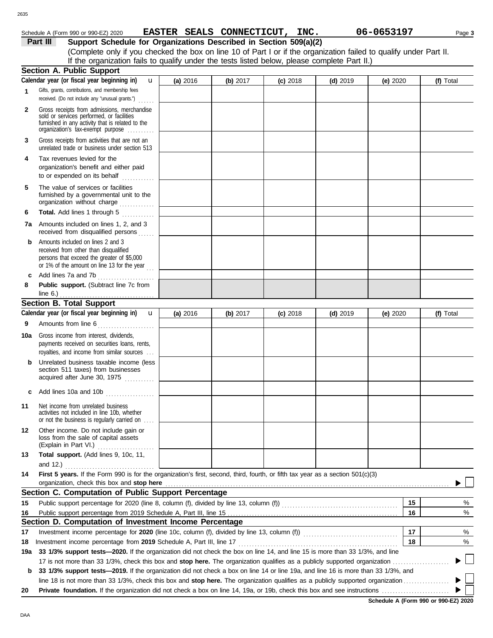| Schedule A (Form 990 or 990-EZ) 2020 | <b>EASTER</b> | <b>SEALS</b> | <b>CONNECTICUT,</b> | INC. | 06-0653197 | Page 3 |
|--------------------------------------|---------------|--------------|---------------------|------|------------|--------|
|--------------------------------------|---------------|--------------|---------------------|------|------------|--------|

**EASTER SEALS CONNECTICUT, INC. 06-0653197**

|     | Support Schedule for Organizations Described in Section 509(a)(2)<br>Part III<br>(Complete only if you checked the box on line 10 of Part I or if the organization failed to qualify under Part II. |          |          |            |            |          |           |
|-----|-----------------------------------------------------------------------------------------------------------------------------------------------------------------------------------------------------|----------|----------|------------|------------|----------|-----------|
|     | If the organization fails to qualify under the tests listed below, please complete Part II.)                                                                                                        |          |          |            |            |          |           |
|     | Section A. Public Support                                                                                                                                                                           |          |          |            |            |          |           |
|     | Calendar year (or fiscal year beginning in)<br>$\mathbf{u}$                                                                                                                                         | (a) 2016 | (b) 2017 | $(c)$ 2018 | $(d)$ 2019 | (e) 2020 | (f) Total |
| 1   | Gifts, grants, contributions, and membership fees<br>received. (Do not include any "unusual grants.")                                                                                               |          |          |            |            |          |           |
| 2   | Gross receipts from admissions, merchandise<br>sold or services performed, or facilities<br>furnished in any activity that is related to the<br>organization's tax-exempt purpose                   |          |          |            |            |          |           |
| 3   | Gross receipts from activities that are not an<br>unrelated trade or business under section 513                                                                                                     |          |          |            |            |          |           |
| 4   | Tax revenues levied for the<br>organization's benefit and either paid<br>to or expended on its behalf                                                                                               |          |          |            |            |          |           |
| 5   | The value of services or facilities<br>furnished by a governmental unit to the<br>organization without charge                                                                                       |          |          |            |            |          |           |
| 6   | Total. Add lines 1 through 5<br>.                                                                                                                                                                   |          |          |            |            |          |           |
| 7а  | Amounts included on lines 1, 2, and 3<br>received from disqualified persons                                                                                                                         |          |          |            |            |          |           |
| b   | Amounts included on lines 2 and 3<br>received from other than disqualified<br>persons that exceed the greater of \$5,000<br>or 1% of the amount on line 13 for the year                             |          |          |            |            |          |           |
| c   | Add lines 7a and 7b<br>.                                                                                                                                                                            |          |          |            |            |          |           |
| 8   | Public support. (Subtract line 7c from<br>line $6.$ )                                                                                                                                               |          |          |            |            |          |           |
|     | <b>Section B. Total Support</b>                                                                                                                                                                     |          |          |            |            |          |           |
|     | Calendar year (or fiscal year beginning in)<br>$\mathbf{u}$                                                                                                                                         | (a) 2016 | (b) 2017 | $(c)$ 2018 | $(d)$ 2019 | (e) 2020 | (f) Total |
| 9   | Amounts from line 6                                                                                                                                                                                 |          |          |            |            |          |           |
| 10a | Gross income from interest, dividends,<br>payments received on securities loans, rents,<br>royalties, and income from similar sources                                                               |          |          |            |            |          |           |
| b   | Unrelated business taxable income (less<br>section 511 taxes) from businesses<br>acquired after June 30, 1975                                                                                       |          |          |            |            |          |           |
|     | c Add lines 10a and 10b                                                                                                                                                                             |          |          |            |            |          |           |
| 11  | Net income from unrelated business<br>activities not included in line 10b, whether<br>or not the business is regularly carried on                                                                   |          |          |            |            |          |           |
| 12  | Other income. Do not include gain or<br>loss from the sale of capital assets<br>(Explain in Part VI.)                                                                                               |          |          |            |            |          |           |
| 13  | Total support. (Add lines 9, 10c, 11,<br>and $12.$ )                                                                                                                                                |          |          |            |            |          |           |
| 14  | First 5 years. If the Form 990 is for the organization's first, second, third, fourth, or fifth tax year as a section 501(c)(3)                                                                     |          |          |            |            |          |           |
|     | organization, check this box and stop here                                                                                                                                                          |          |          |            |            |          |           |
|     | Section C. Computation of Public Support Percentage                                                                                                                                                 |          |          |            |            |          |           |
| 15  |                                                                                                                                                                                                     |          |          |            |            | 15       | %         |
| 16  |                                                                                                                                                                                                     |          |          |            |            | 16       | %         |
|     | Section D. Computation of Investment Income Percentage                                                                                                                                              |          |          |            |            |          |           |
| 17  |                                                                                                                                                                                                     |          |          |            |            | 17       | %         |
| 18  |                                                                                                                                                                                                     |          |          |            |            | 18       | %         |
| 19a | 33 1/3% support tests-2020. If the organization did not check the box on line 14, and line 15 is more than 33 1/3%, and line                                                                        |          |          |            |            |          |           |
|     | 17 is not more than 33 1/3%, check this box and stop here. The organization qualifies as a publicly supported organization                                                                          |          |          |            |            |          |           |
|     | b 33 1/3% support tests-2019. If the organization did not check a box on line 14 or line 19a, and line 16 is more than 33 1/3%, and                                                                 |          |          |            |            |          |           |

line 18 is not more than 33 1/3%, check this box and **stop here.** The organization qualifies as a publicly supported organization . . . . . . . . . . . . . . . . .

**20 Private foundation.** If the organization did not check a box on line 14, 19a, or 19b, check this box and see instructions . . . . . . . . . . . . . . . . . . . . . . . . .

**Schedule A (Form 990 or 990-EZ) 2020**

 $\blacktriangleright$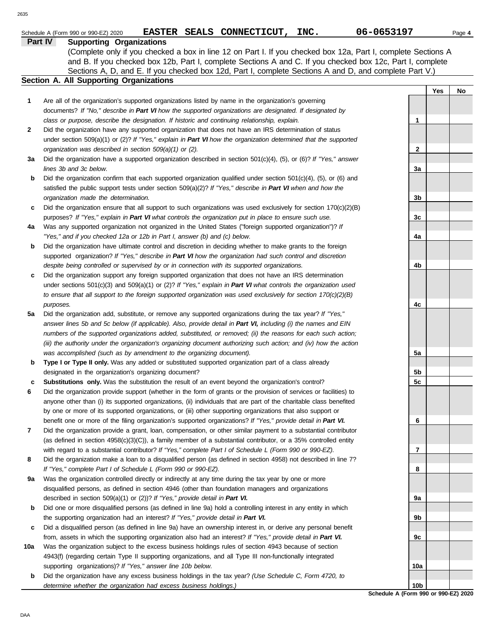|     | 06-0653197<br>EASTER SEALS CONNECTICUT, INC.<br>Schedule A (Form 990 or 990-EZ) 2020                                                                                                                                               |     |     | Page 4 |
|-----|------------------------------------------------------------------------------------------------------------------------------------------------------------------------------------------------------------------------------------|-----|-----|--------|
|     | <b>Supporting Organizations</b><br>Part IV                                                                                                                                                                                         |     |     |        |
|     | (Complete only if you checked a box in line 12 on Part I. If you checked box 12a, Part I, complete Sections A                                                                                                                      |     |     |        |
|     | and B. If you checked box 12b, Part I, complete Sections A and C. If you checked box 12c, Part I, complete<br>Sections A, D, and E. If you checked box 12d, Part I, complete Sections A and D, and complete Part V.)               |     |     |        |
|     | <b>Section A. All Supporting Organizations</b>                                                                                                                                                                                     |     |     |        |
|     |                                                                                                                                                                                                                                    |     | Yes | No     |
| 1   | Are all of the organization's supported organizations listed by name in the organization's governing                                                                                                                               |     |     |        |
|     | documents? If "No," describe in Part VI how the supported organizations are designated. If designated by                                                                                                                           |     |     |        |
|     | class or purpose, describe the designation. If historic and continuing relationship, explain.                                                                                                                                      | 1   |     |        |
| 2   | Did the organization have any supported organization that does not have an IRS determination of status                                                                                                                             |     |     |        |
|     | under section 509(a)(1) or (2)? If "Yes," explain in Part VI how the organization determined that the supported                                                                                                                    |     |     |        |
|     | organization was described in section 509(a)(1) or (2).                                                                                                                                                                            | 2   |     |        |
| За  | Did the organization have a supported organization described in section $501(c)(4)$ , (5), or (6)? If "Yes," answer                                                                                                                |     |     |        |
|     | lines 3b and 3c below.                                                                                                                                                                                                             | 3a  |     |        |
| b   | Did the organization confirm that each supported organization qualified under section $501(c)(4)$ , $(5)$ , or $(6)$ and                                                                                                           |     |     |        |
|     | satisfied the public support tests under section 509(a)(2)? If "Yes," describe in Part VI when and how the                                                                                                                         |     |     |        |
|     | organization made the determination.                                                                                                                                                                                               | 3b  |     |        |
| c   | Did the organization ensure that all support to such organizations was used exclusively for section $170(c)(2)(B)$                                                                                                                 |     |     |        |
|     | purposes? If "Yes," explain in Part VI what controls the organization put in place to ensure such use.                                                                                                                             | 3c  |     |        |
| 4a  | Was any supported organization not organized in the United States ("foreign supported organization")? If                                                                                                                           |     |     |        |
| b   | "Yes," and if you checked 12a or 12b in Part I, answer (b) and (c) below.<br>Did the organization have ultimate control and discretion in deciding whether to make grants to the foreign                                           | 4a  |     |        |
|     | supported organization? If "Yes," describe in Part VI how the organization had such control and discretion                                                                                                                         |     |     |        |
|     | despite being controlled or supervised by or in connection with its supported organizations.                                                                                                                                       | 4b  |     |        |
| c   | Did the organization support any foreign supported organization that does not have an IRS determination                                                                                                                            |     |     |        |
|     | under sections $501(c)(3)$ and $509(a)(1)$ or (2)? If "Yes," explain in Part VI what controls the organization used                                                                                                                |     |     |        |
|     | to ensure that all support to the foreign supported organization was used exclusively for section $170(c)(2)(B)$                                                                                                                   |     |     |        |
|     | purposes.                                                                                                                                                                                                                          | 4c  |     |        |
| 5a  | Did the organization add, substitute, or remove any supported organizations during the tax year? If "Yes,"                                                                                                                         |     |     |        |
|     | answer lines 5b and 5c below (if applicable). Also, provide detail in Part VI, including (i) the names and EIN                                                                                                                     |     |     |        |
|     | numbers of the supported organizations added, substituted, or removed; (ii) the reasons for each such action;                                                                                                                      |     |     |        |
|     | (iii) the authority under the organization's organizing document authorizing such action; and (iv) how the action                                                                                                                  |     |     |        |
|     | was accomplished (such as by amendment to the organizing document).                                                                                                                                                                | 5a  |     |        |
| b   | Type I or Type II only. Was any added or substituted supported organization part of a class already                                                                                                                                |     |     |        |
|     | designated in the organization's organizing document?                                                                                                                                                                              | 5b  |     |        |
| c   | Substitutions only. Was the substitution the result of an event beyond the organization's control?                                                                                                                                 | 5c  |     |        |
| 6   | Did the organization provide support (whether in the form of grants or the provision of services or facilities) to                                                                                                                 |     |     |        |
|     | anyone other than (i) its supported organizations, (ii) individuals that are part of the charitable class benefited<br>by one or more of its supported organizations, or (iii) other supporting organizations that also support or |     |     |        |
|     | benefit one or more of the filing organization's supported organizations? If "Yes," provide detail in Part VI.                                                                                                                     | 6   |     |        |
| 7   | Did the organization provide a grant, loan, compensation, or other similar payment to a substantial contributor                                                                                                                    |     |     |        |
|     | (as defined in section $4958(c)(3)(C)$ ), a family member of a substantial contributor, or a 35% controlled entity                                                                                                                 |     |     |        |
|     | with regard to a substantial contributor? If "Yes," complete Part I of Schedule L (Form 990 or 990-EZ).                                                                                                                            | 7   |     |        |
| 8   | Did the organization make a loan to a disqualified person (as defined in section 4958) not described in line 7?                                                                                                                    |     |     |        |
|     | If "Yes," complete Part I of Schedule L (Form 990 or 990-EZ).                                                                                                                                                                      | 8   |     |        |
| 9а  | Was the organization controlled directly or indirectly at any time during the tax year by one or more                                                                                                                              |     |     |        |
|     | disqualified persons, as defined in section 4946 (other than foundation managers and organizations                                                                                                                                 |     |     |        |
|     | described in section 509(a)(1) or (2))? If "Yes," provide detail in Part VI.                                                                                                                                                       | 9a  |     |        |
| b   | Did one or more disqualified persons (as defined in line 9a) hold a controlling interest in any entity in which                                                                                                                    |     |     |        |
|     | the supporting organization had an interest? If "Yes," provide detail in Part VI.                                                                                                                                                  | 9b  |     |        |
| c   | Did a disqualified person (as defined in line 9a) have an ownership interest in, or derive any personal benefit                                                                                                                    |     |     |        |
|     | from, assets in which the supporting organization also had an interest? If "Yes," provide detail in Part VI.                                                                                                                       | 9c  |     |        |
| 10a | Was the organization subject to the excess business holdings rules of section 4943 because of section                                                                                                                              |     |     |        |
|     | 4943(f) (regarding certain Type II supporting organizations, and all Type III non-functionally integrated                                                                                                                          |     |     |        |
|     | supporting organizations)? If "Yes," answer line 10b below.                                                                                                                                                                        | 10a |     |        |

**b** Did the organization have any excess business holdings in the tax year? *(Use Schedule C, Form 4720, to determine whether the organization had excess business holdings.)*

**Schedule A (Form 990 or 990-EZ) 2020 10b**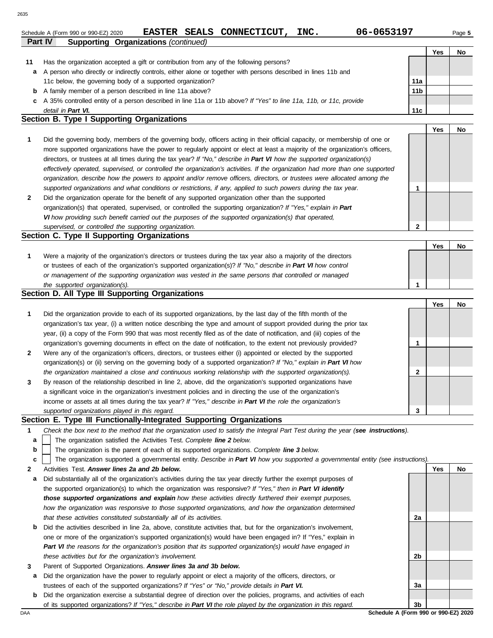Schedule A (Form 990 or 990-EZ) 2020 **EASTER SEALS CONNECTICUT, INC.** 06-0653197 Page 5 **EASTER SEALS CONNECTICUT, INC. 06-0653197**

|    | Part IV<br><b>Supporting Organizations (continued)</b>                                                             |                 |     |    |  |  |  |
|----|--------------------------------------------------------------------------------------------------------------------|-----------------|-----|----|--|--|--|
|    |                                                                                                                    |                 | Yes | No |  |  |  |
| 11 | Has the organization accepted a gift or contribution from any of the following persons?                            |                 |     |    |  |  |  |
| a  | A person who directly or indirectly controls, either alone or together with persons described in lines 11b and     |                 |     |    |  |  |  |
|    | 11c below, the governing body of a supported organization?                                                         | 11a             |     |    |  |  |  |
| b  | A family member of a person described in line 11a above?                                                           | 11 <sub>b</sub> |     |    |  |  |  |
|    | A 35% controlled entity of a person described in line 11a or 11b above? If "Yes" to line 11a, 11b, or 11c, provide |                 |     |    |  |  |  |
|    | detail in Part VI.                                                                                                 | 11c             |     |    |  |  |  |
|    | Section B. Type I Supporting Organizations                                                                         |                 |     |    |  |  |  |

|                |                                                                                                                                |   | Yes | No. |
|----------------|--------------------------------------------------------------------------------------------------------------------------------|---|-----|-----|
|                | Did the governing body, members of the governing body, officers acting in their official capacity, or membership of one or     |   |     |     |
|                | more supported organizations have the power to regularly appoint or elect at least a majority of the organization's officers,  |   |     |     |
|                | directors, or trustees at all times during the tax year? If "No," describe in Part VI how the supported organization(s)        |   |     |     |
|                | effectively operated, supervised, or controlled the organization's activities. If the organization had more than one supported |   |     |     |
|                | organization, describe how the powers to appoint and/or remove officers, directors, or trustees were allocated among the       |   |     |     |
|                | supported organizations and what conditions or restrictions, if any, applied to such powers during the tax year.               |   |     |     |
| $\overline{2}$ | Did the organization operate for the benefit of any supported organization other than the supported                            |   |     |     |
|                | organization(s) that operated, supervised, or controlled the supporting organization? If "Yes," explain in Part                |   |     |     |
|                | VI how providing such benefit carried out the purposes of the supported organization(s) that operated,                         |   |     |     |
|                | supervised, or controlled the supporting organization.                                                                         | າ |     |     |

| Section C. Type II Supporting Organizations                                                                      |  |    |
|------------------------------------------------------------------------------------------------------------------|--|----|
|                                                                                                                  |  | Nc |
| Were a majority of the organization's directors or trustees during the tax year also a majority of the directors |  |    |
| or trustees of each of the organization's supported organization(s)? If "No," describe in Part VI how control    |  |    |
| or management of the supporting organization was vested in the same persons that controlled or managed           |  |    |
| the supported organization(s).                                                                                   |  |    |

#### **Section D. All Type III Supporting Organizations**

|              |                                                                                                                        | Yes | No |
|--------------|------------------------------------------------------------------------------------------------------------------------|-----|----|
| $\mathbf{1}$ | Did the organization provide to each of its supported organizations, by the last day of the fifth month of the         |     |    |
|              | organization's tax year, (i) a written notice describing the type and amount of support provided during the prior tax  |     |    |
|              | year, (ii) a copy of the Form 990 that was most recently filed as of the date of notification, and (iii) copies of the |     |    |
|              | organization's governing documents in effect on the date of notification, to the extent not previously provided?       |     |    |
| $\mathbf{2}$ | Were any of the organization's officers, directors, or trustees either (i) appointed or elected by the supported       |     |    |
|              | organization(s) or (ii) serving on the governing body of a supported organization? If "No," explain in Part VI how     |     |    |
|              | the organization maintained a close and continuous working relationship with the supported organization(s).            |     |    |
| $\mathbf{3}$ | By reason of the relationship described in line 2, above, did the organization's supported organizations have          |     |    |
|              | a significant voice in the organization's investment policies and in directing the use of the organization's           |     |    |
|              | income or assets at all times during the tax year? If "Yes," describe in Part VI the role the organization's           |     |    |
|              | supported organizations played in this regard.                                                                         |     |    |

### **Section E. Type III Functionally-Integrated Supporting Organizations**

| Check the box next to the method that the organization used to satisfy the Integral Part Test during the year (see instructions). |  |  |
|-----------------------------------------------------------------------------------------------------------------------------------|--|--|
|                                                                                                                                   |  |  |

- The organization satisfied the Activities Test. *Complete line 2 below.* **a**
- The organization is the parent of each of its supported organizations. *Complete line 3 below.* **b**

The organization supported a governmental entity. *Describe in Part VI how you supported a governmental entity (see instructions).* **c**

- **2** Activities Test. *Answer lines 2a and 2b below.*
- **a** Did substantially all of the organization's activities during the tax year directly further the exempt purposes of the supported organization(s) to which the organization was responsive? *If "Yes," then in Part VI identify those supported organizations and explain how these activities directly furthered their exempt purposes,*  how the organization was responsive to those supported organizations, and how the organization determined *that these activities constituted substantially all of its activities.*
- **b** Did the activities described in line 2a, above, constitute activities that, but for the organization's involvement, one or more of the organization's supported organization(s) would have been engaged in? If "Yes," explain in *Part VI the reasons for the organization's position that its supported organization(s) would have engaged in these activities but for the organization's involvement.*
- **3** Parent of Supported Organizations. *Answer lines 3a and 3b below.*
- **a** Did the organization have the power to regularly appoint or elect a majority of the officers, directors, or trustees of each of the supported organizations? *If "Yes" or "No," provide details in Part VI.*
- DAA **Schedule A (Form 990 or 990-EZ) 2020 b** Did the organization exercise a substantial degree of direction over the policies, programs, and activities of each of its supported organizations? *If "Yes," describe in Part VI the role played by the organization in this regard.*

**3b**

**2a**

**2b**

**3a**

**Yes No**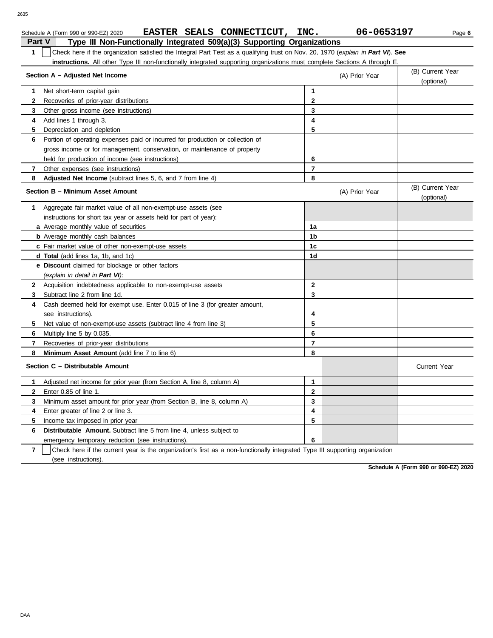| 2635   |                                                                                                                                              |                |                |                                |
|--------|----------------------------------------------------------------------------------------------------------------------------------------------|----------------|----------------|--------------------------------|
| Part V | EASTER SEALS CONNECTICUT,<br>Schedule A (Form 990 or 990-EZ) 2020<br>Type III Non-Functionally Integrated 509(a)(3) Supporting Organizations | INC.           | 06-0653197     | Page 6                         |
| 1      | Check here if the organization satisfied the Integral Part Test as a qualifying trust on Nov. 20, 1970 (explain in Part VI). See             |                |                |                                |
|        | instructions. All other Type III non-functionally integrated supporting organizations must complete Sections A through E.                    |                |                |                                |
|        | Section A - Adjusted Net Income                                                                                                              |                | (A) Prior Year | (B) Current Year<br>(optional) |
|        | Net short-term capital gain                                                                                                                  | 1              |                |                                |
|        | Recoveries of prior-year distributions                                                                                                       | $\overline{2}$ |                |                                |
|        | Other gross income (see instructions)                                                                                                        | 3              |                |                                |
| 4      | Add lines 1 through 3.                                                                                                                       | 4              |                |                                |
| 5      | Depreciation and depletion                                                                                                                   | 5              |                |                                |
| 6      | Portion of operating expenses paid or incurred for production or collection of                                                               |                |                |                                |
|        | gross income or for management, conservation, or maintenance of property                                                                     |                |                |                                |
|        | held for production of income (see instructions)                                                                                             | 6              |                |                                |
|        | Other expenses (see instructions)                                                                                                            | $\overline{7}$ |                |                                |
|        | Adjusted Net Income (subtract lines 5, 6, and 7 from line 4)                                                                                 | 8              |                |                                |
|        | Section B - Minimum Asset Amount                                                                                                             |                | (A) Prior Year | (B) Current Year<br>(optional) |
|        | Aggregate fair market value of all non-exempt-use assets (see                                                                                |                |                |                                |
|        | instructions for short tax year or assets held for part of year):                                                                            |                |                |                                |
|        | a Average monthly value of securities                                                                                                        | 1a             |                |                                |
|        | <b>b</b> Average monthly cash balances                                                                                                       | 1 <sub>b</sub> |                |                                |
|        | c Fair market value of other non-exempt-use assets                                                                                           | 1c             |                |                                |
|        | <b>d Total</b> (add lines 1a, 1b, and 1c)                                                                                                    | 1 <sub>d</sub> |                |                                |
|        | e Discount claimed for blockage or other factors                                                                                             |                |                |                                |

**2 3**

**4 5 6**

**8 7** Recoveries of prior-year distributions **Minimum Asset Amount (add line 7 to line 6) Section C – Distributable Amount 7 6 5 4 3 2 1** Adjusted net income for prior year (from Section A, line 8, column A) Enter 0.85 of line 1. Minimum asset amount for prior year (from Section B, line 8, column A) Enter greater of line 2 or line 3. Income tax imposed in prior year **Distributable Amount.** Subtract line 5 from line 4, unless subject to emergency temporary reduction (see instructions). Check here if the current year is the organization's first as a non-functionally integrated Type III supporting organization **7 8 3 2 1 6 5 4**

**Schedule A (Form 990 or 990-EZ) 2020**

Current Year

*(explain in detail in Part VI)*:

Subtract line 2 from line 1d.

see instructions).

Multiply line 5 by 0.035.

(see instructions).

**5** Net value of non-exempt-use assets (subtract line 4 from line 3)

Cash deemed held for exempt use. Enter 0.015 of line 3 (for greater amount,

**2** Acquisition indebtedness applicable to non-exempt-use assets

**6**

**4 3**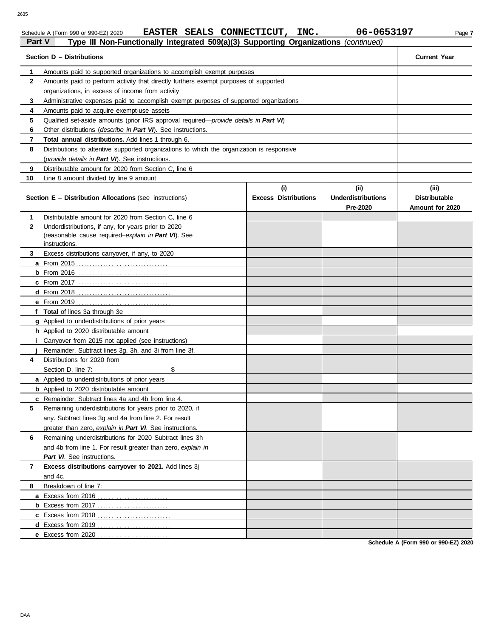# Schedule A (Form 990 or 990-EZ) 2020 **EASTER SEALS CONNECTICUT, INC.** 06-0653197 Page 7

| Part V<br>Type III Non-Functionally Integrated 509(a)(3) Supporting Organizations (continued) |                                                                                                                                               |                             |                                       |                                         |  |  |  |  |  |
|-----------------------------------------------------------------------------------------------|-----------------------------------------------------------------------------------------------------------------------------------------------|-----------------------------|---------------------------------------|-----------------------------------------|--|--|--|--|--|
|                                                                                               | Section D - Distributions                                                                                                                     |                             |                                       | <b>Current Year</b>                     |  |  |  |  |  |
| 1                                                                                             | Amounts paid to supported organizations to accomplish exempt purposes                                                                         |                             |                                       |                                         |  |  |  |  |  |
| $\mathbf{2}$                                                                                  | Amounts paid to perform activity that directly furthers exempt purposes of supported                                                          |                             |                                       |                                         |  |  |  |  |  |
|                                                                                               | organizations, in excess of income from activity                                                                                              |                             |                                       |                                         |  |  |  |  |  |
| 3                                                                                             | Administrative expenses paid to accomplish exempt purposes of supported organizations                                                         |                             |                                       |                                         |  |  |  |  |  |
| 4                                                                                             | Amounts paid to acquire exempt-use assets                                                                                                     |                             |                                       |                                         |  |  |  |  |  |
| 5                                                                                             | Qualified set-aside amounts (prior IRS approval required—provide details in Part VI)                                                          |                             |                                       |                                         |  |  |  |  |  |
| 6                                                                                             | Other distributions (describe in Part VI). See instructions.                                                                                  |                             |                                       |                                         |  |  |  |  |  |
| 7                                                                                             | Total annual distributions. Add lines 1 through 6.                                                                                            |                             |                                       |                                         |  |  |  |  |  |
| 8                                                                                             | Distributions to attentive supported organizations to which the organization is responsive<br>(provide details in Part VI). See instructions. |                             |                                       |                                         |  |  |  |  |  |
| 9                                                                                             | Distributable amount for 2020 from Section C, line 6                                                                                          |                             |                                       |                                         |  |  |  |  |  |
| 10                                                                                            | Line 8 amount divided by line 9 amount                                                                                                        |                             |                                       |                                         |  |  |  |  |  |
|                                                                                               |                                                                                                                                               | (i)                         | (ii)                                  | (iii)                                   |  |  |  |  |  |
|                                                                                               | <b>Section E - Distribution Allocations (see instructions)</b>                                                                                | <b>Excess Distributions</b> | <b>Underdistributions</b><br>Pre-2020 | <b>Distributable</b><br>Amount for 2020 |  |  |  |  |  |
| 1                                                                                             | Distributable amount for 2020 from Section C, line 6                                                                                          |                             |                                       |                                         |  |  |  |  |  |
| $\mathbf{2}$                                                                                  | Underdistributions, if any, for years prior to 2020                                                                                           |                             |                                       |                                         |  |  |  |  |  |
|                                                                                               | (reasonable cause required-explain in Part VI). See                                                                                           |                             |                                       |                                         |  |  |  |  |  |
|                                                                                               | instructions.                                                                                                                                 |                             |                                       |                                         |  |  |  |  |  |
| 3.                                                                                            | Excess distributions carryover, if any, to 2020                                                                                               |                             |                                       |                                         |  |  |  |  |  |
|                                                                                               |                                                                                                                                               |                             |                                       |                                         |  |  |  |  |  |
|                                                                                               |                                                                                                                                               |                             |                                       |                                         |  |  |  |  |  |
|                                                                                               |                                                                                                                                               |                             |                                       |                                         |  |  |  |  |  |
|                                                                                               |                                                                                                                                               |                             |                                       |                                         |  |  |  |  |  |
|                                                                                               |                                                                                                                                               |                             |                                       |                                         |  |  |  |  |  |
|                                                                                               | f Total of lines 3a through 3e                                                                                                                |                             |                                       |                                         |  |  |  |  |  |
|                                                                                               | g Applied to underdistributions of prior years                                                                                                |                             |                                       |                                         |  |  |  |  |  |
|                                                                                               | h Applied to 2020 distributable amount                                                                                                        |                             |                                       |                                         |  |  |  |  |  |
|                                                                                               | Carryover from 2015 not applied (see instructions)                                                                                            |                             |                                       |                                         |  |  |  |  |  |
|                                                                                               | Remainder. Subtract lines 3g, 3h, and 3i from line 3f.                                                                                        |                             |                                       |                                         |  |  |  |  |  |
| 4                                                                                             | Distributions for 2020 from                                                                                                                   |                             |                                       |                                         |  |  |  |  |  |
|                                                                                               | Section D, line 7:<br>\$                                                                                                                      |                             |                                       |                                         |  |  |  |  |  |
|                                                                                               | a Applied to underdistributions of prior years                                                                                                |                             |                                       |                                         |  |  |  |  |  |
|                                                                                               | <b>b</b> Applied to 2020 distributable amount                                                                                                 |                             |                                       |                                         |  |  |  |  |  |
|                                                                                               | Remainder. Subtract lines 4a and 4b from line 4.                                                                                              |                             |                                       |                                         |  |  |  |  |  |
| 5                                                                                             | Remaining underdistributions for years prior to 2020, if                                                                                      |                             |                                       |                                         |  |  |  |  |  |
|                                                                                               | any. Subtract lines 3g and 4a from line 2. For result                                                                                         |                             |                                       |                                         |  |  |  |  |  |
|                                                                                               | greater than zero, explain in Part VI. See instructions.                                                                                      |                             |                                       |                                         |  |  |  |  |  |
| 6                                                                                             | Remaining underdistributions for 2020 Subtract lines 3h                                                                                       |                             |                                       |                                         |  |  |  |  |  |
|                                                                                               | and 4b from line 1. For result greater than zero, explain in                                                                                  |                             |                                       |                                         |  |  |  |  |  |
|                                                                                               | Part VI. See instructions.                                                                                                                    |                             |                                       |                                         |  |  |  |  |  |
| 7                                                                                             | Excess distributions carryover to 2021. Add lines 3j                                                                                          |                             |                                       |                                         |  |  |  |  |  |
|                                                                                               | and 4c.                                                                                                                                       |                             |                                       |                                         |  |  |  |  |  |
| 8                                                                                             | Breakdown of line 7:                                                                                                                          |                             |                                       |                                         |  |  |  |  |  |
|                                                                                               | a Excess from 2016                                                                                                                            |                             |                                       |                                         |  |  |  |  |  |
|                                                                                               |                                                                                                                                               |                             |                                       |                                         |  |  |  |  |  |
|                                                                                               |                                                                                                                                               |                             |                                       |                                         |  |  |  |  |  |
|                                                                                               |                                                                                                                                               |                             |                                       |                                         |  |  |  |  |  |
|                                                                                               | e Excess from 2020.                                                                                                                           |                             |                                       |                                         |  |  |  |  |  |

**Schedule A (Form 990 or 990-EZ) 2020**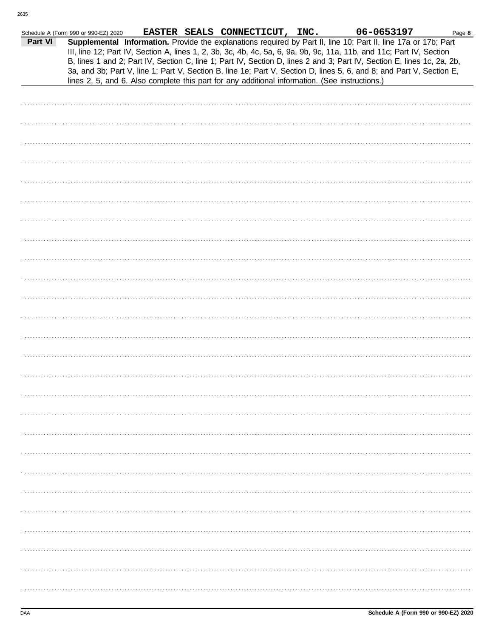|         | Schedule A (Form 990 or 990-EZ) 2020 |  | EASTER SEALS CONNECTICUT, INC.                                                                 | 06-0653197                                                                                                                                                                                                                                                                                                                                                                                                                                                                                | Page 8 |
|---------|--------------------------------------|--|------------------------------------------------------------------------------------------------|-------------------------------------------------------------------------------------------------------------------------------------------------------------------------------------------------------------------------------------------------------------------------------------------------------------------------------------------------------------------------------------------------------------------------------------------------------------------------------------------|--------|
| Part VI |                                      |  | lines 2, 5, and 6. Also complete this part for any additional information. (See instructions.) | Supplemental Information. Provide the explanations required by Part II, line 10; Part II, line 17a or 17b; Part<br>III, line 12; Part IV, Section A, lines 1, 2, 3b, 3c, 4b, 4c, 5a, 6, 9a, 9b, 9c, 11a, 11b, and 11c; Part IV, Section<br>B, lines 1 and 2; Part IV, Section C, line 1; Part IV, Section D, lines 2 and 3; Part IV, Section E, lines 1c, 2a, 2b,<br>3a, and 3b; Part V, line 1; Part V, Section B, line 1e; Part V, Section D, lines 5, 6, and 8; and Part V, Section E, |        |
|         |                                      |  |                                                                                                |                                                                                                                                                                                                                                                                                                                                                                                                                                                                                           |        |
|         |                                      |  |                                                                                                |                                                                                                                                                                                                                                                                                                                                                                                                                                                                                           |        |
|         |                                      |  |                                                                                                |                                                                                                                                                                                                                                                                                                                                                                                                                                                                                           |        |
|         |                                      |  |                                                                                                |                                                                                                                                                                                                                                                                                                                                                                                                                                                                                           |        |
|         |                                      |  |                                                                                                |                                                                                                                                                                                                                                                                                                                                                                                                                                                                                           |        |
|         |                                      |  |                                                                                                |                                                                                                                                                                                                                                                                                                                                                                                                                                                                                           |        |
|         |                                      |  |                                                                                                |                                                                                                                                                                                                                                                                                                                                                                                                                                                                                           |        |
|         |                                      |  |                                                                                                |                                                                                                                                                                                                                                                                                                                                                                                                                                                                                           |        |
|         |                                      |  |                                                                                                |                                                                                                                                                                                                                                                                                                                                                                                                                                                                                           |        |
|         |                                      |  |                                                                                                |                                                                                                                                                                                                                                                                                                                                                                                                                                                                                           |        |
|         |                                      |  |                                                                                                |                                                                                                                                                                                                                                                                                                                                                                                                                                                                                           |        |
|         |                                      |  |                                                                                                |                                                                                                                                                                                                                                                                                                                                                                                                                                                                                           |        |
|         |                                      |  |                                                                                                |                                                                                                                                                                                                                                                                                                                                                                                                                                                                                           |        |
|         |                                      |  |                                                                                                |                                                                                                                                                                                                                                                                                                                                                                                                                                                                                           |        |
|         |                                      |  |                                                                                                |                                                                                                                                                                                                                                                                                                                                                                                                                                                                                           |        |
|         |                                      |  |                                                                                                |                                                                                                                                                                                                                                                                                                                                                                                                                                                                                           |        |
|         |                                      |  |                                                                                                |                                                                                                                                                                                                                                                                                                                                                                                                                                                                                           |        |
|         |                                      |  |                                                                                                |                                                                                                                                                                                                                                                                                                                                                                                                                                                                                           |        |
|         |                                      |  |                                                                                                |                                                                                                                                                                                                                                                                                                                                                                                                                                                                                           |        |
|         |                                      |  |                                                                                                |                                                                                                                                                                                                                                                                                                                                                                                                                                                                                           |        |
|         |                                      |  |                                                                                                |                                                                                                                                                                                                                                                                                                                                                                                                                                                                                           |        |
|         |                                      |  |                                                                                                |                                                                                                                                                                                                                                                                                                                                                                                                                                                                                           |        |
|         |                                      |  |                                                                                                |                                                                                                                                                                                                                                                                                                                                                                                                                                                                                           |        |
|         |                                      |  |                                                                                                |                                                                                                                                                                                                                                                                                                                                                                                                                                                                                           |        |
|         |                                      |  |                                                                                                |                                                                                                                                                                                                                                                                                                                                                                                                                                                                                           |        |
|         |                                      |  |                                                                                                |                                                                                                                                                                                                                                                                                                                                                                                                                                                                                           |        |
|         |                                      |  |                                                                                                |                                                                                                                                                                                                                                                                                                                                                                                                                                                                                           |        |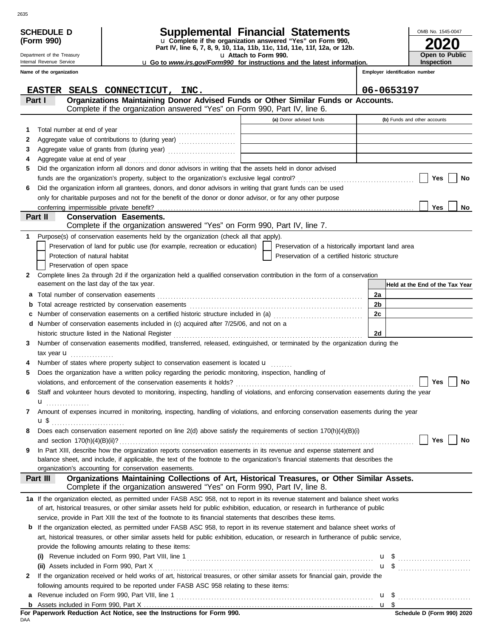| u Complete if the organization answered "Yes" on Form 990,<br>Part IV, line 6, 7, 8, 9, 10, 11a, 11b, 11c, 11d, 11e, 11f, 12a, or 12b.<br>Open to Public<br>u Attach to Form 990.<br>Department of the Treasury<br><b>Inspection</b><br>Internal Revenue Service<br><b>u</b> Go to www.irs.gov/Form990 for instructions and the latest information.<br>Employer identification number<br>Name of the organization<br>06-0653197<br>EASTER SEALS CONNECTICUT, INC.<br>Organizations Maintaining Donor Advised Funds or Other Similar Funds or Accounts.<br>Part I<br>Complete if the organization answered "Yes" on Form 990, Part IV, line 6.<br>(a) Donor advised funds<br>(b) Funds and other accounts<br>1<br>2<br>3<br>4<br>Did the organization inform all donors and donor advisors in writing that the assets held in donor advised<br>5<br>Yes<br>No<br>Did the organization inform all grantees, donors, and donor advisors in writing that grant funds can be used<br>6<br>only for charitable purposes and not for the benefit of the donor or donor advisor, or for any other purpose<br>Yes<br>conferring impermissible private benefit?<br>No<br><b>Conservation Easements.</b><br>Part II<br>Complete if the organization answered "Yes" on Form 990, Part IV, line 7.<br>Purpose(s) of conservation easements held by the organization (check all that apply).<br>1<br>Preservation of land for public use (for example, recreation or education)<br>Preservation of a historically important land area<br>Protection of natural habitat<br>Preservation of a certified historic structure<br>Preservation of open space<br>Complete lines 2a through 2d if the organization held a qualified conservation contribution in the form of a conservation<br>2<br>easement on the last day of the tax year.<br>Held at the End of the Tax Year<br>2a<br>а<br>2b<br>b<br>2c<br>Number of conservation easements on a certified historic structure included in (a) [[[[[[[[[[[[[[[[[[[[[[[[[]]]]]]]<br>c<br>Number of conservation easements included in (c) acquired after 7/25/06, and not on a<br>d<br>2d<br>Number of conservation easements modified, transferred, released, extinguished, or terminated by the organization during the<br>3.<br>tax year $\mathbf u$<br>Number of states where property subject to conservation easement is located <b>u</b><br>Does the organization have a written policy regarding the periodic monitoring, inspection, handling of<br>5<br>Yes<br>No<br>Staff and volunteer hours devoted to monitoring, inspecting, handling of violations, and enforcing conservation easements during the year<br>6<br>$\mathbf{u}$<br>Amount of expenses incurred in monitoring, inspecting, handling of violations, and enforcing conservation easements during the year<br>7<br>Does each conservation easement reported on line 2(d) above satisfy the requirements of section 170(h)(4)(B)(i)<br>8<br>Yes<br>No<br>In Part XIII, describe how the organization reports conservation easements in its revenue and expense statement and<br>9<br>balance sheet, and include, if applicable, the text of the footnote to the organization's financial statements that describes the<br>organization's accounting for conservation easements.<br>Organizations Maintaining Collections of Art, Historical Treasures, or Other Similar Assets.<br>Part III<br>Complete if the organization answered "Yes" on Form 990, Part IV, line 8.<br>1a If the organization elected, as permitted under FASB ASC 958, not to report in its revenue statement and balance sheet works<br>of art, historical treasures, or other similar assets held for public exhibition, education, or research in furtherance of public<br>service, provide in Part XIII the text of the footnote to its financial statements that describes these items.<br><b>b</b> If the organization elected, as permitted under FASB ASC 958, to report in its revenue statement and balance sheet works of<br>art, historical treasures, or other similar assets held for public exhibition, education, or research in furtherance of public service,<br>provide the following amounts relating to these items:<br>(i)<br>$\mathbf{u}$ \$<br>If the organization received or held works of art, historical treasures, or other similar assets for financial gain, provide the<br>2<br>following amounts required to be reported under FASB ASC 958 relating to these items:<br>а<br>b<br>For Paperwork Reduction Act Notice, see the Instructions for Form 990.<br>Schedule D (Form 990) 2020 |            | <b>SCHEDULE D</b> |  |  | Supplemental Financial Statements |  |  | OMB No. 1545-0047 |
|-----------------------------------------------------------------------------------------------------------------------------------------------------------------------------------------------------------------------------------------------------------------------------------------------------------------------------------------------------------------------------------------------------------------------------------------------------------------------------------------------------------------------------------------------------------------------------------------------------------------------------------------------------------------------------------------------------------------------------------------------------------------------------------------------------------------------------------------------------------------------------------------------------------------------------------------------------------------------------------------------------------------------------------------------------------------------------------------------------------------------------------------------------------------------------------------------------------------------------------------------------------------------------------------------------------------------------------------------------------------------------------------------------------------------------------------------------------------------------------------------------------------------------------------------------------------------------------------------------------------------------------------------------------------------------------------------------------------------------------------------------------------------------------------------------------------------------------------------------------------------------------------------------------------------------------------------------------------------------------------------------------------------------------------------------------------------------------------------------------------------------------------------------------------------------------------------------------------------------------------------------------------------------------------------------------------------------------------------------------------------------------------------------------------------------------------------------------------------------------------------------------------------------------------------------------------------------------------------------------------------------------------------------------------------------------------------------------------------------------------------------------------------------------------------------------------------------------------------------------------------------------------------------------------------------------------------------------------------------------------------------------------------------------------------------------------------------------------------------------------------------------------------------------------------------------------------------------------------------------------------------------------------------------------------------------------------------------------------------------------------------------------------------------------------------------------------------------------------------------------------------------------------------------------------------------------------------------------------------------------------------------------------------------------------------------------------------------------------------------------------------------------------------------------------------------------------------------------------------------------------------------------------------------------------------------------------------------------------------------------------------------------------------------------------------------------------------------------------------------------------------------------------------------------------------------------------------------------------------------------------------------------------------------------------------------------------------------------------------------------------------------------------------------------------------------------------------------------------------------------------------------------------------------------------------------------------------------------------------|------------|-------------------|--|--|-----------------------------------|--|--|-------------------|
|                                                                                                                                                                                                                                                                                                                                                                                                                                                                                                                                                                                                                                                                                                                                                                                                                                                                                                                                                                                                                                                                                                                                                                                                                                                                                                                                                                                                                                                                                                                                                                                                                                                                                                                                                                                                                                                                                                                                                                                                                                                                                                                                                                                                                                                                                                                                                                                                                                                                                                                                                                                                                                                                                                                                                                                                                                                                                                                                                                                                                                                                                                                                                                                                                                                                                                                                                                                                                                                                                                                                                                                                                                                                                                                                                                                                                                                                                                                                                                                                                                                                                                                                                                                                                                                                                                                                                                                                                                                                                                                                                                                                     | (Form 990) |                   |  |  |                                   |  |  |                   |
|                                                                                                                                                                                                                                                                                                                                                                                                                                                                                                                                                                                                                                                                                                                                                                                                                                                                                                                                                                                                                                                                                                                                                                                                                                                                                                                                                                                                                                                                                                                                                                                                                                                                                                                                                                                                                                                                                                                                                                                                                                                                                                                                                                                                                                                                                                                                                                                                                                                                                                                                                                                                                                                                                                                                                                                                                                                                                                                                                                                                                                                                                                                                                                                                                                                                                                                                                                                                                                                                                                                                                                                                                                                                                                                                                                                                                                                                                                                                                                                                                                                                                                                                                                                                                                                                                                                                                                                                                                                                                                                                                                                                     |            |                   |  |  |                                   |  |  |                   |
|                                                                                                                                                                                                                                                                                                                                                                                                                                                                                                                                                                                                                                                                                                                                                                                                                                                                                                                                                                                                                                                                                                                                                                                                                                                                                                                                                                                                                                                                                                                                                                                                                                                                                                                                                                                                                                                                                                                                                                                                                                                                                                                                                                                                                                                                                                                                                                                                                                                                                                                                                                                                                                                                                                                                                                                                                                                                                                                                                                                                                                                                                                                                                                                                                                                                                                                                                                                                                                                                                                                                                                                                                                                                                                                                                                                                                                                                                                                                                                                                                                                                                                                                                                                                                                                                                                                                                                                                                                                                                                                                                                                                     |            |                   |  |  |                                   |  |  |                   |
|                                                                                                                                                                                                                                                                                                                                                                                                                                                                                                                                                                                                                                                                                                                                                                                                                                                                                                                                                                                                                                                                                                                                                                                                                                                                                                                                                                                                                                                                                                                                                                                                                                                                                                                                                                                                                                                                                                                                                                                                                                                                                                                                                                                                                                                                                                                                                                                                                                                                                                                                                                                                                                                                                                                                                                                                                                                                                                                                                                                                                                                                                                                                                                                                                                                                                                                                                                                                                                                                                                                                                                                                                                                                                                                                                                                                                                                                                                                                                                                                                                                                                                                                                                                                                                                                                                                                                                                                                                                                                                                                                                                                     |            |                   |  |  |                                   |  |  |                   |
|                                                                                                                                                                                                                                                                                                                                                                                                                                                                                                                                                                                                                                                                                                                                                                                                                                                                                                                                                                                                                                                                                                                                                                                                                                                                                                                                                                                                                                                                                                                                                                                                                                                                                                                                                                                                                                                                                                                                                                                                                                                                                                                                                                                                                                                                                                                                                                                                                                                                                                                                                                                                                                                                                                                                                                                                                                                                                                                                                                                                                                                                                                                                                                                                                                                                                                                                                                                                                                                                                                                                                                                                                                                                                                                                                                                                                                                                                                                                                                                                                                                                                                                                                                                                                                                                                                                                                                                                                                                                                                                                                                                                     |            |                   |  |  |                                   |  |  |                   |
|                                                                                                                                                                                                                                                                                                                                                                                                                                                                                                                                                                                                                                                                                                                                                                                                                                                                                                                                                                                                                                                                                                                                                                                                                                                                                                                                                                                                                                                                                                                                                                                                                                                                                                                                                                                                                                                                                                                                                                                                                                                                                                                                                                                                                                                                                                                                                                                                                                                                                                                                                                                                                                                                                                                                                                                                                                                                                                                                                                                                                                                                                                                                                                                                                                                                                                                                                                                                                                                                                                                                                                                                                                                                                                                                                                                                                                                                                                                                                                                                                                                                                                                                                                                                                                                                                                                                                                                                                                                                                                                                                                                                     |            |                   |  |  |                                   |  |  |                   |
|                                                                                                                                                                                                                                                                                                                                                                                                                                                                                                                                                                                                                                                                                                                                                                                                                                                                                                                                                                                                                                                                                                                                                                                                                                                                                                                                                                                                                                                                                                                                                                                                                                                                                                                                                                                                                                                                                                                                                                                                                                                                                                                                                                                                                                                                                                                                                                                                                                                                                                                                                                                                                                                                                                                                                                                                                                                                                                                                                                                                                                                                                                                                                                                                                                                                                                                                                                                                                                                                                                                                                                                                                                                                                                                                                                                                                                                                                                                                                                                                                                                                                                                                                                                                                                                                                                                                                                                                                                                                                                                                                                                                     |            |                   |  |  |                                   |  |  |                   |
|                                                                                                                                                                                                                                                                                                                                                                                                                                                                                                                                                                                                                                                                                                                                                                                                                                                                                                                                                                                                                                                                                                                                                                                                                                                                                                                                                                                                                                                                                                                                                                                                                                                                                                                                                                                                                                                                                                                                                                                                                                                                                                                                                                                                                                                                                                                                                                                                                                                                                                                                                                                                                                                                                                                                                                                                                                                                                                                                                                                                                                                                                                                                                                                                                                                                                                                                                                                                                                                                                                                                                                                                                                                                                                                                                                                                                                                                                                                                                                                                                                                                                                                                                                                                                                                                                                                                                                                                                                                                                                                                                                                                     |            |                   |  |  |                                   |  |  |                   |
|                                                                                                                                                                                                                                                                                                                                                                                                                                                                                                                                                                                                                                                                                                                                                                                                                                                                                                                                                                                                                                                                                                                                                                                                                                                                                                                                                                                                                                                                                                                                                                                                                                                                                                                                                                                                                                                                                                                                                                                                                                                                                                                                                                                                                                                                                                                                                                                                                                                                                                                                                                                                                                                                                                                                                                                                                                                                                                                                                                                                                                                                                                                                                                                                                                                                                                                                                                                                                                                                                                                                                                                                                                                                                                                                                                                                                                                                                                                                                                                                                                                                                                                                                                                                                                                                                                                                                                                                                                                                                                                                                                                                     |            |                   |  |  |                                   |  |  |                   |
|                                                                                                                                                                                                                                                                                                                                                                                                                                                                                                                                                                                                                                                                                                                                                                                                                                                                                                                                                                                                                                                                                                                                                                                                                                                                                                                                                                                                                                                                                                                                                                                                                                                                                                                                                                                                                                                                                                                                                                                                                                                                                                                                                                                                                                                                                                                                                                                                                                                                                                                                                                                                                                                                                                                                                                                                                                                                                                                                                                                                                                                                                                                                                                                                                                                                                                                                                                                                                                                                                                                                                                                                                                                                                                                                                                                                                                                                                                                                                                                                                                                                                                                                                                                                                                                                                                                                                                                                                                                                                                                                                                                                     |            |                   |  |  |                                   |  |  |                   |
|                                                                                                                                                                                                                                                                                                                                                                                                                                                                                                                                                                                                                                                                                                                                                                                                                                                                                                                                                                                                                                                                                                                                                                                                                                                                                                                                                                                                                                                                                                                                                                                                                                                                                                                                                                                                                                                                                                                                                                                                                                                                                                                                                                                                                                                                                                                                                                                                                                                                                                                                                                                                                                                                                                                                                                                                                                                                                                                                                                                                                                                                                                                                                                                                                                                                                                                                                                                                                                                                                                                                                                                                                                                                                                                                                                                                                                                                                                                                                                                                                                                                                                                                                                                                                                                                                                                                                                                                                                                                                                                                                                                                     |            |                   |  |  |                                   |  |  |                   |
|                                                                                                                                                                                                                                                                                                                                                                                                                                                                                                                                                                                                                                                                                                                                                                                                                                                                                                                                                                                                                                                                                                                                                                                                                                                                                                                                                                                                                                                                                                                                                                                                                                                                                                                                                                                                                                                                                                                                                                                                                                                                                                                                                                                                                                                                                                                                                                                                                                                                                                                                                                                                                                                                                                                                                                                                                                                                                                                                                                                                                                                                                                                                                                                                                                                                                                                                                                                                                                                                                                                                                                                                                                                                                                                                                                                                                                                                                                                                                                                                                                                                                                                                                                                                                                                                                                                                                                                                                                                                                                                                                                                                     |            |                   |  |  |                                   |  |  |                   |
|                                                                                                                                                                                                                                                                                                                                                                                                                                                                                                                                                                                                                                                                                                                                                                                                                                                                                                                                                                                                                                                                                                                                                                                                                                                                                                                                                                                                                                                                                                                                                                                                                                                                                                                                                                                                                                                                                                                                                                                                                                                                                                                                                                                                                                                                                                                                                                                                                                                                                                                                                                                                                                                                                                                                                                                                                                                                                                                                                                                                                                                                                                                                                                                                                                                                                                                                                                                                                                                                                                                                                                                                                                                                                                                                                                                                                                                                                                                                                                                                                                                                                                                                                                                                                                                                                                                                                                                                                                                                                                                                                                                                     |            |                   |  |  |                                   |  |  |                   |
|                                                                                                                                                                                                                                                                                                                                                                                                                                                                                                                                                                                                                                                                                                                                                                                                                                                                                                                                                                                                                                                                                                                                                                                                                                                                                                                                                                                                                                                                                                                                                                                                                                                                                                                                                                                                                                                                                                                                                                                                                                                                                                                                                                                                                                                                                                                                                                                                                                                                                                                                                                                                                                                                                                                                                                                                                                                                                                                                                                                                                                                                                                                                                                                                                                                                                                                                                                                                                                                                                                                                                                                                                                                                                                                                                                                                                                                                                                                                                                                                                                                                                                                                                                                                                                                                                                                                                                                                                                                                                                                                                                                                     |            |                   |  |  |                                   |  |  |                   |
|                                                                                                                                                                                                                                                                                                                                                                                                                                                                                                                                                                                                                                                                                                                                                                                                                                                                                                                                                                                                                                                                                                                                                                                                                                                                                                                                                                                                                                                                                                                                                                                                                                                                                                                                                                                                                                                                                                                                                                                                                                                                                                                                                                                                                                                                                                                                                                                                                                                                                                                                                                                                                                                                                                                                                                                                                                                                                                                                                                                                                                                                                                                                                                                                                                                                                                                                                                                                                                                                                                                                                                                                                                                                                                                                                                                                                                                                                                                                                                                                                                                                                                                                                                                                                                                                                                                                                                                                                                                                                                                                                                                                     |            |                   |  |  |                                   |  |  |                   |
|                                                                                                                                                                                                                                                                                                                                                                                                                                                                                                                                                                                                                                                                                                                                                                                                                                                                                                                                                                                                                                                                                                                                                                                                                                                                                                                                                                                                                                                                                                                                                                                                                                                                                                                                                                                                                                                                                                                                                                                                                                                                                                                                                                                                                                                                                                                                                                                                                                                                                                                                                                                                                                                                                                                                                                                                                                                                                                                                                                                                                                                                                                                                                                                                                                                                                                                                                                                                                                                                                                                                                                                                                                                                                                                                                                                                                                                                                                                                                                                                                                                                                                                                                                                                                                                                                                                                                                                                                                                                                                                                                                                                     |            |                   |  |  |                                   |  |  |                   |
|                                                                                                                                                                                                                                                                                                                                                                                                                                                                                                                                                                                                                                                                                                                                                                                                                                                                                                                                                                                                                                                                                                                                                                                                                                                                                                                                                                                                                                                                                                                                                                                                                                                                                                                                                                                                                                                                                                                                                                                                                                                                                                                                                                                                                                                                                                                                                                                                                                                                                                                                                                                                                                                                                                                                                                                                                                                                                                                                                                                                                                                                                                                                                                                                                                                                                                                                                                                                                                                                                                                                                                                                                                                                                                                                                                                                                                                                                                                                                                                                                                                                                                                                                                                                                                                                                                                                                                                                                                                                                                                                                                                                     |            |                   |  |  |                                   |  |  |                   |
|                                                                                                                                                                                                                                                                                                                                                                                                                                                                                                                                                                                                                                                                                                                                                                                                                                                                                                                                                                                                                                                                                                                                                                                                                                                                                                                                                                                                                                                                                                                                                                                                                                                                                                                                                                                                                                                                                                                                                                                                                                                                                                                                                                                                                                                                                                                                                                                                                                                                                                                                                                                                                                                                                                                                                                                                                                                                                                                                                                                                                                                                                                                                                                                                                                                                                                                                                                                                                                                                                                                                                                                                                                                                                                                                                                                                                                                                                                                                                                                                                                                                                                                                                                                                                                                                                                                                                                                                                                                                                                                                                                                                     |            |                   |  |  |                                   |  |  |                   |
|                                                                                                                                                                                                                                                                                                                                                                                                                                                                                                                                                                                                                                                                                                                                                                                                                                                                                                                                                                                                                                                                                                                                                                                                                                                                                                                                                                                                                                                                                                                                                                                                                                                                                                                                                                                                                                                                                                                                                                                                                                                                                                                                                                                                                                                                                                                                                                                                                                                                                                                                                                                                                                                                                                                                                                                                                                                                                                                                                                                                                                                                                                                                                                                                                                                                                                                                                                                                                                                                                                                                                                                                                                                                                                                                                                                                                                                                                                                                                                                                                                                                                                                                                                                                                                                                                                                                                                                                                                                                                                                                                                                                     |            |                   |  |  |                                   |  |  |                   |
|                                                                                                                                                                                                                                                                                                                                                                                                                                                                                                                                                                                                                                                                                                                                                                                                                                                                                                                                                                                                                                                                                                                                                                                                                                                                                                                                                                                                                                                                                                                                                                                                                                                                                                                                                                                                                                                                                                                                                                                                                                                                                                                                                                                                                                                                                                                                                                                                                                                                                                                                                                                                                                                                                                                                                                                                                                                                                                                                                                                                                                                                                                                                                                                                                                                                                                                                                                                                                                                                                                                                                                                                                                                                                                                                                                                                                                                                                                                                                                                                                                                                                                                                                                                                                                                                                                                                                                                                                                                                                                                                                                                                     |            |                   |  |  |                                   |  |  |                   |
|                                                                                                                                                                                                                                                                                                                                                                                                                                                                                                                                                                                                                                                                                                                                                                                                                                                                                                                                                                                                                                                                                                                                                                                                                                                                                                                                                                                                                                                                                                                                                                                                                                                                                                                                                                                                                                                                                                                                                                                                                                                                                                                                                                                                                                                                                                                                                                                                                                                                                                                                                                                                                                                                                                                                                                                                                                                                                                                                                                                                                                                                                                                                                                                                                                                                                                                                                                                                                                                                                                                                                                                                                                                                                                                                                                                                                                                                                                                                                                                                                                                                                                                                                                                                                                                                                                                                                                                                                                                                                                                                                                                                     |            |                   |  |  |                                   |  |  |                   |
|                                                                                                                                                                                                                                                                                                                                                                                                                                                                                                                                                                                                                                                                                                                                                                                                                                                                                                                                                                                                                                                                                                                                                                                                                                                                                                                                                                                                                                                                                                                                                                                                                                                                                                                                                                                                                                                                                                                                                                                                                                                                                                                                                                                                                                                                                                                                                                                                                                                                                                                                                                                                                                                                                                                                                                                                                                                                                                                                                                                                                                                                                                                                                                                                                                                                                                                                                                                                                                                                                                                                                                                                                                                                                                                                                                                                                                                                                                                                                                                                                                                                                                                                                                                                                                                                                                                                                                                                                                                                                                                                                                                                     |            |                   |  |  |                                   |  |  |                   |
|                                                                                                                                                                                                                                                                                                                                                                                                                                                                                                                                                                                                                                                                                                                                                                                                                                                                                                                                                                                                                                                                                                                                                                                                                                                                                                                                                                                                                                                                                                                                                                                                                                                                                                                                                                                                                                                                                                                                                                                                                                                                                                                                                                                                                                                                                                                                                                                                                                                                                                                                                                                                                                                                                                                                                                                                                                                                                                                                                                                                                                                                                                                                                                                                                                                                                                                                                                                                                                                                                                                                                                                                                                                                                                                                                                                                                                                                                                                                                                                                                                                                                                                                                                                                                                                                                                                                                                                                                                                                                                                                                                                                     |            |                   |  |  |                                   |  |  |                   |
|                                                                                                                                                                                                                                                                                                                                                                                                                                                                                                                                                                                                                                                                                                                                                                                                                                                                                                                                                                                                                                                                                                                                                                                                                                                                                                                                                                                                                                                                                                                                                                                                                                                                                                                                                                                                                                                                                                                                                                                                                                                                                                                                                                                                                                                                                                                                                                                                                                                                                                                                                                                                                                                                                                                                                                                                                                                                                                                                                                                                                                                                                                                                                                                                                                                                                                                                                                                                                                                                                                                                                                                                                                                                                                                                                                                                                                                                                                                                                                                                                                                                                                                                                                                                                                                                                                                                                                                                                                                                                                                                                                                                     |            |                   |  |  |                                   |  |  |                   |
|                                                                                                                                                                                                                                                                                                                                                                                                                                                                                                                                                                                                                                                                                                                                                                                                                                                                                                                                                                                                                                                                                                                                                                                                                                                                                                                                                                                                                                                                                                                                                                                                                                                                                                                                                                                                                                                                                                                                                                                                                                                                                                                                                                                                                                                                                                                                                                                                                                                                                                                                                                                                                                                                                                                                                                                                                                                                                                                                                                                                                                                                                                                                                                                                                                                                                                                                                                                                                                                                                                                                                                                                                                                                                                                                                                                                                                                                                                                                                                                                                                                                                                                                                                                                                                                                                                                                                                                                                                                                                                                                                                                                     |            |                   |  |  |                                   |  |  |                   |
|                                                                                                                                                                                                                                                                                                                                                                                                                                                                                                                                                                                                                                                                                                                                                                                                                                                                                                                                                                                                                                                                                                                                                                                                                                                                                                                                                                                                                                                                                                                                                                                                                                                                                                                                                                                                                                                                                                                                                                                                                                                                                                                                                                                                                                                                                                                                                                                                                                                                                                                                                                                                                                                                                                                                                                                                                                                                                                                                                                                                                                                                                                                                                                                                                                                                                                                                                                                                                                                                                                                                                                                                                                                                                                                                                                                                                                                                                                                                                                                                                                                                                                                                                                                                                                                                                                                                                                                                                                                                                                                                                                                                     |            |                   |  |  |                                   |  |  |                   |
|                                                                                                                                                                                                                                                                                                                                                                                                                                                                                                                                                                                                                                                                                                                                                                                                                                                                                                                                                                                                                                                                                                                                                                                                                                                                                                                                                                                                                                                                                                                                                                                                                                                                                                                                                                                                                                                                                                                                                                                                                                                                                                                                                                                                                                                                                                                                                                                                                                                                                                                                                                                                                                                                                                                                                                                                                                                                                                                                                                                                                                                                                                                                                                                                                                                                                                                                                                                                                                                                                                                                                                                                                                                                                                                                                                                                                                                                                                                                                                                                                                                                                                                                                                                                                                                                                                                                                                                                                                                                                                                                                                                                     |            |                   |  |  |                                   |  |  |                   |
|                                                                                                                                                                                                                                                                                                                                                                                                                                                                                                                                                                                                                                                                                                                                                                                                                                                                                                                                                                                                                                                                                                                                                                                                                                                                                                                                                                                                                                                                                                                                                                                                                                                                                                                                                                                                                                                                                                                                                                                                                                                                                                                                                                                                                                                                                                                                                                                                                                                                                                                                                                                                                                                                                                                                                                                                                                                                                                                                                                                                                                                                                                                                                                                                                                                                                                                                                                                                                                                                                                                                                                                                                                                                                                                                                                                                                                                                                                                                                                                                                                                                                                                                                                                                                                                                                                                                                                                                                                                                                                                                                                                                     |            |                   |  |  |                                   |  |  |                   |
|                                                                                                                                                                                                                                                                                                                                                                                                                                                                                                                                                                                                                                                                                                                                                                                                                                                                                                                                                                                                                                                                                                                                                                                                                                                                                                                                                                                                                                                                                                                                                                                                                                                                                                                                                                                                                                                                                                                                                                                                                                                                                                                                                                                                                                                                                                                                                                                                                                                                                                                                                                                                                                                                                                                                                                                                                                                                                                                                                                                                                                                                                                                                                                                                                                                                                                                                                                                                                                                                                                                                                                                                                                                                                                                                                                                                                                                                                                                                                                                                                                                                                                                                                                                                                                                                                                                                                                                                                                                                                                                                                                                                     |            |                   |  |  |                                   |  |  |                   |
|                                                                                                                                                                                                                                                                                                                                                                                                                                                                                                                                                                                                                                                                                                                                                                                                                                                                                                                                                                                                                                                                                                                                                                                                                                                                                                                                                                                                                                                                                                                                                                                                                                                                                                                                                                                                                                                                                                                                                                                                                                                                                                                                                                                                                                                                                                                                                                                                                                                                                                                                                                                                                                                                                                                                                                                                                                                                                                                                                                                                                                                                                                                                                                                                                                                                                                                                                                                                                                                                                                                                                                                                                                                                                                                                                                                                                                                                                                                                                                                                                                                                                                                                                                                                                                                                                                                                                                                                                                                                                                                                                                                                     |            |                   |  |  |                                   |  |  |                   |
|                                                                                                                                                                                                                                                                                                                                                                                                                                                                                                                                                                                                                                                                                                                                                                                                                                                                                                                                                                                                                                                                                                                                                                                                                                                                                                                                                                                                                                                                                                                                                                                                                                                                                                                                                                                                                                                                                                                                                                                                                                                                                                                                                                                                                                                                                                                                                                                                                                                                                                                                                                                                                                                                                                                                                                                                                                                                                                                                                                                                                                                                                                                                                                                                                                                                                                                                                                                                                                                                                                                                                                                                                                                                                                                                                                                                                                                                                                                                                                                                                                                                                                                                                                                                                                                                                                                                                                                                                                                                                                                                                                                                     |            |                   |  |  |                                   |  |  |                   |
|                                                                                                                                                                                                                                                                                                                                                                                                                                                                                                                                                                                                                                                                                                                                                                                                                                                                                                                                                                                                                                                                                                                                                                                                                                                                                                                                                                                                                                                                                                                                                                                                                                                                                                                                                                                                                                                                                                                                                                                                                                                                                                                                                                                                                                                                                                                                                                                                                                                                                                                                                                                                                                                                                                                                                                                                                                                                                                                                                                                                                                                                                                                                                                                                                                                                                                                                                                                                                                                                                                                                                                                                                                                                                                                                                                                                                                                                                                                                                                                                                                                                                                                                                                                                                                                                                                                                                                                                                                                                                                                                                                                                     |            |                   |  |  |                                   |  |  |                   |
|                                                                                                                                                                                                                                                                                                                                                                                                                                                                                                                                                                                                                                                                                                                                                                                                                                                                                                                                                                                                                                                                                                                                                                                                                                                                                                                                                                                                                                                                                                                                                                                                                                                                                                                                                                                                                                                                                                                                                                                                                                                                                                                                                                                                                                                                                                                                                                                                                                                                                                                                                                                                                                                                                                                                                                                                                                                                                                                                                                                                                                                                                                                                                                                                                                                                                                                                                                                                                                                                                                                                                                                                                                                                                                                                                                                                                                                                                                                                                                                                                                                                                                                                                                                                                                                                                                                                                                                                                                                                                                                                                                                                     |            |                   |  |  |                                   |  |  |                   |
|                                                                                                                                                                                                                                                                                                                                                                                                                                                                                                                                                                                                                                                                                                                                                                                                                                                                                                                                                                                                                                                                                                                                                                                                                                                                                                                                                                                                                                                                                                                                                                                                                                                                                                                                                                                                                                                                                                                                                                                                                                                                                                                                                                                                                                                                                                                                                                                                                                                                                                                                                                                                                                                                                                                                                                                                                                                                                                                                                                                                                                                                                                                                                                                                                                                                                                                                                                                                                                                                                                                                                                                                                                                                                                                                                                                                                                                                                                                                                                                                                                                                                                                                                                                                                                                                                                                                                                                                                                                                                                                                                                                                     |            |                   |  |  |                                   |  |  |                   |
|                                                                                                                                                                                                                                                                                                                                                                                                                                                                                                                                                                                                                                                                                                                                                                                                                                                                                                                                                                                                                                                                                                                                                                                                                                                                                                                                                                                                                                                                                                                                                                                                                                                                                                                                                                                                                                                                                                                                                                                                                                                                                                                                                                                                                                                                                                                                                                                                                                                                                                                                                                                                                                                                                                                                                                                                                                                                                                                                                                                                                                                                                                                                                                                                                                                                                                                                                                                                                                                                                                                                                                                                                                                                                                                                                                                                                                                                                                                                                                                                                                                                                                                                                                                                                                                                                                                                                                                                                                                                                                                                                                                                     |            |                   |  |  |                                   |  |  |                   |
|                                                                                                                                                                                                                                                                                                                                                                                                                                                                                                                                                                                                                                                                                                                                                                                                                                                                                                                                                                                                                                                                                                                                                                                                                                                                                                                                                                                                                                                                                                                                                                                                                                                                                                                                                                                                                                                                                                                                                                                                                                                                                                                                                                                                                                                                                                                                                                                                                                                                                                                                                                                                                                                                                                                                                                                                                                                                                                                                                                                                                                                                                                                                                                                                                                                                                                                                                                                                                                                                                                                                                                                                                                                                                                                                                                                                                                                                                                                                                                                                                                                                                                                                                                                                                                                                                                                                                                                                                                                                                                                                                                                                     |            |                   |  |  |                                   |  |  |                   |
|                                                                                                                                                                                                                                                                                                                                                                                                                                                                                                                                                                                                                                                                                                                                                                                                                                                                                                                                                                                                                                                                                                                                                                                                                                                                                                                                                                                                                                                                                                                                                                                                                                                                                                                                                                                                                                                                                                                                                                                                                                                                                                                                                                                                                                                                                                                                                                                                                                                                                                                                                                                                                                                                                                                                                                                                                                                                                                                                                                                                                                                                                                                                                                                                                                                                                                                                                                                                                                                                                                                                                                                                                                                                                                                                                                                                                                                                                                                                                                                                                                                                                                                                                                                                                                                                                                                                                                                                                                                                                                                                                                                                     |            |                   |  |  |                                   |  |  |                   |
|                                                                                                                                                                                                                                                                                                                                                                                                                                                                                                                                                                                                                                                                                                                                                                                                                                                                                                                                                                                                                                                                                                                                                                                                                                                                                                                                                                                                                                                                                                                                                                                                                                                                                                                                                                                                                                                                                                                                                                                                                                                                                                                                                                                                                                                                                                                                                                                                                                                                                                                                                                                                                                                                                                                                                                                                                                                                                                                                                                                                                                                                                                                                                                                                                                                                                                                                                                                                                                                                                                                                                                                                                                                                                                                                                                                                                                                                                                                                                                                                                                                                                                                                                                                                                                                                                                                                                                                                                                                                                                                                                                                                     |            |                   |  |  |                                   |  |  |                   |
|                                                                                                                                                                                                                                                                                                                                                                                                                                                                                                                                                                                                                                                                                                                                                                                                                                                                                                                                                                                                                                                                                                                                                                                                                                                                                                                                                                                                                                                                                                                                                                                                                                                                                                                                                                                                                                                                                                                                                                                                                                                                                                                                                                                                                                                                                                                                                                                                                                                                                                                                                                                                                                                                                                                                                                                                                                                                                                                                                                                                                                                                                                                                                                                                                                                                                                                                                                                                                                                                                                                                                                                                                                                                                                                                                                                                                                                                                                                                                                                                                                                                                                                                                                                                                                                                                                                                                                                                                                                                                                                                                                                                     |            |                   |  |  |                                   |  |  |                   |
|                                                                                                                                                                                                                                                                                                                                                                                                                                                                                                                                                                                                                                                                                                                                                                                                                                                                                                                                                                                                                                                                                                                                                                                                                                                                                                                                                                                                                                                                                                                                                                                                                                                                                                                                                                                                                                                                                                                                                                                                                                                                                                                                                                                                                                                                                                                                                                                                                                                                                                                                                                                                                                                                                                                                                                                                                                                                                                                                                                                                                                                                                                                                                                                                                                                                                                                                                                                                                                                                                                                                                                                                                                                                                                                                                                                                                                                                                                                                                                                                                                                                                                                                                                                                                                                                                                                                                                                                                                                                                                                                                                                                     |            |                   |  |  |                                   |  |  |                   |
|                                                                                                                                                                                                                                                                                                                                                                                                                                                                                                                                                                                                                                                                                                                                                                                                                                                                                                                                                                                                                                                                                                                                                                                                                                                                                                                                                                                                                                                                                                                                                                                                                                                                                                                                                                                                                                                                                                                                                                                                                                                                                                                                                                                                                                                                                                                                                                                                                                                                                                                                                                                                                                                                                                                                                                                                                                                                                                                                                                                                                                                                                                                                                                                                                                                                                                                                                                                                                                                                                                                                                                                                                                                                                                                                                                                                                                                                                                                                                                                                                                                                                                                                                                                                                                                                                                                                                                                                                                                                                                                                                                                                     |            |                   |  |  |                                   |  |  |                   |
|                                                                                                                                                                                                                                                                                                                                                                                                                                                                                                                                                                                                                                                                                                                                                                                                                                                                                                                                                                                                                                                                                                                                                                                                                                                                                                                                                                                                                                                                                                                                                                                                                                                                                                                                                                                                                                                                                                                                                                                                                                                                                                                                                                                                                                                                                                                                                                                                                                                                                                                                                                                                                                                                                                                                                                                                                                                                                                                                                                                                                                                                                                                                                                                                                                                                                                                                                                                                                                                                                                                                                                                                                                                                                                                                                                                                                                                                                                                                                                                                                                                                                                                                                                                                                                                                                                                                                                                                                                                                                                                                                                                                     |            |                   |  |  |                                   |  |  |                   |
|                                                                                                                                                                                                                                                                                                                                                                                                                                                                                                                                                                                                                                                                                                                                                                                                                                                                                                                                                                                                                                                                                                                                                                                                                                                                                                                                                                                                                                                                                                                                                                                                                                                                                                                                                                                                                                                                                                                                                                                                                                                                                                                                                                                                                                                                                                                                                                                                                                                                                                                                                                                                                                                                                                                                                                                                                                                                                                                                                                                                                                                                                                                                                                                                                                                                                                                                                                                                                                                                                                                                                                                                                                                                                                                                                                                                                                                                                                                                                                                                                                                                                                                                                                                                                                                                                                                                                                                                                                                                                                                                                                                                     |            |                   |  |  |                                   |  |  |                   |
|                                                                                                                                                                                                                                                                                                                                                                                                                                                                                                                                                                                                                                                                                                                                                                                                                                                                                                                                                                                                                                                                                                                                                                                                                                                                                                                                                                                                                                                                                                                                                                                                                                                                                                                                                                                                                                                                                                                                                                                                                                                                                                                                                                                                                                                                                                                                                                                                                                                                                                                                                                                                                                                                                                                                                                                                                                                                                                                                                                                                                                                                                                                                                                                                                                                                                                                                                                                                                                                                                                                                                                                                                                                                                                                                                                                                                                                                                                                                                                                                                                                                                                                                                                                                                                                                                                                                                                                                                                                                                                                                                                                                     |            |                   |  |  |                                   |  |  |                   |
|                                                                                                                                                                                                                                                                                                                                                                                                                                                                                                                                                                                                                                                                                                                                                                                                                                                                                                                                                                                                                                                                                                                                                                                                                                                                                                                                                                                                                                                                                                                                                                                                                                                                                                                                                                                                                                                                                                                                                                                                                                                                                                                                                                                                                                                                                                                                                                                                                                                                                                                                                                                                                                                                                                                                                                                                                                                                                                                                                                                                                                                                                                                                                                                                                                                                                                                                                                                                                                                                                                                                                                                                                                                                                                                                                                                                                                                                                                                                                                                                                                                                                                                                                                                                                                                                                                                                                                                                                                                                                                                                                                                                     |            |                   |  |  |                                   |  |  |                   |
|                                                                                                                                                                                                                                                                                                                                                                                                                                                                                                                                                                                                                                                                                                                                                                                                                                                                                                                                                                                                                                                                                                                                                                                                                                                                                                                                                                                                                                                                                                                                                                                                                                                                                                                                                                                                                                                                                                                                                                                                                                                                                                                                                                                                                                                                                                                                                                                                                                                                                                                                                                                                                                                                                                                                                                                                                                                                                                                                                                                                                                                                                                                                                                                                                                                                                                                                                                                                                                                                                                                                                                                                                                                                                                                                                                                                                                                                                                                                                                                                                                                                                                                                                                                                                                                                                                                                                                                                                                                                                                                                                                                                     |            |                   |  |  |                                   |  |  |                   |
|                                                                                                                                                                                                                                                                                                                                                                                                                                                                                                                                                                                                                                                                                                                                                                                                                                                                                                                                                                                                                                                                                                                                                                                                                                                                                                                                                                                                                                                                                                                                                                                                                                                                                                                                                                                                                                                                                                                                                                                                                                                                                                                                                                                                                                                                                                                                                                                                                                                                                                                                                                                                                                                                                                                                                                                                                                                                                                                                                                                                                                                                                                                                                                                                                                                                                                                                                                                                                                                                                                                                                                                                                                                                                                                                                                                                                                                                                                                                                                                                                                                                                                                                                                                                                                                                                                                                                                                                                                                                                                                                                                                                     |            |                   |  |  |                                   |  |  |                   |
|                                                                                                                                                                                                                                                                                                                                                                                                                                                                                                                                                                                                                                                                                                                                                                                                                                                                                                                                                                                                                                                                                                                                                                                                                                                                                                                                                                                                                                                                                                                                                                                                                                                                                                                                                                                                                                                                                                                                                                                                                                                                                                                                                                                                                                                                                                                                                                                                                                                                                                                                                                                                                                                                                                                                                                                                                                                                                                                                                                                                                                                                                                                                                                                                                                                                                                                                                                                                                                                                                                                                                                                                                                                                                                                                                                                                                                                                                                                                                                                                                                                                                                                                                                                                                                                                                                                                                                                                                                                                                                                                                                                                     |            |                   |  |  |                                   |  |  |                   |
|                                                                                                                                                                                                                                                                                                                                                                                                                                                                                                                                                                                                                                                                                                                                                                                                                                                                                                                                                                                                                                                                                                                                                                                                                                                                                                                                                                                                                                                                                                                                                                                                                                                                                                                                                                                                                                                                                                                                                                                                                                                                                                                                                                                                                                                                                                                                                                                                                                                                                                                                                                                                                                                                                                                                                                                                                                                                                                                                                                                                                                                                                                                                                                                                                                                                                                                                                                                                                                                                                                                                                                                                                                                                                                                                                                                                                                                                                                                                                                                                                                                                                                                                                                                                                                                                                                                                                                                                                                                                                                                                                                                                     |            |                   |  |  |                                   |  |  |                   |
|                                                                                                                                                                                                                                                                                                                                                                                                                                                                                                                                                                                                                                                                                                                                                                                                                                                                                                                                                                                                                                                                                                                                                                                                                                                                                                                                                                                                                                                                                                                                                                                                                                                                                                                                                                                                                                                                                                                                                                                                                                                                                                                                                                                                                                                                                                                                                                                                                                                                                                                                                                                                                                                                                                                                                                                                                                                                                                                                                                                                                                                                                                                                                                                                                                                                                                                                                                                                                                                                                                                                                                                                                                                                                                                                                                                                                                                                                                                                                                                                                                                                                                                                                                                                                                                                                                                                                                                                                                                                                                                                                                                                     |            |                   |  |  |                                   |  |  |                   |
|                                                                                                                                                                                                                                                                                                                                                                                                                                                                                                                                                                                                                                                                                                                                                                                                                                                                                                                                                                                                                                                                                                                                                                                                                                                                                                                                                                                                                                                                                                                                                                                                                                                                                                                                                                                                                                                                                                                                                                                                                                                                                                                                                                                                                                                                                                                                                                                                                                                                                                                                                                                                                                                                                                                                                                                                                                                                                                                                                                                                                                                                                                                                                                                                                                                                                                                                                                                                                                                                                                                                                                                                                                                                                                                                                                                                                                                                                                                                                                                                                                                                                                                                                                                                                                                                                                                                                                                                                                                                                                                                                                                                     |            |                   |  |  |                                   |  |  |                   |
|                                                                                                                                                                                                                                                                                                                                                                                                                                                                                                                                                                                                                                                                                                                                                                                                                                                                                                                                                                                                                                                                                                                                                                                                                                                                                                                                                                                                                                                                                                                                                                                                                                                                                                                                                                                                                                                                                                                                                                                                                                                                                                                                                                                                                                                                                                                                                                                                                                                                                                                                                                                                                                                                                                                                                                                                                                                                                                                                                                                                                                                                                                                                                                                                                                                                                                                                                                                                                                                                                                                                                                                                                                                                                                                                                                                                                                                                                                                                                                                                                                                                                                                                                                                                                                                                                                                                                                                                                                                                                                                                                                                                     |            |                   |  |  |                                   |  |  |                   |
|                                                                                                                                                                                                                                                                                                                                                                                                                                                                                                                                                                                                                                                                                                                                                                                                                                                                                                                                                                                                                                                                                                                                                                                                                                                                                                                                                                                                                                                                                                                                                                                                                                                                                                                                                                                                                                                                                                                                                                                                                                                                                                                                                                                                                                                                                                                                                                                                                                                                                                                                                                                                                                                                                                                                                                                                                                                                                                                                                                                                                                                                                                                                                                                                                                                                                                                                                                                                                                                                                                                                                                                                                                                                                                                                                                                                                                                                                                                                                                                                                                                                                                                                                                                                                                                                                                                                                                                                                                                                                                                                                                                                     |            |                   |  |  |                                   |  |  |                   |
|                                                                                                                                                                                                                                                                                                                                                                                                                                                                                                                                                                                                                                                                                                                                                                                                                                                                                                                                                                                                                                                                                                                                                                                                                                                                                                                                                                                                                                                                                                                                                                                                                                                                                                                                                                                                                                                                                                                                                                                                                                                                                                                                                                                                                                                                                                                                                                                                                                                                                                                                                                                                                                                                                                                                                                                                                                                                                                                                                                                                                                                                                                                                                                                                                                                                                                                                                                                                                                                                                                                                                                                                                                                                                                                                                                                                                                                                                                                                                                                                                                                                                                                                                                                                                                                                                                                                                                                                                                                                                                                                                                                                     |            |                   |  |  |                                   |  |  |                   |
|                                                                                                                                                                                                                                                                                                                                                                                                                                                                                                                                                                                                                                                                                                                                                                                                                                                                                                                                                                                                                                                                                                                                                                                                                                                                                                                                                                                                                                                                                                                                                                                                                                                                                                                                                                                                                                                                                                                                                                                                                                                                                                                                                                                                                                                                                                                                                                                                                                                                                                                                                                                                                                                                                                                                                                                                                                                                                                                                                                                                                                                                                                                                                                                                                                                                                                                                                                                                                                                                                                                                                                                                                                                                                                                                                                                                                                                                                                                                                                                                                                                                                                                                                                                                                                                                                                                                                                                                                                                                                                                                                                                                     |            |                   |  |  |                                   |  |  |                   |
|                                                                                                                                                                                                                                                                                                                                                                                                                                                                                                                                                                                                                                                                                                                                                                                                                                                                                                                                                                                                                                                                                                                                                                                                                                                                                                                                                                                                                                                                                                                                                                                                                                                                                                                                                                                                                                                                                                                                                                                                                                                                                                                                                                                                                                                                                                                                                                                                                                                                                                                                                                                                                                                                                                                                                                                                                                                                                                                                                                                                                                                                                                                                                                                                                                                                                                                                                                                                                                                                                                                                                                                                                                                                                                                                                                                                                                                                                                                                                                                                                                                                                                                                                                                                                                                                                                                                                                                                                                                                                                                                                                                                     |            |                   |  |  |                                   |  |  |                   |

DAA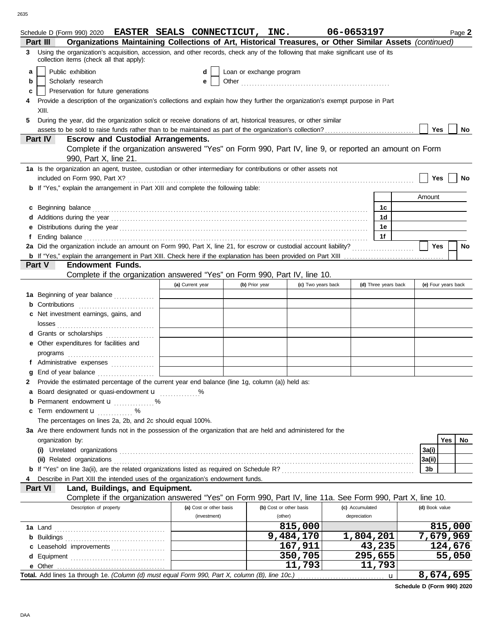|   | Schedule D (Form 990) 2020 EASTER SEALS CONNECTICUT, INC.                                                                                                                                                                      |                         |                          |                         |                    | 06-0653197           |                |                     | Page 2 |
|---|--------------------------------------------------------------------------------------------------------------------------------------------------------------------------------------------------------------------------------|-------------------------|--------------------------|-------------------------|--------------------|----------------------|----------------|---------------------|--------|
|   | Organizations Maintaining Collections of Art, Historical Treasures, or Other Similar Assets (continued)<br>Part III                                                                                                            |                         |                          |                         |                    |                      |                |                     |        |
|   | Using the organization's acquisition, accession, and other records, check any of the following that make significant use of its<br>collection items (check all that apply):                                                    |                         |                          |                         |                    |                      |                |                     |        |
| a | Public exhibition                                                                                                                                                                                                              | d                       | Loan or exchange program |                         |                    |                      |                |                     |        |
| b | Scholarly research                                                                                                                                                                                                             | е                       |                          |                         |                    |                      |                |                     |        |
|   | Preservation for future generations                                                                                                                                                                                            |                         |                          |                         |                    |                      |                |                     |        |
| c |                                                                                                                                                                                                                                |                         |                          |                         |                    |                      |                |                     |        |
|   | Provide a description of the organization's collections and explain how they further the organization's exempt purpose in Part                                                                                                 |                         |                          |                         |                    |                      |                |                     |        |
|   | XIII.                                                                                                                                                                                                                          |                         |                          |                         |                    |                      |                |                     |        |
| 5 | During the year, did the organization solicit or receive donations of art, historical treasures, or other similar                                                                                                              |                         |                          |                         |                    |                      |                |                     |        |
|   |                                                                                                                                                                                                                                |                         |                          |                         |                    |                      | <b>Yes</b>     |                     | No     |
|   | <b>Escrow and Custodial Arrangements.</b><br>Part IV                                                                                                                                                                           |                         |                          |                         |                    |                      |                |                     |        |
|   | Complete if the organization answered "Yes" on Form 990, Part IV, line 9, or reported an amount on Form                                                                                                                        |                         |                          |                         |                    |                      |                |                     |        |
|   | 990, Part X, line 21.                                                                                                                                                                                                          |                         |                          |                         |                    |                      |                |                     |        |
|   | 1a Is the organization an agent, trustee, custodian or other intermediary for contributions or other assets not                                                                                                                |                         |                          |                         |                    |                      |                |                     |        |
|   |                                                                                                                                                                                                                                |                         |                          |                         |                    |                      |                | Yes                 | No     |
|   | <b>b</b> If "Yes," explain the arrangement in Part XIII and complete the following table:                                                                                                                                      |                         |                          |                         |                    |                      |                |                     |        |
|   |                                                                                                                                                                                                                                |                         |                          |                         |                    |                      | Amount         |                     |        |
| C |                                                                                                                                                                                                                                |                         |                          |                         |                    | 1c                   |                |                     |        |
|   |                                                                                                                                                                                                                                |                         |                          |                         |                    | 1 <sub>d</sub>       |                |                     |        |
|   |                                                                                                                                                                                                                                |                         |                          |                         |                    | 1e                   |                |                     |        |
|   | Ending balance contains and account of the contact of the contact of the contact of the contact of the contact of the contact of the contact of the contact of the contact of the contact of the contact of the contact of the |                         |                          |                         |                    | 1f                   |                |                     |        |
|   |                                                                                                                                                                                                                                |                         |                          |                         |                    |                      | Yes            |                     | No     |
|   |                                                                                                                                                                                                                                |                         |                          |                         |                    |                      |                |                     |        |
|   | Part V<br><b>Endowment Funds.</b>                                                                                                                                                                                              |                         |                          |                         |                    |                      |                |                     |        |
|   | Complete if the organization answered "Yes" on Form 990, Part IV, line 10.                                                                                                                                                     |                         |                          |                         |                    |                      |                |                     |        |
|   |                                                                                                                                                                                                                                | (a) Current year        | (b) Prior year           |                         | (c) Two years back | (d) Three years back |                | (e) Four years back |        |
|   | 1a Beginning of year balance                                                                                                                                                                                                   |                         |                          |                         |                    |                      |                |                     |        |
|   | Contributions                                                                                                                                                                                                                  |                         |                          |                         |                    |                      |                |                     |        |
|   | Net investment earnings, gains, and                                                                                                                                                                                            |                         |                          |                         |                    |                      |                |                     |        |
|   |                                                                                                                                                                                                                                |                         |                          |                         |                    |                      |                |                     |        |
|   | d Grants or scholarships                                                                                                                                                                                                       |                         |                          |                         |                    |                      |                |                     |        |
|   | e Other expenditures for facilities and                                                                                                                                                                                        |                         |                          |                         |                    |                      |                |                     |        |
|   |                                                                                                                                                                                                                                |                         |                          |                         |                    |                      |                |                     |        |
|   | f Administrative expenses                                                                                                                                                                                                      |                         |                          |                         |                    |                      |                |                     |        |
|   |                                                                                                                                                                                                                                |                         |                          |                         |                    |                      |                |                     |        |
|   | Provide the estimated percentage of the current year end balance (line 1g, column (a)) held as:                                                                                                                                |                         |                          |                         |                    |                      |                |                     |        |
| а | Board designated or quasi-endowment <b>u</b> %                                                                                                                                                                                 |                         |                          |                         |                    |                      |                |                     |        |
|   | <b>b</b> Permanent endowment <b>u</b> %                                                                                                                                                                                        |                         |                          |                         |                    |                      |                |                     |        |
|   | c Term endowment <b>u</b><br>%                                                                                                                                                                                                 |                         |                          |                         |                    |                      |                |                     |        |
|   | .<br>The percentages on lines 2a, 2b, and 2c should equal 100%.                                                                                                                                                                |                         |                          |                         |                    |                      |                |                     |        |
|   | 3a Are there endowment funds not in the possession of the organization that are held and administered for the                                                                                                                  |                         |                          |                         |                    |                      |                |                     |        |
|   |                                                                                                                                                                                                                                |                         |                          |                         |                    |                      |                |                     |        |
|   | organization by:                                                                                                                                                                                                               |                         |                          |                         |                    |                      |                | Yes                 | No.    |
|   |                                                                                                                                                                                                                                |                         |                          |                         |                    |                      | 3a(i)          |                     |        |
|   | (ii) Related organizations                                                                                                                                                                                                     |                         |                          |                         |                    |                      | 3a(ii)         |                     |        |
|   |                                                                                                                                                                                                                                |                         |                          |                         |                    |                      | 3b             |                     |        |
|   | Describe in Part XIII the intended uses of the organization's endowment funds.                                                                                                                                                 |                         |                          |                         |                    |                      |                |                     |        |
|   | Land, Buildings, and Equipment.<br>Part VI                                                                                                                                                                                     |                         |                          |                         |                    |                      |                |                     |        |
|   | Complete if the organization answered "Yes" on Form 990, Part IV, line 11a. See Form 990, Part X, line 10.                                                                                                                     |                         |                          |                         |                    |                      |                |                     |        |
|   | Description of property                                                                                                                                                                                                        | (a) Cost or other basis |                          | (b) Cost or other basis |                    | (c) Accumulated      | (d) Book value |                     |        |
|   |                                                                                                                                                                                                                                | (investment)            |                          | (other)                 |                    | depreciation         |                |                     |        |
|   |                                                                                                                                                                                                                                |                         |                          | 815,000                 |                    |                      |                | 815,000             |        |
|   |                                                                                                                                                                                                                                |                         |                          | 9,484,170               |                    | 1,804,201            |                | 7,679,969           |        |
|   | c Leasehold improvements                                                                                                                                                                                                       |                         |                          | 167,911                 |                    | 43,235               |                | 124,676             |        |
|   |                                                                                                                                                                                                                                |                         |                          | 350,705                 |                    | 295,655              |                | 55,050              |        |
|   |                                                                                                                                                                                                                                |                         |                          |                         | 11,793             | 11,793               |                |                     |        |
|   | Total. Add lines 1a through 1e. (Column (d) must equal Form 990, Part X, column (B), line 10c.)                                                                                                                                |                         |                          |                         |                    | u                    |                | 8,674,695           |        |

**Schedule D (Form 990) 2020**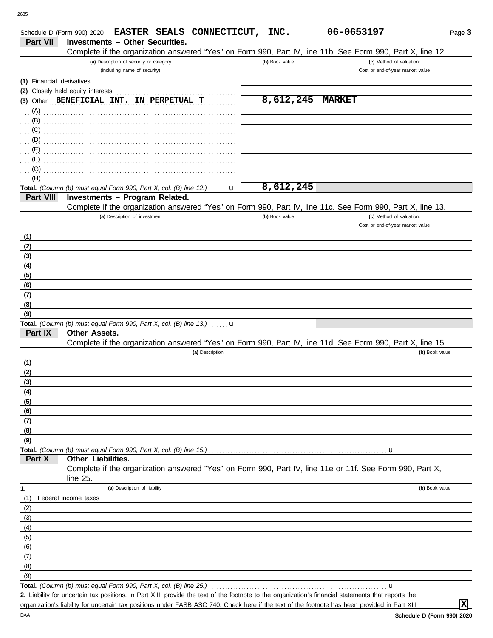|                           | EASTER SEALS CONNECTICUT,<br>Schedule D (Form 990) 2020                                                                                              | INC.           | 06-0653197                       | Page 3         |
|---------------------------|------------------------------------------------------------------------------------------------------------------------------------------------------|----------------|----------------------------------|----------------|
| Part VII                  | <b>Investments - Other Securities.</b>                                                                                                               |                |                                  |                |
|                           | Complete if the organization answered "Yes" on Form 990, Part IV, line 11b. See Form 990, Part X, line 12.                                           |                |                                  |                |
|                           | (a) Description of security or category                                                                                                              | (b) Book value | (c) Method of valuation:         |                |
|                           | (including name of security)                                                                                                                         |                | Cost or end-of-year market value |                |
| (1) Financial derivatives |                                                                                                                                                      |                |                                  |                |
|                           | (2) Closely held equity interests                                                                                                                    |                |                                  |                |
|                           | (3) Other BENEFICIAL INT. IN PERPETUAL T                                                                                                             | 8,612,245      | <b>MARKET</b>                    |                |
| $(A)$ .                   |                                                                                                                                                      |                |                                  |                |
| (B)                       |                                                                                                                                                      |                |                                  |                |
| (C)                       |                                                                                                                                                      |                |                                  |                |
| (D)                       |                                                                                                                                                      |                |                                  |                |
| (E)<br>(F)                |                                                                                                                                                      |                |                                  |                |
| (G)                       |                                                                                                                                                      |                |                                  |                |
| (H)                       |                                                                                                                                                      |                |                                  |                |
|                           | Total. (Column (b) must equal Form 990, Part X, col. (B) line 12.)<br>u                                                                              | 8,612,245      |                                  |                |
| Part VIII                 | Investments - Program Related.                                                                                                                       |                |                                  |                |
|                           | Complete if the organization answered "Yes" on Form 990, Part IV, line 11c. See Form 990, Part X, line 13.                                           |                |                                  |                |
|                           | (a) Description of investment                                                                                                                        | (b) Book value | (c) Method of valuation:         |                |
|                           |                                                                                                                                                      |                | Cost or end-of-year market value |                |
| (1)                       |                                                                                                                                                      |                |                                  |                |
| (2)                       |                                                                                                                                                      |                |                                  |                |
| (3)                       |                                                                                                                                                      |                |                                  |                |
| (4)                       |                                                                                                                                                      |                |                                  |                |
| (5)                       |                                                                                                                                                      |                |                                  |                |
| (6)                       |                                                                                                                                                      |                |                                  |                |
| (7)                       |                                                                                                                                                      |                |                                  |                |
| (8)<br>(9)                |                                                                                                                                                      |                |                                  |                |
|                           | Total. (Column (b) must equal Form 990, Part X, col. (B) line 13.)                                                                                   |                |                                  |                |
| Part IX                   | u<br>Other Assets.                                                                                                                                   |                |                                  |                |
|                           | Complete if the organization answered "Yes" on Form 990, Part IV, line 11d. See Form 990, Part X, line 15.                                           |                |                                  |                |
|                           | (a) Description                                                                                                                                      |                |                                  | (b) Book value |
| (1)                       |                                                                                                                                                      |                |                                  |                |
| (2)                       |                                                                                                                                                      |                |                                  |                |
| (3)                       |                                                                                                                                                      |                |                                  |                |
| (4)                       |                                                                                                                                                      |                |                                  |                |
| (5)                       |                                                                                                                                                      |                |                                  |                |
| (6)                       |                                                                                                                                                      |                |                                  |                |
| (7)                       |                                                                                                                                                      |                |                                  |                |
| (8)                       |                                                                                                                                                      |                |                                  |                |
| (9)                       |                                                                                                                                                      |                |                                  |                |
| Part X                    | Total. (Column (b) must equal Form 990, Part X, col. (B) line 15.)<br>Other Liabilities.                                                             |                | u                                |                |
|                           | Complete if the organization answered "Yes" on Form 990, Part IV, line 11e or 11f. See Form 990, Part X,                                             |                |                                  |                |
|                           | line 25.                                                                                                                                             |                |                                  |                |
| 1.                        | (a) Description of liability                                                                                                                         |                |                                  | (b) Book value |
| (1)                       | Federal income taxes                                                                                                                                 |                |                                  |                |
| (2)                       |                                                                                                                                                      |                |                                  |                |
| (3)                       |                                                                                                                                                      |                |                                  |                |
| (4)                       |                                                                                                                                                      |                |                                  |                |
| (5)                       |                                                                                                                                                      |                |                                  |                |
| (6)                       |                                                                                                                                                      |                |                                  |                |
| (7)                       |                                                                                                                                                      |                |                                  |                |
| (8)                       |                                                                                                                                                      |                |                                  |                |
| (9)                       |                                                                                                                                                      |                |                                  |                |
|                           | Total. (Column (b) must equal Form 990, Part X, col. (B) line 25.)                                                                                   |                | u                                |                |
|                           | 2. Liability for uncertain tax positions. In Part XIII, provide the text of the footnote to the organization's financial statements that reports the |                |                                  |                |

organization's liability for uncertain tax positions under FASB ASC 740. Check here if the text of the footnote has been provided in Part XIII

**X**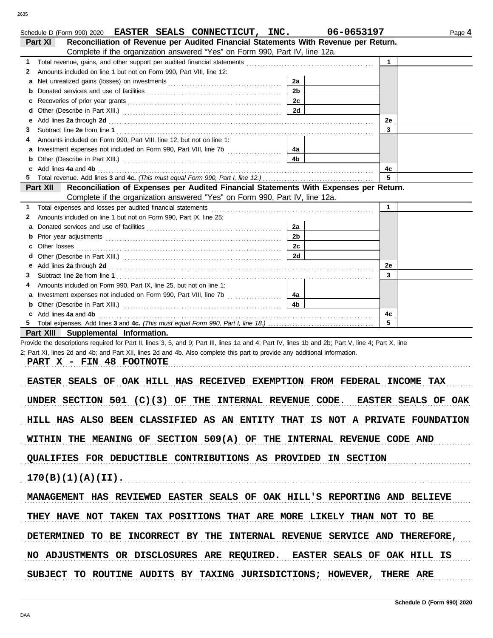| Schedule D (Form 990) 2020 EASTER SEALS CONNECTICUT, INC.                                                                                                                                                                           |                | 06-0653197 |             | Page 4 |
|-------------------------------------------------------------------------------------------------------------------------------------------------------------------------------------------------------------------------------------|----------------|------------|-------------|--------|
| Reconciliation of Revenue per Audited Financial Statements With Revenue per Return.<br>Part XI                                                                                                                                      |                |            |             |        |
| Complete if the organization answered "Yes" on Form 990, Part IV, line 12a.                                                                                                                                                         |                |            |             |        |
| 1.                                                                                                                                                                                                                                  |                |            | 1           |        |
| Amounts included on line 1 but not on Form 990, Part VIII, line 12:<br>2                                                                                                                                                            |                |            |             |        |
| а                                                                                                                                                                                                                                   | 2a             |            |             |        |
| b                                                                                                                                                                                                                                   | 2 <sub>b</sub> |            |             |        |
| c                                                                                                                                                                                                                                   | 2c             |            |             |        |
| d                                                                                                                                                                                                                                   | 2d             |            |             |        |
| Add lines 2a through 2d [11] Additional Additional Additional Additional Additional Additional Additional Additional Additional Additional Additional Additional Additional Additional Additional Additional Additional Additi<br>е |                |            | 2e<br>3     |        |
| З<br>Amounts included on Form 990, Part VIII, line 12, but not on line 1:<br>4                                                                                                                                                      |                |            |             |        |
| а                                                                                                                                                                                                                                   | 4а             |            |             |        |
|                                                                                                                                                                                                                                     | 4b             |            |             |        |
| c Add lines 4a and 4b                                                                                                                                                                                                               |                |            | 4c          |        |
| 5.                                                                                                                                                                                                                                  |                |            | 5           |        |
| Part XII Reconciliation of Expenses per Audited Financial Statements With Expenses per Return.                                                                                                                                      |                |            |             |        |
| Complete if the organization answered "Yes" on Form 990, Part IV, line 12a.                                                                                                                                                         |                |            |             |        |
| Total expenses and losses per audited financial statements<br>1.                                                                                                                                                                    |                |            | $\mathbf 1$ |        |
| Amounts included on line 1 but not on Form 990, Part IX, line 25:<br>2                                                                                                                                                              |                |            |             |        |
|                                                                                                                                                                                                                                     | 2a             |            |             |        |
|                                                                                                                                                                                                                                     | 2 <sub>b</sub> |            |             |        |
| Other losses                                                                                                                                                                                                                        | 2c             |            |             |        |
| d                                                                                                                                                                                                                                   | 2d             |            |             |        |
| Add lines 2a through 2d [11, 12] Add lines 2a through 2d [11, 12] Add lines 2a through 2d [11, 12] Add lines 2a through 2d [11, 12] Add and the set of the set of the set of the set of the set of the set of the set of the s<br>е |                |            | 2e          |        |
| З                                                                                                                                                                                                                                   |                |            | 3           |        |
| Amounts included on Form 990, Part IX, line 25, but not on line 1:                                                                                                                                                                  |                |            |             |        |
| Investment expenses not included on Form 990, Part VIII, line 7b [<br>а                                                                                                                                                             | 4а             |            |             |        |
|                                                                                                                                                                                                                                     | 4 <sub>b</sub> |            |             |        |
| c Add lines 4a and 4b                                                                                                                                                                                                               |                |            | 4c          |        |
|                                                                                                                                                                                                                                     |                |            | 5           |        |
| Part XIII Supplemental Information.                                                                                                                                                                                                 |                |            |             |        |
| Provide the descriptions required for Part II, lines 3, 5, and 9; Part III, lines 1a and 4; Part IV, lines 1b and 2b; Part V, line 4; Part X, line                                                                                  |                |            |             |        |
| 2; Part XI, lines 2d and 4b; and Part XII, lines 2d and 4b. Also complete this part to provide any additional information.                                                                                                          |                |            |             |        |
| PART X - FIN 48 FOOTNOTE                                                                                                                                                                                                            |                |            |             |        |
| EASTER SEALS OF OAK HILL HAS RECEIVED EXEMPTION FROM FEDERAL INCOME TAX                                                                                                                                                             |                |            |             |        |
|                                                                                                                                                                                                                                     |                |            |             |        |
| UNDER SECTION 501 $(C)(3)$ OF THE INTERNAL REVENUE CODE. EASTER SEALS OF OAK                                                                                                                                                        |                |            |             |        |
|                                                                                                                                                                                                                                     |                |            |             |        |
| HILL HAS ALSO BEEN CLASSIFIED AS AN ENTITY THAT IS NOT A PRIVATE FOUNDATION                                                                                                                                                         |                |            |             |        |
|                                                                                                                                                                                                                                     |                |            |             |        |
| WITHIN THE MEANING OF SECTION 509(A) OF THE INTERNAL REVENUE CODE AND                                                                                                                                                               |                |            |             |        |
|                                                                                                                                                                                                                                     |                |            |             |        |
| QUALIFIES FOR DEDUCTIBLE CONTRIBUTIONS AS PROVIDED IN SECTION                                                                                                                                                                       |                |            |             |        |
|                                                                                                                                                                                                                                     |                |            |             |        |
| 170(B)(1)(A)(II).                                                                                                                                                                                                                   |                |            |             |        |
|                                                                                                                                                                                                                                     |                |            |             |        |
| MANAGEMENT HAS REVIEWED EASTER SEALS OF OAK HILL'S REPORTING AND BELIEVE                                                                                                                                                            |                |            |             |        |
|                                                                                                                                                                                                                                     |                |            |             |        |
| THEY HAVE NOT TAKEN TAX POSITIONS THAT ARE MORE LIKELY THAN NOT TO BE                                                                                                                                                               |                |            |             |        |
|                                                                                                                                                                                                                                     |                |            |             |        |
| DETERMINED TO BE INCORRECT BY THE INTERNAL REVENUE SERVICE AND THEREFORE,                                                                                                                                                           |                |            |             |        |
|                                                                                                                                                                                                                                     |                |            |             |        |
| NO ADJUSTMENTS OR DISCLOSURES ARE REQUIRED. EASTER SEALS OF OAK HILL IS                                                                                                                                                             |                |            |             |        |
|                                                                                                                                                                                                                                     |                |            |             |        |
| SUBJECT TO ROUTINE AUDITS BY TAXING JURISDICTIONS; HOWEVER, THERE ARE                                                                                                                                                               |                |            |             |        |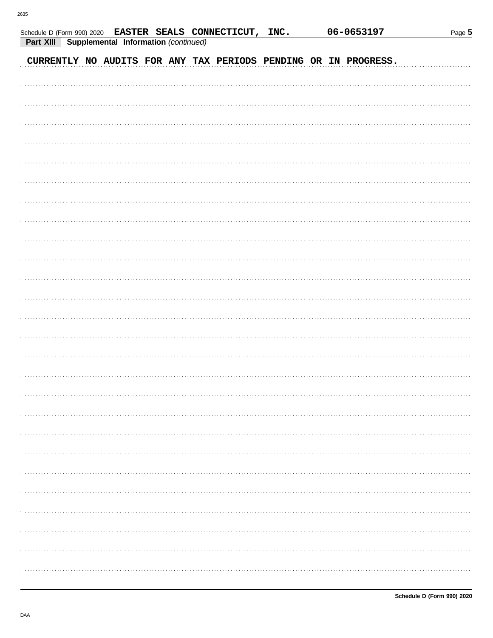| Part XIII | Schedule D (Form 990) 2020 EASTER SEALS CONNECTICUT, INC. | Supplemental Information (continued) |  |  |  | 06-0653197                                                      | Page 5 |
|-----------|-----------------------------------------------------------|--------------------------------------|--|--|--|-----------------------------------------------------------------|--------|
|           |                                                           |                                      |  |  |  |                                                                 |        |
|           |                                                           |                                      |  |  |  | CURRENTLY NO AUDITS FOR ANY TAX PERIODS PENDING OR IN PROGRESS. |        |
|           |                                                           |                                      |  |  |  |                                                                 |        |
|           |                                                           |                                      |  |  |  |                                                                 |        |
|           |                                                           |                                      |  |  |  |                                                                 |        |
|           |                                                           |                                      |  |  |  |                                                                 |        |
|           |                                                           |                                      |  |  |  |                                                                 |        |
|           |                                                           |                                      |  |  |  |                                                                 |        |
|           |                                                           |                                      |  |  |  |                                                                 |        |
|           |                                                           |                                      |  |  |  |                                                                 |        |
|           |                                                           |                                      |  |  |  |                                                                 |        |
|           |                                                           |                                      |  |  |  |                                                                 |        |
|           |                                                           |                                      |  |  |  |                                                                 |        |
|           |                                                           |                                      |  |  |  |                                                                 |        |
|           |                                                           |                                      |  |  |  |                                                                 |        |
|           |                                                           |                                      |  |  |  |                                                                 |        |
|           |                                                           |                                      |  |  |  |                                                                 |        |
|           |                                                           |                                      |  |  |  |                                                                 |        |
|           |                                                           |                                      |  |  |  |                                                                 |        |
|           |                                                           |                                      |  |  |  |                                                                 |        |
|           |                                                           |                                      |  |  |  |                                                                 |        |
|           |                                                           |                                      |  |  |  |                                                                 |        |
|           |                                                           |                                      |  |  |  |                                                                 |        |
|           |                                                           |                                      |  |  |  |                                                                 |        |
|           |                                                           |                                      |  |  |  |                                                                 |        |
|           |                                                           |                                      |  |  |  |                                                                 |        |
|           |                                                           |                                      |  |  |  |                                                                 |        |
|           |                                                           |                                      |  |  |  |                                                                 |        |
|           |                                                           |                                      |  |  |  |                                                                 |        |
|           |                                                           |                                      |  |  |  |                                                                 |        |
|           |                                                           |                                      |  |  |  |                                                                 |        |
|           |                                                           |                                      |  |  |  |                                                                 |        |
|           |                                                           |                                      |  |  |  |                                                                 |        |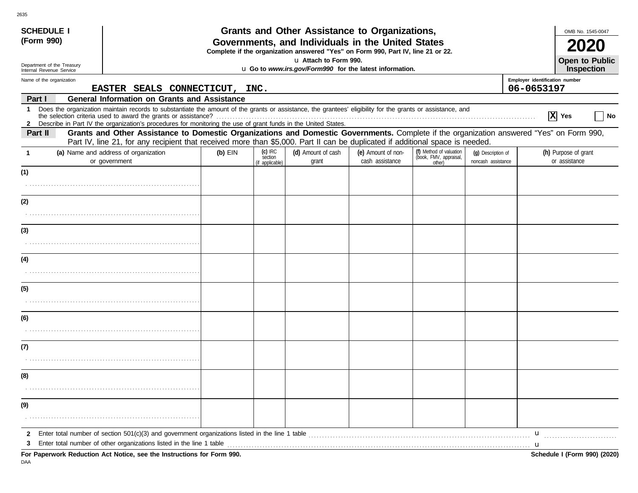| <b>SCHEDULE I</b>                                             |                                                                                                                                                                                                                                                                               |           |                                         | Grants and Other Assistance to Organizations,                                                             |                                       |                                                             |                                          | OMB No. 1545-0047                            |  |  |
|---------------------------------------------------------------|-------------------------------------------------------------------------------------------------------------------------------------------------------------------------------------------------------------------------------------------------------------------------------|-----------|-----------------------------------------|-----------------------------------------------------------------------------------------------------------|---------------------------------------|-------------------------------------------------------------|------------------------------------------|----------------------------------------------|--|--|
| (Form 990)                                                    |                                                                                                                                                                                                                                                                               |           |                                         | Governments, and Individuals in the United States                                                         |                                       |                                                             |                                          |                                              |  |  |
|                                                               |                                                                                                                                                                                                                                                                               |           |                                         | Complete if the organization answered "Yes" on Form 990, Part IV, line 21 or 22.<br>u Attach to Form 990. |                                       |                                                             |                                          | <b>Open to Public</b>                        |  |  |
| Department of the Treasury<br>Internal Revenue Service        |                                                                                                                                                                                                                                                                               |           |                                         | u Go to www.irs.gov/Form990 for the latest information.                                                   |                                       |                                                             |                                          | Inspection                                   |  |  |
| Name of the organization                                      | EASTER SEALS CONNECTICUT,                                                                                                                                                                                                                                                     |           | INC.                                    |                                                                                                           |                                       |                                                             |                                          | Employer identification number<br>06-0653197 |  |  |
| <b>General Information on Grants and Assistance</b><br>Part I |                                                                                                                                                                                                                                                                               |           |                                         |                                                                                                           |                                       |                                                             |                                          |                                              |  |  |
| $\mathbf 1$                                                   | Does the organization maintain records to substantiate the amount of the grants or assistance, the grantees' eligibility for the grants or assistance, and<br>2 Describe in Part IV the organization's procedures for monitoring the use of grant funds in the United States. |           |                                         |                                                                                                           |                                       |                                                             |                                          | $ \mathbf{X} $ Yes<br>No.                    |  |  |
| Part II                                                       | Grants and Other Assistance to Domestic Organizations and Domestic Governments. Complete if the organization answered "Yes" on Form 990,                                                                                                                                      |           |                                         |                                                                                                           |                                       |                                                             |                                          |                                              |  |  |
|                                                               | Part IV, line 21, for any recipient that received more than \$5,000. Part II can be duplicated if additional space is needed.                                                                                                                                                 |           |                                         |                                                                                                           |                                       |                                                             |                                          |                                              |  |  |
| $\mathbf 1$                                                   | (a) Name and address of organization<br>or government                                                                                                                                                                                                                         | $(b)$ EIN | $(c)$ IRC<br>section<br>(if applicable) | (d) Amount of cash<br>grant                                                                               | (e) Amount of non-<br>cash assistance | (f) Method of valuation<br>(book, FMV, appraisal,<br>other) | (q) Description of<br>noncash assistance | (h) Purpose of grant<br>or assistance        |  |  |
| (1)                                                           |                                                                                                                                                                                                                                                                               |           |                                         |                                                                                                           |                                       |                                                             |                                          |                                              |  |  |
|                                                               |                                                                                                                                                                                                                                                                               |           |                                         |                                                                                                           |                                       |                                                             |                                          |                                              |  |  |
| (2)                                                           |                                                                                                                                                                                                                                                                               |           |                                         |                                                                                                           |                                       |                                                             |                                          |                                              |  |  |
|                                                               |                                                                                                                                                                                                                                                                               |           |                                         |                                                                                                           |                                       |                                                             |                                          |                                              |  |  |
| (3)                                                           |                                                                                                                                                                                                                                                                               |           |                                         |                                                                                                           |                                       |                                                             |                                          |                                              |  |  |
|                                                               |                                                                                                                                                                                                                                                                               |           |                                         |                                                                                                           |                                       |                                                             |                                          |                                              |  |  |
| (4)                                                           |                                                                                                                                                                                                                                                                               |           |                                         |                                                                                                           |                                       |                                                             |                                          |                                              |  |  |
|                                                               |                                                                                                                                                                                                                                                                               |           |                                         |                                                                                                           |                                       |                                                             |                                          |                                              |  |  |
| (5)                                                           |                                                                                                                                                                                                                                                                               |           |                                         |                                                                                                           |                                       |                                                             |                                          |                                              |  |  |
|                                                               |                                                                                                                                                                                                                                                                               |           |                                         |                                                                                                           |                                       |                                                             |                                          |                                              |  |  |
| (6)                                                           |                                                                                                                                                                                                                                                                               |           |                                         |                                                                                                           |                                       |                                                             |                                          |                                              |  |  |
|                                                               |                                                                                                                                                                                                                                                                               |           |                                         |                                                                                                           |                                       |                                                             |                                          |                                              |  |  |
| (7)                                                           |                                                                                                                                                                                                                                                                               |           |                                         |                                                                                                           |                                       |                                                             |                                          |                                              |  |  |
|                                                               |                                                                                                                                                                                                                                                                               |           |                                         |                                                                                                           |                                       |                                                             |                                          |                                              |  |  |
| (8)                                                           |                                                                                                                                                                                                                                                                               |           |                                         |                                                                                                           |                                       |                                                             |                                          |                                              |  |  |
|                                                               |                                                                                                                                                                                                                                                                               |           |                                         |                                                                                                           |                                       |                                                             |                                          |                                              |  |  |
| (9)                                                           |                                                                                                                                                                                                                                                                               |           |                                         |                                                                                                           |                                       |                                                             |                                          |                                              |  |  |
|                                                               |                                                                                                                                                                                                                                                                               |           |                                         |                                                                                                           |                                       |                                                             |                                          |                                              |  |  |
| $\mathbf{2}$                                                  |                                                                                                                                                                                                                                                                               |           |                                         |                                                                                                           |                                       |                                                             |                                          | u                                            |  |  |
| 3                                                             | Enter total number of other organizations listed in the line 1 table<br>For Penerwork Peduction, Act Notice, see the Instructions for Form 000                                                                                                                                |           |                                         |                                                                                                           |                                       |                                                             |                                          | Schodule I (Form 000) (2020)                 |  |  |

**For Paperwork Reduction Act Notice, see the Instructions for Form 990. Schedule I (Form 990) (2020)** DAA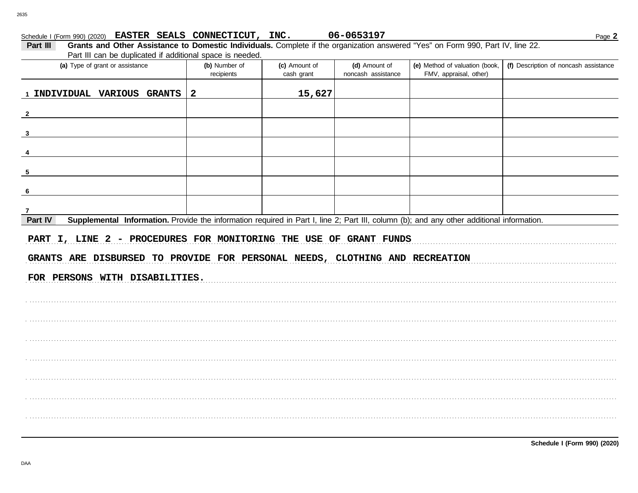Schedule I (Form 990) (2020) EASTER SEALS CONNECTICUT, INC.

| Part III<br>Grants and Other Assistance to Domestic Individuals. Complete if the organization answered "Yes" on Form 990, Part IV, line 22.<br>Part III can be duplicated if additional space is needed. |                             |                             |                                     |                                                          |                                       |  |  |  |  |
|----------------------------------------------------------------------------------------------------------------------------------------------------------------------------------------------------------|-----------------------------|-----------------------------|-------------------------------------|----------------------------------------------------------|---------------------------------------|--|--|--|--|
| (a) Type of grant or assistance                                                                                                                                                                          | (b) Number of<br>recipients | (c) Amount of<br>cash grant | (d) Amount of<br>noncash assistance | (e) Method of valuation (book,<br>FMV, appraisal, other) | (f) Description of noncash assistance |  |  |  |  |
| 1 INDIVIDUAL VARIOUS GRANTS                                                                                                                                                                              | $\overline{2}$              | 15,627                      |                                     |                                                          |                                       |  |  |  |  |
| $\mathbf{2}$                                                                                                                                                                                             |                             |                             |                                     |                                                          |                                       |  |  |  |  |
| $\mathbf{3}$                                                                                                                                                                                             |                             |                             |                                     |                                                          |                                       |  |  |  |  |
|                                                                                                                                                                                                          |                             |                             |                                     |                                                          |                                       |  |  |  |  |
| 5                                                                                                                                                                                                        |                             |                             |                                     |                                                          |                                       |  |  |  |  |
|                                                                                                                                                                                                          |                             |                             |                                     |                                                          |                                       |  |  |  |  |
|                                                                                                                                                                                                          |                             |                             |                                     |                                                          |                                       |  |  |  |  |
| Supplemental Information. Provide the information required in Part I, line 2; Part III, column (b); and any other additional information.<br>Part IV                                                     |                             |                             |                                     |                                                          |                                       |  |  |  |  |
| PART I, LINE 2 - PROCEDURES FOR MONITORING THE USE OF GRANT FUNDS<br>GRANTS ARE DISBURSED TO PROVIDE FOR PERSONAL NEEDS, CLOTHING AND RECREATION                                                         |                             |                             |                                     |                                                          |                                       |  |  |  |  |
| FOR PERSONS WITH DISABILITIES.                                                                                                                                                                           |                             |                             |                                     |                                                          |                                       |  |  |  |  |
|                                                                                                                                                                                                          |                             |                             |                                     |                                                          |                                       |  |  |  |  |
|                                                                                                                                                                                                          |                             |                             |                                     |                                                          |                                       |  |  |  |  |
|                                                                                                                                                                                                          |                             |                             |                                     |                                                          |                                       |  |  |  |  |
|                                                                                                                                                                                                          |                             |                             |                                     |                                                          |                                       |  |  |  |  |
|                                                                                                                                                                                                          |                             |                             |                                     |                                                          |                                       |  |  |  |  |
|                                                                                                                                                                                                          |                             |                             |                                     |                                                          |                                       |  |  |  |  |
|                                                                                                                                                                                                          |                             |                             |                                     |                                                          |                                       |  |  |  |  |

06-0653197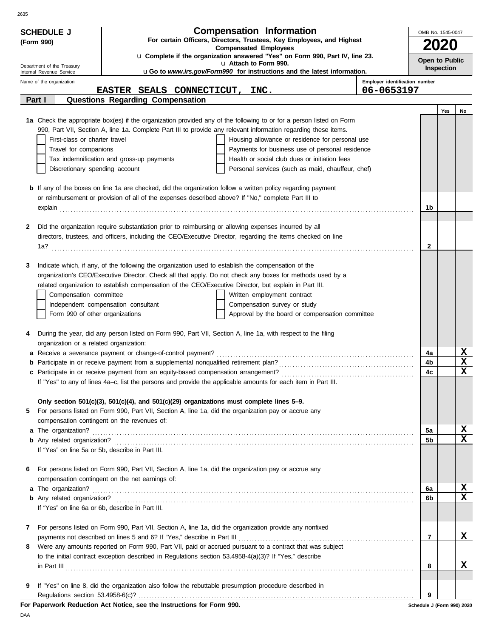| <b>Compensation Information</b><br><b>SCHEDULE J</b><br>OMB No. 1545-0047<br>For certain Officers, Directors, Trustees, Key Employees, and Highest<br>(Form 990) |                                                                                                                                                                                                                  |                                |                              |      |                         |  |
|------------------------------------------------------------------------------------------------------------------------------------------------------------------|------------------------------------------------------------------------------------------------------------------------------------------------------------------------------------------------------------------|--------------------------------|------------------------------|------|-------------------------|--|
|                                                                                                                                                                  | <b>Compensated Employees</b><br>u Complete if the organization answered "Yes" on Form 990, Part IV, line 23.                                                                                                     |                                |                              | 2020 |                         |  |
| Department of the Treasury                                                                                                                                       | u Attach to Form 990.<br>uGo to www.irs.gov/Form990 for instructions and the latest information.                                                                                                                 |                                | Open to Public<br>Inspection |      |                         |  |
| Internal Revenue Service<br>Name of the organization                                                                                                             |                                                                                                                                                                                                                  | Employer identification number |                              |      |                         |  |
|                                                                                                                                                                  | EASTER SEALS CONNECTICUT, INC.                                                                                                                                                                                   | 06-0653197                     |                              |      |                         |  |
| Part I                                                                                                                                                           | Questions Regarding Compensation                                                                                                                                                                                 |                                |                              |      |                         |  |
|                                                                                                                                                                  | 1a Check the appropriate box(es) if the organization provided any of the following to or for a person listed on Form                                                                                             |                                |                              | Yes  | No                      |  |
|                                                                                                                                                                  | 990, Part VII, Section A, line 1a. Complete Part III to provide any relevant information regarding these items.                                                                                                  |                                |                              |      |                         |  |
| First-class or charter travel                                                                                                                                    | Housing allowance or residence for personal use                                                                                                                                                                  |                                |                              |      |                         |  |
| Travel for companions                                                                                                                                            | Payments for business use of personal residence                                                                                                                                                                  |                                |                              |      |                         |  |
|                                                                                                                                                                  | Tax indemnification and gross-up payments<br>Health or social club dues or initiation fees                                                                                                                       |                                |                              |      |                         |  |
| Discretionary spending account                                                                                                                                   | Personal services (such as maid, chauffeur, chef)                                                                                                                                                                |                                |                              |      |                         |  |
|                                                                                                                                                                  |                                                                                                                                                                                                                  |                                |                              |      |                         |  |
|                                                                                                                                                                  | <b>b</b> If any of the boxes on line 1a are checked, did the organization follow a written policy regarding payment                                                                                              |                                |                              |      |                         |  |
|                                                                                                                                                                  | or reimbursement or provision of all of the expenses described above? If "No," complete Part III to                                                                                                              |                                | 1b                           |      |                         |  |
|                                                                                                                                                                  |                                                                                                                                                                                                                  |                                |                              |      |                         |  |
| 2                                                                                                                                                                | Did the organization require substantiation prior to reimbursing or allowing expenses incurred by all                                                                                                            |                                |                              |      |                         |  |
|                                                                                                                                                                  | directors, trustees, and officers, including the CEO/Executive Director, regarding the items checked on line                                                                                                     |                                |                              |      |                         |  |
|                                                                                                                                                                  |                                                                                                                                                                                                                  |                                | 2                            |      |                         |  |
|                                                                                                                                                                  |                                                                                                                                                                                                                  |                                |                              |      |                         |  |
| 3                                                                                                                                                                | Indicate which, if any, of the following the organization used to establish the compensation of the<br>organization's CEO/Executive Director. Check all that apply. Do not check any boxes for methods used by a |                                |                              |      |                         |  |
|                                                                                                                                                                  | related organization to establish compensation of the CEO/Executive Director, but explain in Part III.                                                                                                           |                                |                              |      |                         |  |
| Compensation committee                                                                                                                                           | Written employment contract                                                                                                                                                                                      |                                |                              |      |                         |  |
|                                                                                                                                                                  | Independent compensation consultant<br>Compensation survey or study                                                                                                                                              |                                |                              |      |                         |  |
| Form 990 of other organizations                                                                                                                                  | Approval by the board or compensation committee                                                                                                                                                                  |                                |                              |      |                         |  |
|                                                                                                                                                                  |                                                                                                                                                                                                                  |                                |                              |      |                         |  |
|                                                                                                                                                                  | During the year, did any person listed on Form 990, Part VII, Section A, line 1a, with respect to the filing                                                                                                     |                                |                              |      |                         |  |
| organization or a related organization:                                                                                                                          |                                                                                                                                                                                                                  |                                |                              |      | x                       |  |
|                                                                                                                                                                  | a Receive a severance payment or change-of-control payment?                                                                                                                                                      |                                | 4a<br>4b                     |      | $\mathbf x$             |  |
|                                                                                                                                                                  |                                                                                                                                                                                                                  |                                | 4с                           |      | $\overline{\mathbf{x}}$ |  |
|                                                                                                                                                                  | If "Yes" to any of lines 4a–c, list the persons and provide the applicable amounts for each item in Part III.                                                                                                    |                                |                              |      |                         |  |
|                                                                                                                                                                  |                                                                                                                                                                                                                  |                                |                              |      |                         |  |
|                                                                                                                                                                  | Only section $501(c)(3)$ , $501(c)(4)$ , and $501(c)(29)$ organizations must complete lines $5-9$ .                                                                                                              |                                |                              |      |                         |  |
| 5                                                                                                                                                                | For persons listed on Form 990, Part VII, Section A, line 1a, did the organization pay or accrue any                                                                                                             |                                |                              |      |                         |  |
|                                                                                                                                                                  | compensation contingent on the revenues of:                                                                                                                                                                      |                                |                              |      |                         |  |
|                                                                                                                                                                  |                                                                                                                                                                                                                  |                                | 5а                           |      | <u>x</u><br>$\mathbf x$ |  |
|                                                                                                                                                                  | If "Yes" on line 5a or 5b, describe in Part III.                                                                                                                                                                 |                                | 5b                           |      |                         |  |
|                                                                                                                                                                  |                                                                                                                                                                                                                  |                                |                              |      |                         |  |
| 6                                                                                                                                                                | For persons listed on Form 990, Part VII, Section A, line 1a, did the organization pay or accrue any                                                                                                             |                                |                              |      |                         |  |
|                                                                                                                                                                  | compensation contingent on the net earnings of:                                                                                                                                                                  |                                |                              |      |                         |  |
|                                                                                                                                                                  |                                                                                                                                                                                                                  |                                | 6a                           |      | x                       |  |
|                                                                                                                                                                  |                                                                                                                                                                                                                  |                                | 6b                           |      | $\mathbf x$             |  |
|                                                                                                                                                                  | If "Yes" on line 6a or 6b, describe in Part III.                                                                                                                                                                 |                                |                              |      |                         |  |
| 7                                                                                                                                                                | For persons listed on Form 990, Part VII, Section A, line 1a, did the organization provide any nonfixed                                                                                                          |                                |                              |      |                         |  |
|                                                                                                                                                                  |                                                                                                                                                                                                                  |                                | -7                           |      | X                       |  |
| 8                                                                                                                                                                | Were any amounts reported on Form 990, Part VII, paid or accrued pursuant to a contract that was subject                                                                                                         |                                |                              |      |                         |  |
|                                                                                                                                                                  | to the initial contract exception described in Regulations section 53.4958-4(a)(3)? If "Yes," describe                                                                                                           |                                |                              |      |                         |  |
|                                                                                                                                                                  | $\ $ n Part III $\ $                                                                                                                                                                                             |                                | 8                            |      | x                       |  |
|                                                                                                                                                                  |                                                                                                                                                                                                                  |                                |                              |      |                         |  |
| 9                                                                                                                                                                | If "Yes" on line 8, did the organization also follow the rebuttable presumption procedure described in                                                                                                           |                                |                              |      |                         |  |
|                                                                                                                                                                  |                                                                                                                                                                                                                  |                                | 9                            |      |                         |  |

DAA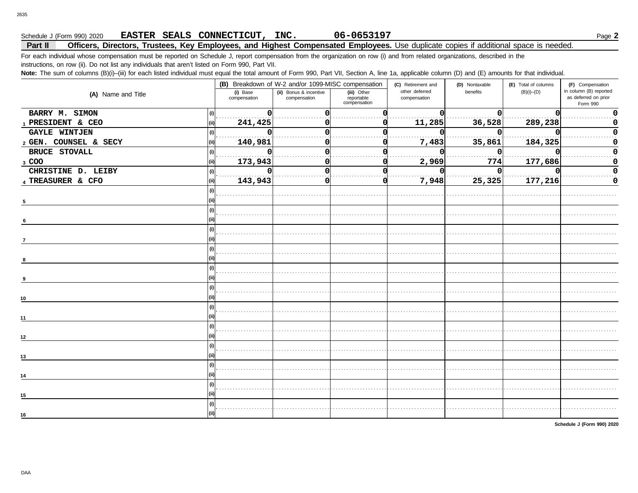# **Schedule J (Form 990) 2020 • EASTER SEALS CONNECTICUT, INC. 06-0653197** Page 2

### **Part II Officers, Directors, Trustees, Key Employees, and Highest Compensated Employees.** Use duplicate copies if additional space is needed.

For each individual whose compensation must be reported on Schedule J, report compensation from the organization on row (i) and from related organizations, described in the instructions, on row (ii). Do not list any individuals that aren't listed on Form 990, Part VII.

Note: The sum of columns (B)(i)–(iii) for each listed individual must equal the total amount of Form 990, Part VII, Section A, line 1a, applicable column (D) and (E) amounts for that individual.

|                             |                          | (B) Breakdown of W-2 and/or 1099-MISC compensation |                                           | (C) Retirement and             | (D) Nontaxable | (E) Total of columns | (F) Compensation                                           |  |
|-----------------------------|--------------------------|----------------------------------------------------|-------------------------------------------|--------------------------------|----------------|----------------------|------------------------------------------------------------|--|
| (A) Name and Title          | (i) Base<br>compensation | (ii) Bonus & incentive<br>compensation             | (iii) Other<br>reportable<br>compensation | other deferred<br>compensation | benefits       | $(B)(i)$ – $(D)$     | in column (B) reported<br>as deferred on prior<br>Form 990 |  |
| BARRY M. SIMON              | O                        |                                                    |                                           |                                | O              |                      |                                                            |  |
| 1 PRESIDENT & CEO           | 241,425                  |                                                    |                                           | 11,285                         | 36,528         | 289,238              |                                                            |  |
| <b>GAYLE WINTJEN</b>        |                          |                                                    |                                           |                                | U              |                      |                                                            |  |
| 2 GEN. COUNSEL & SECY       | 140,981                  |                                                    |                                           | 7,483                          | 35,861         | 184,325              |                                                            |  |
| <b>BRUCE STOVALL</b><br>(i) | O<br>.                   |                                                    |                                           |                                | n              |                      |                                                            |  |
| 3 COO                       | 173,943                  |                                                    |                                           | 2,969                          | 774            | 177,686              |                                                            |  |
| CHRISTINE D. LEIBY          | $\Omega$                 |                                                    |                                           |                                | 0              |                      |                                                            |  |
| 4 TREASURER & CFO<br>(ii)   | 143,943                  |                                                    |                                           | 7,948                          | 25,325         | 177,216              |                                                            |  |
|                             |                          |                                                    |                                           |                                |                |                      |                                                            |  |
| $5\phantom{.0}$             |                          |                                                    |                                           |                                |                |                      |                                                            |  |
|                             |                          |                                                    |                                           |                                |                |                      |                                                            |  |
| 6                           |                          |                                                    |                                           |                                |                |                      |                                                            |  |
|                             |                          |                                                    |                                           |                                |                |                      |                                                            |  |
| $\overline{7}$              |                          |                                                    |                                           |                                |                |                      |                                                            |  |
|                             |                          |                                                    |                                           |                                |                |                      |                                                            |  |
|                             |                          |                                                    |                                           |                                |                |                      |                                                            |  |
|                             |                          |                                                    |                                           |                                |                |                      |                                                            |  |
| 9                           |                          |                                                    |                                           |                                |                |                      |                                                            |  |
|                             |                          |                                                    |                                           |                                |                |                      |                                                            |  |
| 10                          |                          |                                                    |                                           |                                |                |                      |                                                            |  |
|                             |                          |                                                    |                                           |                                |                |                      |                                                            |  |
| 11                          |                          |                                                    |                                           |                                |                |                      |                                                            |  |
|                             |                          |                                                    |                                           |                                |                |                      |                                                            |  |
| 12                          |                          |                                                    |                                           |                                |                |                      |                                                            |  |
|                             |                          |                                                    |                                           |                                |                |                      |                                                            |  |
| 13                          |                          |                                                    |                                           |                                |                |                      |                                                            |  |
|                             |                          |                                                    |                                           |                                |                |                      |                                                            |  |
| 14                          |                          |                                                    |                                           |                                |                |                      |                                                            |  |
|                             |                          |                                                    |                                           |                                |                |                      |                                                            |  |
| 15                          |                          |                                                    |                                           |                                |                |                      |                                                            |  |
|                             |                          |                                                    |                                           |                                |                |                      |                                                            |  |
| 16                          |                          |                                                    |                                           |                                |                |                      |                                                            |  |

**Schedule J (Form 990) 2020**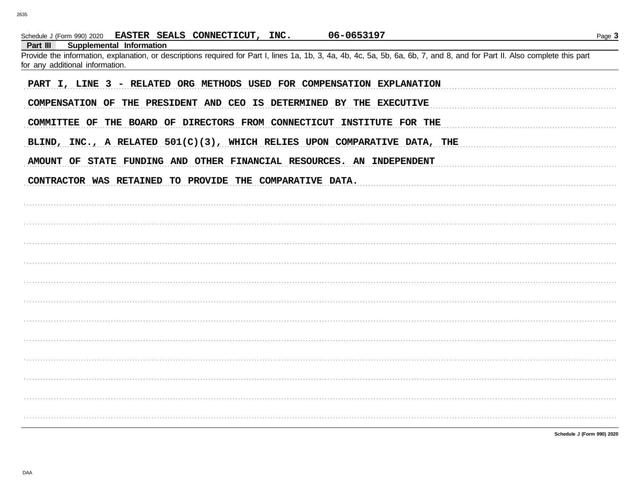| 06-0653197<br>Schedule J (Form 990) 2020 EASTER SEALS CONNECTICUT, INC.                                                                                                    | Page 3                     |
|----------------------------------------------------------------------------------------------------------------------------------------------------------------------------|----------------------------|
| Supplemental Information<br>Part III                                                                                                                                       |                            |
| Provide the information, explanation, or descriptions required for Part I, lines 1a, 1b, 3, 4a, 4b, 4c, 5a, 5b, 6a, 6b, 7, and 8, and for Part II. Also complete this part |                            |
| for any additional information.                                                                                                                                            |                            |
| PART I, LINE 3 - RELATED ORG METHODS USED FOR COMPENSATION EXPLANATION<br>COMPENSATION OF THE PRESIDENT AND CEO IS DETERMINED BY THE EXECUTIVE                             |                            |
| COMMITTEE OF THE BOARD OF DIRECTORS FROM CONNECTICUT INSTITUTE FOR THE                                                                                                     |                            |
| BLIND, INC., A RELATED 501(C)(3), WHICH RELIES UPON COMPARATIVE DATA, THE                                                                                                  |                            |
| AMOUNT OF STATE FUNDING AND OTHER FINANCIAL RESOURCES. AN INDEPENDENT                                                                                                      |                            |
| CONTRACTOR WAS RETAINED TO PROVIDE THE COMPARATIVE DATA.                                                                                                                   |                            |
|                                                                                                                                                                            |                            |
|                                                                                                                                                                            |                            |
|                                                                                                                                                                            |                            |
|                                                                                                                                                                            |                            |
|                                                                                                                                                                            |                            |
|                                                                                                                                                                            |                            |
|                                                                                                                                                                            |                            |
|                                                                                                                                                                            |                            |
|                                                                                                                                                                            |                            |
|                                                                                                                                                                            |                            |
|                                                                                                                                                                            |                            |
|                                                                                                                                                                            |                            |
|                                                                                                                                                                            | Schedule J (Form 990) 2020 |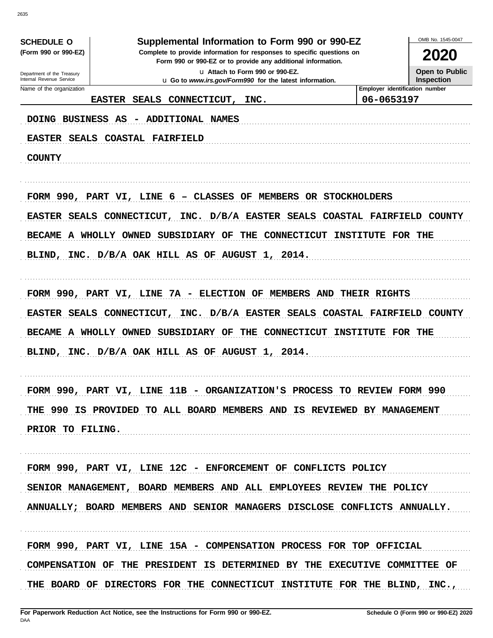| <b>SCHEDULE O</b>              |               | Supplemental Information to Form 990 or 990-EZ                                                                                         |                                   |                                              | OMB No. 1545-0047        |
|--------------------------------|---------------|----------------------------------------------------------------------------------------------------------------------------------------|-----------------------------------|----------------------------------------------|--------------------------|
| (Form 990 or 990-EZ)           |               | Complete to provide information for responses to specific questions on<br>Form 990 or 990-EZ or to provide any additional information. |                                   |                                              | 2020                     |
| Department of the Treasury     |               |                                                                                                                                        | La Attach to Form 990 or 990-EZ.  |                                              | <b>Open to Public</b>    |
| Internal Revenue Service       |               | <b>u</b> Go to www.irs.gov/Form990 for the latest information.                                                                         |                                   |                                              | <b>Inspection</b>        |
| Name of the organization       | <b>EASTER</b> | SEALS CONNECTICUT,                                                                                                                     | INC.                              | Employer identification number<br>06-0653197 |                          |
|                                |               |                                                                                                                                        |                                   |                                              |                          |
| DOING BUSINESS AS              |               | ADDITIONAL NAMES                                                                                                                       |                                   |                                              |                          |
| EASTER SEALS COASTAL FAIRFIELD |               |                                                                                                                                        |                                   |                                              |                          |
| <b>COUNTY</b>                  |               |                                                                                                                                        |                                   |                                              |                          |
|                                |               |                                                                                                                                        |                                   |                                              |                          |
|                                |               | FORM 990, PART VI, LINE 6 - CLASSES OF MEMBERS OR STOCKHOLDERS                                                                         |                                   |                                              |                          |
|                                |               | EASTER SEALS CONNECTICUT, INC. D/B/A EASTER SEALS COASTAL FAIRFIELD COUNTY                                                             |                                   |                                              |                          |
|                                |               | BECAME A WHOLLY OWNED SUBSIDIARY OF THE CONNECTICUT INSTITUTE FOR THE                                                                  |                                   |                                              |                          |
|                                |               | BLIND, INC. D/B/A OAK HILL AS OF AUGUST 1, 2014.                                                                                       |                                   |                                              |                          |
|                                |               |                                                                                                                                        |                                   |                                              |                          |
|                                |               | FORM 990, PART VI, LINE 7A - ELECTION OF MEMBERS AND THEIR RIGHTS                                                                      |                                   |                                              |                          |
|                                |               | EASTER SEALS CONNECTICUT, INC. D/B/A EASTER SEALS                                                                                      |                                   |                                              | COASTAL FAIRFIELD COUNTY |
|                                |               | BECAME A WHOLLY OWNED SUBSIDIARY OF                                                                                                    | THE CONNECTICUT INSTITUTE FOR THE |                                              |                          |
|                                |               | BLIND, INC. D/B/A OAK HILL AS OF AUGUST 1, 2014.                                                                                       |                                   |                                              |                          |
|                                |               |                                                                                                                                        |                                   |                                              |                          |
|                                |               | FORM 990, PART VI, LINE 11B - ORGANIZATION'S PROCESS TO REVIEW FORM 990                                                                |                                   |                                              |                          |
|                                |               | THE 990 IS PROVIDED TO ALL BOARD MEMBERS AND IS REVIEWED BY MANAGEMENT                                                                 |                                   |                                              |                          |
| PRIOR TO FILING.               |               |                                                                                                                                        |                                   |                                              |                          |
|                                |               |                                                                                                                                        |                                   |                                              |                          |
|                                |               | FORM 990, PART VI, LINE 12C - ENFORCEMENT OF CONFLICTS POLICY                                                                          |                                   |                                              |                          |
|                                |               | SENIOR MANAGEMENT, BOARD MEMBERS AND ALL EMPLOYEES REVIEW THE POLICY                                                                   |                                   |                                              |                          |
|                                |               | ANNUALLY; BOARD MEMBERS AND SENIOR MANAGERS DISCLOSE CONFLICTS ANNUALLY.                                                               |                                   |                                              |                          |
|                                |               |                                                                                                                                        |                                   |                                              |                          |
|                                |               | FORM 990, PART VI, LINE 15A - COMPENSATION PROCESS FOR TOP OFFICIAL                                                                    |                                   |                                              |                          |
|                                |               | COMPENSATION OF THE PRESIDENT IS DETERMINED BY THE EXECUTIVE COMMITTEE OF                                                              |                                   |                                              |                          |
|                                |               | THE BOARD OF DIRECTORS FOR THE CONNECTICUT INSTITUTE FOR THE BLIND, INC.,                                                              |                                   |                                              |                          |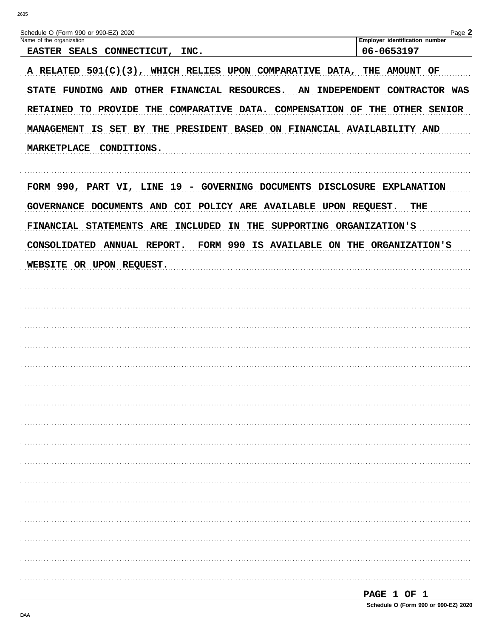| Schedule O (Form 990 or 990-EZ) 2020<br>Name of the organization           | Page 2<br>Employer identification number |  |  |  |  |  |  |
|----------------------------------------------------------------------------|------------------------------------------|--|--|--|--|--|--|
| EASTER SEALS CONNECTICUT, INC.                                             | 06-0653197                               |  |  |  |  |  |  |
| A RELATED 501(C)(3), WHICH RELIES UPON COMPARATIVE DATA, THE AMOUNT OF     |                                          |  |  |  |  |  |  |
| STATE FUNDING AND OTHER FINANCIAL RESOURCES. AN INDEPENDENT CONTRACTOR WAS |                                          |  |  |  |  |  |  |
| RETAINED TO PROVIDE THE COMPARATIVE DATA. COMPENSATION OF THE OTHER SENIOR |                                          |  |  |  |  |  |  |
| MANAGEMENT IS SET BY THE PRESIDENT BASED ON FINANCIAL AVAILABILITY AND     |                                          |  |  |  |  |  |  |
|                                                                            |                                          |  |  |  |  |  |  |
| MARKETPLACE CONDITIONS.                                                    |                                          |  |  |  |  |  |  |
|                                                                            |                                          |  |  |  |  |  |  |
| FORM 990, PART VI, LINE 19 - GOVERNING DOCUMENTS DISCLOSURE EXPLANATION    |                                          |  |  |  |  |  |  |
| GOVERNANCE DOCUMENTS AND COI POLICY ARE AVAILABLE UPON REQUEST.<br>THE     |                                          |  |  |  |  |  |  |
| FINANCIAL STATEMENTS ARE<br>INCLUDED IN THE SUPPORTING ORGANIZATION'S      |                                          |  |  |  |  |  |  |
| CONSOLIDATED ANNUAL REPORT. FORM 990 IS AVAILABLE ON THE ORGANIZATION'S    |                                          |  |  |  |  |  |  |
| WEBSITE OR UPON REQUEST.                                                   |                                          |  |  |  |  |  |  |
|                                                                            |                                          |  |  |  |  |  |  |
|                                                                            |                                          |  |  |  |  |  |  |
|                                                                            |                                          |  |  |  |  |  |  |
|                                                                            |                                          |  |  |  |  |  |  |
|                                                                            |                                          |  |  |  |  |  |  |
|                                                                            |                                          |  |  |  |  |  |  |
|                                                                            |                                          |  |  |  |  |  |  |
|                                                                            |                                          |  |  |  |  |  |  |
|                                                                            |                                          |  |  |  |  |  |  |
|                                                                            |                                          |  |  |  |  |  |  |
|                                                                            |                                          |  |  |  |  |  |  |
|                                                                            |                                          |  |  |  |  |  |  |
|                                                                            |                                          |  |  |  |  |  |  |
|                                                                            |                                          |  |  |  |  |  |  |
|                                                                            |                                          |  |  |  |  |  |  |
|                                                                            |                                          |  |  |  |  |  |  |
|                                                                            |                                          |  |  |  |  |  |  |
|                                                                            |                                          |  |  |  |  |  |  |
|                                                                            | 1 קר החתר                                |  |  |  |  |  |  |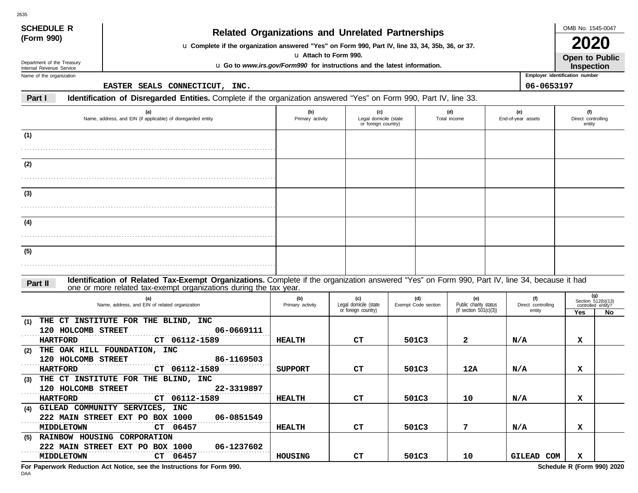| <b>SCHEDULE R</b>                                    |                    |                                                                                                                                                                                                                    |                       | <b>Related Organizations and Unrelated Partnerships</b>                  |  |                     |                                                    |                                | OMB No. 1545-0047            |                           |  |
|------------------------------------------------------|--------------------|--------------------------------------------------------------------------------------------------------------------------------------------------------------------------------------------------------------------|-----------------------|--------------------------------------------------------------------------|--|---------------------|----------------------------------------------------|--------------------------------|------------------------------|---------------------------|--|
| (Form 990)                                           |                    |                                                                                                                                                                                                                    |                       |                                                                          |  |                     |                                                    |                                |                              |                           |  |
|                                                      |                    | u Complete if the organization answered "Yes" on Form 990, Part IV, line 33, 34, 35b, 36, or 37.                                                                                                                   | u Attach to Form 990. |                                                                          |  |                     |                                                    |                                |                              |                           |  |
| Department of the Treasury                           |                    |                                                                                                                                                                                                                    |                       | u Go to www.irs.gov/Form990 for instructions and the latest information. |  |                     |                                                    |                                | Open to Public<br>Inspection |                           |  |
| Internal Revenue Service<br>Name of the organization |                    |                                                                                                                                                                                                                    |                       |                                                                          |  |                     |                                                    | Employer identification number |                              |                           |  |
|                                                      |                    | EASTER SEALS CONNECTICUT, INC.                                                                                                                                                                                     |                       |                                                                          |  |                     |                                                    | 06-0653197                     |                              |                           |  |
| Part I                                               |                    | Identification of Disregarded Entities. Complete if the organization answered "Yes" on Form 990, Part IV, line 33.                                                                                                 |                       |                                                                          |  |                     |                                                    |                                |                              |                           |  |
|                                                      |                    | (a)                                                                                                                                                                                                                | (b)                   | (c)                                                                      |  |                     | (d)                                                | (e)                            | (f)                          |                           |  |
|                                                      |                    | Name, address, and EIN (if applicable) of disregarded entity                                                                                                                                                       | Primary activity      | Legal domicile (state<br>or foreign country)                             |  | Total income        |                                                    | End-of-year assets             | Direct controlling<br>entity |                           |  |
| (1)                                                  |                    |                                                                                                                                                                                                                    |                       |                                                                          |  |                     |                                                    |                                |                              |                           |  |
|                                                      |                    |                                                                                                                                                                                                                    |                       |                                                                          |  |                     |                                                    |                                |                              |                           |  |
| (2)                                                  |                    |                                                                                                                                                                                                                    |                       |                                                                          |  |                     |                                                    |                                |                              |                           |  |
|                                                      |                    |                                                                                                                                                                                                                    |                       |                                                                          |  |                     |                                                    |                                |                              |                           |  |
|                                                      |                    |                                                                                                                                                                                                                    |                       |                                                                          |  |                     |                                                    |                                |                              |                           |  |
| (3)                                                  |                    |                                                                                                                                                                                                                    |                       |                                                                          |  |                     |                                                    |                                |                              |                           |  |
|                                                      |                    |                                                                                                                                                                                                                    |                       |                                                                          |  |                     |                                                    |                                |                              |                           |  |
| (4)                                                  |                    |                                                                                                                                                                                                                    |                       |                                                                          |  |                     |                                                    |                                |                              |                           |  |
|                                                      |                    |                                                                                                                                                                                                                    |                       |                                                                          |  |                     |                                                    |                                |                              |                           |  |
| (5)                                                  |                    |                                                                                                                                                                                                                    |                       |                                                                          |  |                     |                                                    |                                |                              |                           |  |
|                                                      |                    |                                                                                                                                                                                                                    |                       |                                                                          |  |                     |                                                    |                                |                              |                           |  |
|                                                      |                    |                                                                                                                                                                                                                    |                       |                                                                          |  |                     |                                                    |                                |                              |                           |  |
| Part II                                              |                    | Identification of Related Tax-Exempt Organizations. Complete if the organization answered "Yes" on Form 990, Part IV, line 34, because it had<br>one or more related tax-exempt organizations during the tax year. |                       |                                                                          |  |                     |                                                    |                                |                              |                           |  |
|                                                      |                    | (a)                                                                                                                                                                                                                | (b)                   | (c)                                                                      |  | (d)                 | (e)                                                | (f)                            |                              | (g)<br>Section 512(b)(13) |  |
|                                                      |                    | Name, address, and EIN of related organization                                                                                                                                                                     | Primary activity      | Legal domicile (state<br>or foreign country)                             |  | Exempt Code section | Public charity status<br>(if section $501(c)(3)$ ) | Direct controlling<br>entity   | Yes                          | controlled entity?<br>No  |  |
| THE<br>(1)                                           |                    | CT INSTITUTE FOR THE BLIND, INC                                                                                                                                                                                    |                       |                                                                          |  |                     |                                                    |                                |                              |                           |  |
|                                                      | 120 HOLCOMB STREET | 06-0669111                                                                                                                                                                                                         |                       |                                                                          |  |                     |                                                    |                                |                              |                           |  |
| <b>HARTFORD</b><br>(2)                               |                    | CT 06112-1589<br>THE OAK HILL FOUNDATION, INC                                                                                                                                                                      | <b>HEALTH</b>         | C <sub>T</sub>                                                           |  | 501C3               | 2                                                  | N/A                            | x                            |                           |  |
|                                                      | 120 HOLCOMB STREET | 86-1169503                                                                                                                                                                                                         |                       |                                                                          |  |                     |                                                    |                                |                              |                           |  |
| <b>HARTFORD</b>                                      |                    | CT 06112-1589                                                                                                                                                                                                      | <b>SUPPORT</b>        | CТ                                                                       |  | 501C3               | 12A                                                | N/A                            | х                            |                           |  |
| (3)                                                  |                    | THE CT INSTITUTE FOR THE BLIND, INC                                                                                                                                                                                |                       |                                                                          |  |                     |                                                    |                                |                              |                           |  |
|                                                      | 120 HOLCOMB STREET | 22-3319897                                                                                                                                                                                                         |                       |                                                                          |  |                     |                                                    |                                |                              |                           |  |
| <b>HARTFORD</b>                                      |                    | CT 06112-1589<br>(4) GILEAD COMMUNITY SERVICES, INC                                                                                                                                                                | <b>HEALTH</b>         | CT                                                                       |  | 501C3               | 10                                                 | N/A                            | $\mathbf x$                  |                           |  |
|                                                      |                    | 222 MAIN STREET EXT PO BOX 1000<br>06-0851549                                                                                                                                                                      |                       |                                                                          |  |                     |                                                    |                                |                              |                           |  |
|                                                      | <b>MIDDLETOWN</b>  | CT 06457                                                                                                                                                                                                           | <b>HEALTH</b>         | CT                                                                       |  | 501C3               | 7                                                  | N/A                            | x                            |                           |  |
|                                                      |                    | (5) RAINBOW HOUSING CORPORATION                                                                                                                                                                                    |                       |                                                                          |  |                     |                                                    |                                |                              |                           |  |
|                                                      |                    | 222 MAIN STREET EXT PO BOX 1000<br>06-1237602                                                                                                                                                                      |                       |                                                                          |  |                     |                                                    |                                |                              |                           |  |
|                                                      | <b>MIDDLETOWN</b>  | CT 06457                                                                                                                                                                                                           | HOUSING               | CT                                                                       |  | 501C3               | 10                                                 | GILEAD COM                     | x                            |                           |  |

**For Paperwork Reduction Act Notice, see the Instructions for Form 990. Schedule R (Form 990) 2020**

2635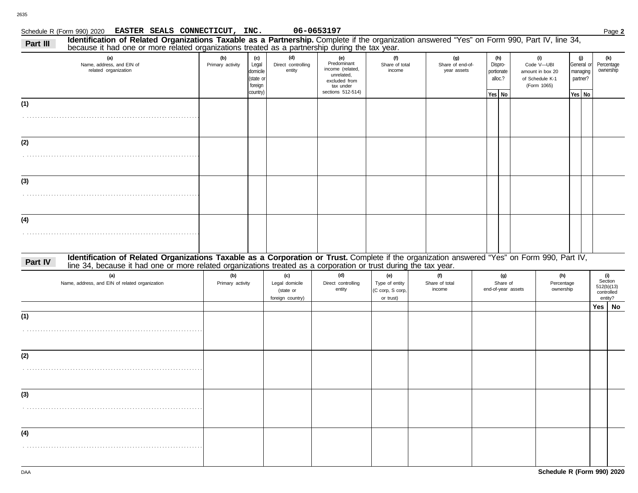| ule R (Form 990) 2020 |  | <b>EASTER SEALS CONNECTICUT</b> |
|-----------------------|--|---------------------------------|

**EASTER SEALS CONNECTICUT, INC. 06-0653197**

|          | Schedule R (Form 990) 2020 EASTER SEALS CONNECTICUT, INC.                                                                                                                                                                                                        |                         |                                                              |                                                        | 06-0653197                                                                                              |                                                        |                                        |                                         |                                                                         |                                |                                           |     | Page 2                                                |
|----------|------------------------------------------------------------------------------------------------------------------------------------------------------------------------------------------------------------------------------------------------------------------|-------------------------|--------------------------------------------------------------|--------------------------------------------------------|---------------------------------------------------------------------------------------------------------|--------------------------------------------------------|----------------------------------------|-----------------------------------------|-------------------------------------------------------------------------|--------------------------------|-------------------------------------------|-----|-------------------------------------------------------|
| Part III | Identification of Related Organizations Taxable as a Partnership. Complete if the organization answered "Yes" on Form 990, Part IV, line 34,<br>because it had one or more related organizations treated as a partnership during the tax year.                   |                         |                                                              |                                                        |                                                                                                         |                                                        |                                        |                                         |                                                                         |                                |                                           |     |                                                       |
|          | (a)<br>Name, address, and EIN of<br>related organization                                                                                                                                                                                                         | (b)<br>Primary activity | (c)<br>Legal<br>domicile<br>(state or<br>foreign<br>country) | (d)<br>Direct controlling<br>entity                    | (e)<br>Predominant<br>income (related,<br>unrelated,<br>excluded from<br>tax under<br>sections 512-514) | (f)<br>Share of total<br>income                        | (g)<br>Share of end-of-<br>year assets | (h)<br>Dispro-<br>portionate<br>alloc.? | (i)<br>Code V-UBI<br>amount in box 20<br>of Schedule K-1<br>(Form 1065) |                                | (j)<br>General or<br>managing<br>partner? |     | (k)<br>Percentage<br>ownership                        |
| (1)      |                                                                                                                                                                                                                                                                  |                         |                                                              |                                                        |                                                                                                         |                                                        |                                        | Yes   No                                |                                                                         |                                | Yes No                                    |     |                                                       |
|          |                                                                                                                                                                                                                                                                  |                         |                                                              |                                                        |                                                                                                         |                                                        |                                        |                                         |                                                                         |                                |                                           |     |                                                       |
| (2)      |                                                                                                                                                                                                                                                                  |                         |                                                              |                                                        |                                                                                                         |                                                        |                                        |                                         |                                                                         |                                |                                           |     |                                                       |
|          |                                                                                                                                                                                                                                                                  |                         |                                                              |                                                        |                                                                                                         |                                                        |                                        |                                         |                                                                         |                                |                                           |     |                                                       |
| (3)      |                                                                                                                                                                                                                                                                  |                         |                                                              |                                                        |                                                                                                         |                                                        |                                        |                                         |                                                                         |                                |                                           |     |                                                       |
|          |                                                                                                                                                                                                                                                                  |                         |                                                              |                                                        |                                                                                                         |                                                        |                                        |                                         |                                                                         |                                |                                           |     |                                                       |
| (4)      |                                                                                                                                                                                                                                                                  |                         |                                                              |                                                        |                                                                                                         |                                                        |                                        |                                         |                                                                         |                                |                                           |     |                                                       |
|          |                                                                                                                                                                                                                                                                  |                         |                                                              |                                                        |                                                                                                         |                                                        |                                        |                                         |                                                                         |                                |                                           |     |                                                       |
| Part IV  | Identification of Related Organizations Taxable as a Corporation or Trust. Complete if the organization answered "Yes" on Form 990, Part IV,<br>line 34, because it had one or more related organizations treated as a corporation or trust during the tax year. |                         |                                                              |                                                        |                                                                                                         |                                                        |                                        |                                         |                                                                         |                                |                                           |     |                                                       |
|          | (a)<br>Name, address, and EIN of related organization                                                                                                                                                                                                            | (b)<br>Primary activity |                                                              | (c)<br>Legal domicile<br>(state or<br>foreign country) | (d)<br>Direct controlling<br>entity                                                                     | (e)<br>Type of entity<br>(C corp, S corp,<br>or trust) | (f)<br>Share of total<br>income        | (g)<br>Share of<br>end-of-year assets   |                                                                         | (h)<br>Percentage<br>ownership |                                           |     | (i)<br>Section<br>512(b)(13)<br>controlled<br>entity? |
| (1)      |                                                                                                                                                                                                                                                                  |                         |                                                              |                                                        |                                                                                                         |                                                        |                                        |                                         |                                                                         |                                |                                           | Yes | No                                                    |
|          |                                                                                                                                                                                                                                                                  |                         |                                                              |                                                        |                                                                                                         |                                                        |                                        |                                         |                                                                         |                                |                                           |     |                                                       |
| (2)      |                                                                                                                                                                                                                                                                  |                         |                                                              |                                                        |                                                                                                         |                                                        |                                        |                                         |                                                                         |                                |                                           |     |                                                       |
|          |                                                                                                                                                                                                                                                                  |                         |                                                              |                                                        |                                                                                                         |                                                        |                                        |                                         |                                                                         |                                |                                           |     |                                                       |
| (3)      |                                                                                                                                                                                                                                                                  |                         |                                                              |                                                        |                                                                                                         |                                                        |                                        |                                         |                                                                         |                                |                                           |     |                                                       |
|          |                                                                                                                                                                                                                                                                  |                         |                                                              |                                                        |                                                                                                         |                                                        |                                        |                                         |                                                                         |                                |                                           |     |                                                       |
| (4)      |                                                                                                                                                                                                                                                                  |                         |                                                              |                                                        |                                                                                                         |                                                        |                                        |                                         |                                                                         |                                |                                           |     |                                                       |
|          |                                                                                                                                                                                                                                                                  |                         |                                                              |                                                        |                                                                                                         |                                                        |                                        |                                         |                                                                         |                                |                                           |     |                                                       |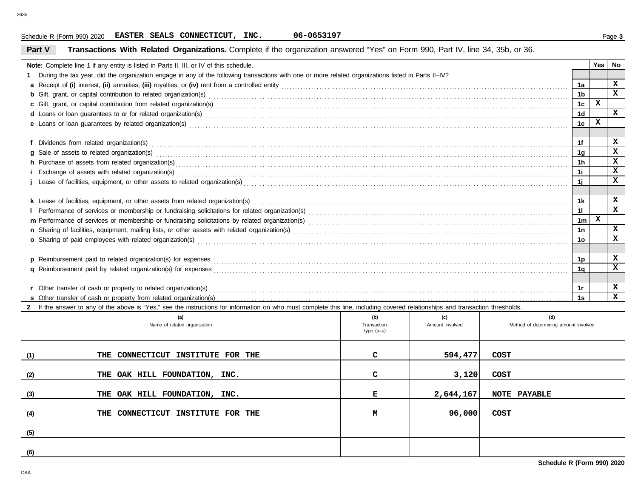## Schedule R (Form 990) 2020 Page **3 EASTER SEALS CONNECTICUT, INC. 06-0653197**

| Transactions With Related Organizations. Complete if the organization answered "Yes" on Form 990, Part IV, line 34, 35b, or 36.<br>Part V                                                                                      |     |     |     |                 |              |              |
|--------------------------------------------------------------------------------------------------------------------------------------------------------------------------------------------------------------------------------|-----|-----|-----|-----------------|--------------|--------------|
| Note: Complete line 1 if any entity is listed in Parts II, III, or IV of this schedule.                                                                                                                                        |     |     |     |                 | Yes No       |              |
| During the tax year, did the organization engage in any of the following transactions with one or more related organizations listed in Parts II-IV?                                                                            |     |     |     |                 |              |              |
|                                                                                                                                                                                                                                |     |     |     | 1a              |              | X            |
| <b>b</b> Gift, grant, or capital contribution to related organization(s) encourse contained and contribution to related organization(s)                                                                                        |     |     |     | 1 <sub>b</sub>  |              | $\mathbf{x}$ |
| c Gift, grant, or capital contribution from related organization(s) encourance contained and contribution from related organization(s)                                                                                         |     |     |     | 1c              | $\mathbf x$  |              |
| d Loans or loan guarantees to or for related organization(s) encourance contained and contained a contained and contained a contained a contained and contained a contact or for related organization(s) encourance contained  |     |     |     | 1 <sub>d</sub>  |              | $\mathbf{x}$ |
| e Loans or loan guarantees by related organization(s) encourance contained and contained a contained a contained and contained a contained a contained a contained a contained a contained a contained a contained a contained |     |     |     | 1e              | x            |              |
|                                                                                                                                                                                                                                |     |     |     |                 |              |              |
|                                                                                                                                                                                                                                |     |     |     | 1f              |              | x            |
|                                                                                                                                                                                                                                |     |     |     | 1g              |              | X            |
| h Purchase of assets from related organization(s) Material Assemblance and an example and a series and a series of assets from related organization(s) and all contact the content of the content of the content of the conten |     |     |     | 1h              |              | x            |
|                                                                                                                                                                                                                                |     |     |     | 11              |              | x            |
|                                                                                                                                                                                                                                |     |     |     | 1j              |              | $\mathbf{x}$ |
|                                                                                                                                                                                                                                |     |     |     |                 |              |              |
| k Lease of facilities, equipment, or other assets from related organization(s)                                                                                                                                                 |     |     |     | 1k              |              | x            |
|                                                                                                                                                                                                                                |     |     |     | 11              |              | X            |
|                                                                                                                                                                                                                                |     |     |     | 1 <sub>m</sub>  | $\mathbf{x}$ |              |
|                                                                                                                                                                                                                                |     |     |     | 1n              |              | x            |
| o Sharing of paid employees with related organization(s) encourance contains an accommodal container and starting of paid employees with related organization(s) encourance and container and container and starting of paid e |     |     |     | 10 <sup>°</sup> |              | $\mathbf x$  |
|                                                                                                                                                                                                                                |     |     |     |                 |              |              |
|                                                                                                                                                                                                                                |     |     |     | 1p              |              | x            |
|                                                                                                                                                                                                                                |     |     |     | 1α              |              | $\mathbf{x}$ |
|                                                                                                                                                                                                                                |     |     |     |                 |              |              |
|                                                                                                                                                                                                                                |     |     |     | 1r              |              | x            |
|                                                                                                                                                                                                                                |     |     |     | 1s              |              | x            |
| 2 If the answer to any of the above is "Yes," see the instructions for information on who must complete this line, including covered relationships and transaction thresholds.                                                 |     |     |     |                 |              |              |
| (a)                                                                                                                                                                                                                            | (b) | (c) | (d) |                 |              |              |

|     | (a)<br>Name of related organization | (b)<br>Transaction<br>$type(a-s)$ | (c)<br>Amount involved | (d)<br>Method of determining amount involved |
|-----|-------------------------------------|-----------------------------------|------------------------|----------------------------------------------|
| (1) | THE CONNECTICUT INSTITUTE FOR THE   | C.                                | 594,477                | COST                                         |
| (2) | THE OAK HILL FOUNDATION, INC.       | $\mathbf{C}$                      | 3,120                  | COST                                         |
| (3) | THE OAK HILL FOUNDATION, INC.       | Е                                 | 2,644,167              | NOTE PAYABLE                                 |
| (4) | THE CONNECTICUT INSTITUTE FOR THE   | М                                 | 96,000                 | COST                                         |
| (5) |                                     |                                   |                        |                                              |
| (6) |                                     |                                   |                        |                                              |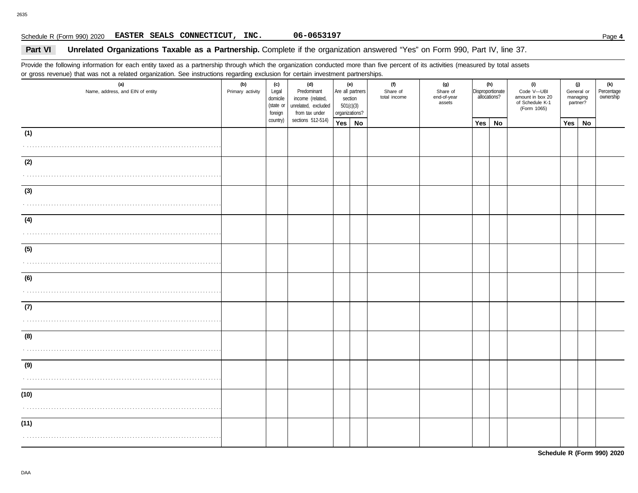# Schedule R (Form 990) 2020 Page **4 EASTER SEALS CONNECTICUT, INC. 06-0653197**

### **Part VI Unrelated Organizations Taxable as a Partnership.** Complete if the organization answered "Yes" on Form 990, Part IV, line 37.

Provide the following information for each entity taxed as a partnership through which the organization conducted more than five percent of its activities (measured by total assets or gross revenue) that was not a related organization. See instructions regarding exclusion for certain investment partnerships.

| (a)<br>Name, address, and EIN of entity | (c)<br>(b)<br>Primary activity<br>Legal<br>domicile<br>(state or<br>foreign |          | (d)<br>Predominant<br>income (related,<br>unrelated, excluded<br>from tax under | (e)<br>Are all partners<br>section<br>501(c)(3)<br>organizations? |  | (f)<br>Share of<br>total income | (g)<br>Share of<br>end-of-year<br>assets | (h)<br>Disproportionate<br>allocations? |    | (i)<br>Code V-UBI<br>amount in box 20<br>of Schedule K-1<br>(Form 1065) | (j)<br>General or<br>managing<br>partner? |           | (k)<br>Percentage<br>ownership |
|-----------------------------------------|-----------------------------------------------------------------------------|----------|---------------------------------------------------------------------------------|-------------------------------------------------------------------|--|---------------------------------|------------------------------------------|-----------------------------------------|----|-------------------------------------------------------------------------|-------------------------------------------|-----------|--------------------------------|
|                                         |                                                                             | country) | sections 512-514)                                                               | Yes No                                                            |  |                                 |                                          | Yes                                     | No |                                                                         | Yes                                       | <b>No</b> |                                |
| (1)                                     |                                                                             |          |                                                                                 |                                                                   |  |                                 |                                          |                                         |    |                                                                         |                                           |           |                                |
| (2)                                     |                                                                             |          |                                                                                 |                                                                   |  |                                 |                                          |                                         |    |                                                                         |                                           |           |                                |
| (3)                                     |                                                                             |          |                                                                                 |                                                                   |  |                                 |                                          |                                         |    |                                                                         |                                           |           |                                |
| (4)                                     |                                                                             |          |                                                                                 |                                                                   |  |                                 |                                          |                                         |    |                                                                         |                                           |           |                                |
| (5)                                     |                                                                             |          |                                                                                 |                                                                   |  |                                 |                                          |                                         |    |                                                                         |                                           |           |                                |
| (6)                                     |                                                                             |          |                                                                                 |                                                                   |  |                                 |                                          |                                         |    |                                                                         |                                           |           |                                |
| (7)                                     |                                                                             |          |                                                                                 |                                                                   |  |                                 |                                          |                                         |    |                                                                         |                                           |           |                                |
| (8)                                     |                                                                             |          |                                                                                 |                                                                   |  |                                 |                                          |                                         |    |                                                                         |                                           |           |                                |
| (9)                                     |                                                                             |          |                                                                                 |                                                                   |  |                                 |                                          |                                         |    |                                                                         |                                           |           |                                |
| (10)                                    |                                                                             |          |                                                                                 |                                                                   |  |                                 |                                          |                                         |    |                                                                         |                                           |           |                                |
| (11)                                    |                                                                             |          |                                                                                 |                                                                   |  |                                 |                                          |                                         |    |                                                                         |                                           |           |                                |